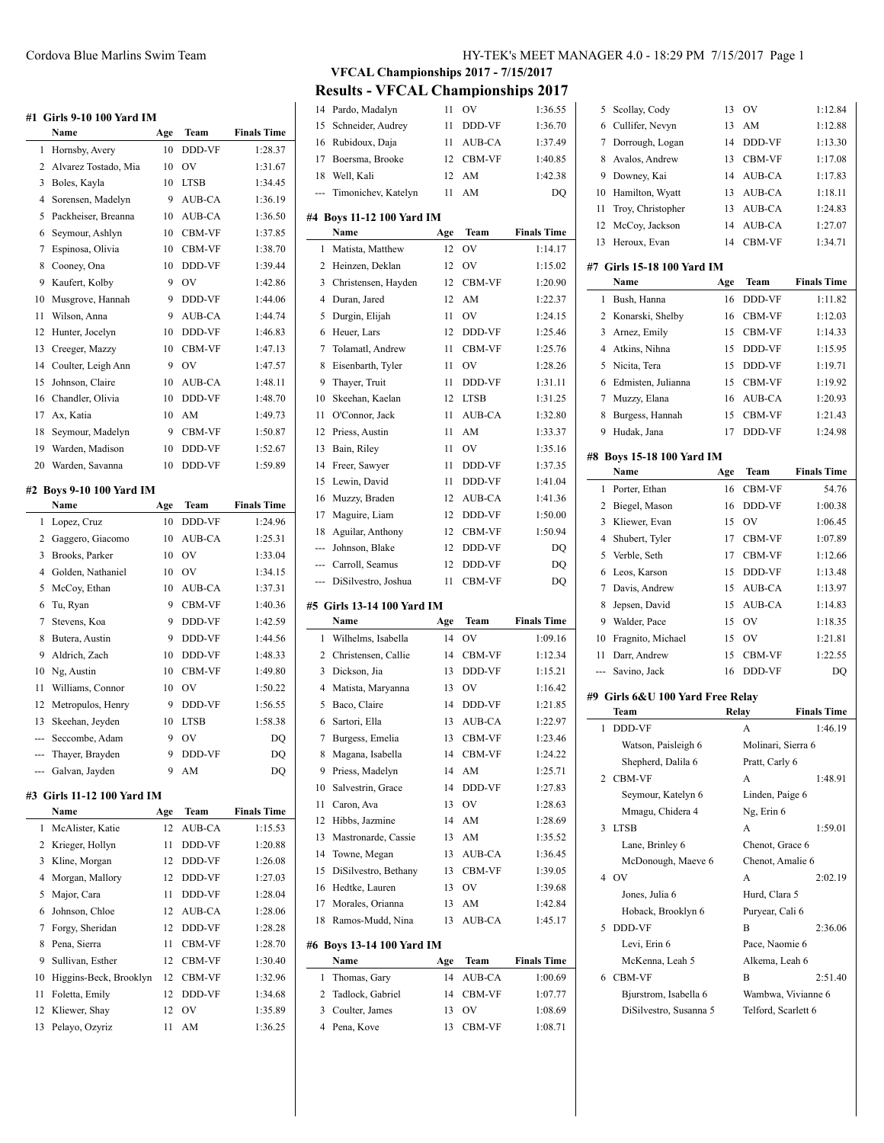# **#1 Girls 9-10 100 Yard IM**

| #1             | <b>Girls 9-10 100 Yard IM</b> |     |                               |                    |
|----------------|-------------------------------|-----|-------------------------------|--------------------|
|                | Name                          | Age | Team                          | <b>Finals Time</b> |
| 1              | Hornsby, Avery                | 10  | <b>DDD-VF</b>                 | 1:28.37            |
| 2              | Alvarez Tostado, Mia          | 10  | OV                            | 1:31.67            |
| 3              | Boles, Kayla                  | 10  | <b>LTSB</b>                   | 1:34.45            |
| 4              | Sorensen, Madelyn             | 9   | AUB-CA                        | 1:36.19            |
| 5              | Packheiser, Breanna           | 10  | AUB-CA                        | 1:36.50            |
| 6              | Seymour, Ashlyn               | 10  | CBM-VF                        | 1:37.85            |
| $\overline{7}$ | Espinosa, Olivia              | 10  | <b>CBM-VF</b>                 | 1:38.70            |
| 8              | Cooney, Ona                   | 10  | DDD-VF                        | 1:39.44            |
| 9              | Kaufert, Kolby                | 9   | OV                            | 1:42.86            |
| 10             | Musgrove, Hannah              | 9   | DDD-VF                        | 1:44.06            |
| 11             | Wilson, Anna                  | 9   | AUB-CA                        | 1:44.74            |
| 12             | Hunter, Jocelyn               | 10  | DDD-VF                        | 1:46.83            |
| 13             | Creeger, Mazzy                | 10  | CBM-VF                        | 1:47.13            |
| 14             | Coulter, Leigh Ann            | 9   | $\overline{\text{O}}\text{V}$ | 1:47.57            |
| 15             | Johnson, Claire               | 10  | AUB-CA                        | 1:48.11            |
| 16             | Chandler, Olivia              | 10  | DDD-VF                        | 1:48.70            |
| 17             | Ax, Katia                     | 10  | AM                            | 1:49.73            |
| 18             | Seymour, Madelyn              | 9   | CBM-VF                        | 1:50.87            |
| 19             | Warden, Madison               | 10  | DDD-VF                        | 1:52.67            |
| 20             | Warden, Savanna               | 10  | DDD-VF                        | 1:59.89            |
|                |                               |     |                               |                    |
|                | #2 Boys 9-10 100 Yard IM      |     |                               |                    |
|                |                               |     |                               |                    |
|                | Name                          | Age | Team                          | <b>Finals Time</b> |
| $\mathbf{1}$   | Lopez, Cruz                   | 10  | DDD-VF                        | 1:24.96            |
| $\overline{c}$ | Gaggero, Giacomo              | 10  | <b>AUB-CA</b>                 | 1:25.31            |
| 3              | Brooks, Parker                | 10  | OV                            | 1:33.04            |
| $\overline{4}$ | Golden, Nathaniel             | 10  | OV                            | 1:34.15            |
| 5              | McCoy, Ethan                  | 10  | AUB-CA                        | 1:37.31            |
| 6              | Tu, Ryan                      | 9   | <b>CBM-VF</b>                 | 1:40.36            |
| $\overline{7}$ | Stevens, Koa                  | 9   | DDD-VF                        | 1:42.59            |
| 8              | Butera, Austin                | 9   | DDD-VF                        | 1:44.56            |
| 9              | Aldrich, Zach                 | 10  | DDD-VF                        | 1:48.33            |
| 10             | Ng, Austin                    | 10  | <b>CBM-VF</b>                 | 1:49.80            |
| 11             | Williams, Connor              | 10  | OV                            | 1:50.22            |
| 12             | Metropulos, Henry             | 9   | DDD-VF                        | 1:56.55            |
| 13             | Skeehan, Jeyden               | 10  | <b>LTSB</b>                   | 1:58.38            |
|                | Seccombe, Adam                | 9   | OV                            | D <sub>O</sub>     |
| ---            | Thayer, Brayden               | 9   | DDD-VF                        | <b>DO</b>          |
| ---            | Galvan, Jayden                | 9   | AM                            | DQ                 |
|                | #3 Girls 11-12 100 Yard IM    |     |                               |                    |
|                | Name                          | Age | Team                          | <b>Finals Time</b> |
| 1              | McAlister, Katie              | 12  | <b>AUB-CA</b>                 | 1:15.53            |
| $\overline{c}$ | Krieger, Hollyn               | 11  | DDD-VF                        | 1:20.88            |

|    | 2 Krieger, Hollyn      | 11              | <b>DDD-VF</b> | 1:20.88 |
|----|------------------------|-----------------|---------------|---------|
| 3  | Kline, Morgan          | 12              | <b>DDD-VF</b> | 1:26.08 |
| 4  | Morgan, Mallory        | 12 <sub>1</sub> | <b>DDD-VF</b> | 1:27.03 |
| 5. | Major, Cara            | 11              | <b>DDD-VF</b> | 1:28.04 |
|    | 6 Johnson, Chloe       |                 | 12 AUB-CA     | 1:28.06 |
|    | 7 Forgy, Sheridan      | 12              | <b>DDD-VF</b> | 1:28.28 |
| 8  | Pena, Sierra           | 11              | <b>CBM-VF</b> | 1:28.70 |
| 9  | Sullivan, Esther       | 12              | <b>CBM-VF</b> | 1:30.40 |
| 10 | Higgins-Beck, Brooklyn |                 | 12 CBM-VF     | 1:32.96 |
| 11 | Foletta, Emily         | 12 <sup>2</sup> | <b>DDD-VF</b> | 1:34.68 |
|    | 12 Kliewer, Shay       | 12              | OV            | 1:35.89 |
| 13 | Pelayo, Ozyriz         | 11              | AM            | 1:36.25 |

# Cordova Blue Marlins Swim Team HY-TEK's MEET MANAGER 4.0 - 18:29 PM 7/15/2017 Page 1

**VFCAL Championships 2017 - 7/15/2017**

**Results - VFCAL Championships 2017**

|                                                                                                |                            |     | САЦ Спашрюнэшрэ 2017 |                    |
|------------------------------------------------------------------------------------------------|----------------------------|-----|----------------------|--------------------|
|                                                                                                | 14 Pardo, Madalyn          | 11  | OV                   | 1:36.55            |
| 15                                                                                             | Schneider, Audrey          | 11  | DDD-VF               | 1:36.70            |
| 16                                                                                             | Rubidoux, Daja             | 11  | AUB-CA               | 1:37.49            |
| 17                                                                                             | Boersma, Brooke            | 12  | CBM-VF               | 1:40.85            |
| 18                                                                                             | Well, Kali                 | 12  | AM                   | 1:42.38            |
| ---                                                                                            | Timonichev, Katelyn        | 11  | AM                   | DQ                 |
|                                                                                                |                            |     |                      |                    |
|                                                                                                | #4 Boys 11-12 100 Yard IM  |     |                      |                    |
|                                                                                                | Name                       | Age | Team                 | <b>Finals Time</b> |
| 1                                                                                              | Matista, Matthew           | 12  | OV                   | 1:14.17            |
| 2                                                                                              | Heinzen, Deklan            | 12  | OV                   | 1:15.02            |
| 3                                                                                              | Christensen, Hayden        | 12  | CBM-VF               | 1:20.90            |
| $\overline{4}$                                                                                 | Duran, Jared               | 12  | AM                   | 1:22.37            |
| 5                                                                                              | Durgin, Elijah             | 11  | OV                   | 1:24.15            |
| 6                                                                                              | Heuer, Lars                | 12  | DDD-VF               | 1:25.46            |
| 7                                                                                              | Tolamatl, Andrew           | 11  | CBM-VF               | 1:25.76            |
| 8                                                                                              | Eisenbarth, Tyler          | 11  | OV                   | 1:28.26            |
| 9                                                                                              | Thayer, Truit              | 11  | DDD-VF               | 1:31.11            |
| 10                                                                                             | Skeehan, Kaelan            | 12  | LTSB                 | 1:31.25            |
| 11                                                                                             | O'Connor, Jack             | 11  | AUB-CA               | 1:32.80            |
| 12                                                                                             | Priess, Austin             | 11  | AM                   | 1:33.37            |
| 13                                                                                             | Bain, Riley                | 11  | OV                   | 1:35.16            |
|                                                                                                |                            |     |                      |                    |
| 14                                                                                             | Freer, Sawyer              | 11  | DDD-VF               | 1:37.35            |
| 15                                                                                             | Lewin, David               | 11  | DDD-VF               | 1:41.04            |
| 16                                                                                             | Muzzy, Braden              | 12  | AUB-CA               | 1:41.36            |
| 17                                                                                             | Maguire, Liam              | 12  | DDD-VF               | 1:50.00            |
| 18                                                                                             | Aguilar, Anthony           | 12  | CBM-VF               | 1:50.94            |
| ---                                                                                            | Johnson, Blake             | 12  | DDD-VF               | DQ                 |
| $\frac{1}{2} \left( \frac{1}{2} \right) \left( \frac{1}{2} \right) \left( \frac{1}{2} \right)$ | Carroll, Seamus            | 12  | DDD-VF               | DQ                 |
| ---                                                                                            | DiSilvestro, Joshua        | 11  | CBM-VF               | DQ                 |
|                                                                                                |                            |     |                      |                    |
|                                                                                                |                            |     |                      |                    |
|                                                                                                | #5 Girls 13-14 100 Yard IM |     |                      |                    |
|                                                                                                | Name                       | Age | Team                 | <b>Finals Time</b> |
| 1                                                                                              | Wilhelms, Isabella         | 14  | OV                   | 1:09.16            |
| 2                                                                                              | Christensen, Callie        | 14  | CBM-VF               | 1:12.34            |
| 3                                                                                              | Dickson, Jia               | 13  | DDD-VF               | 1:15.21            |
| 4                                                                                              | Matista, Maryanna          | 13  | OV                   | 1:16.42            |
| 5                                                                                              | Baco, Claire               | 14  | DDD-VF               | 1:21.85            |
| 6                                                                                              | Sartori, Ella              | 13  | AUB-CA               | 1:22.97            |
| 7                                                                                              | Burgess, Emelia            | 13  | CBM-VF               | 1:23.46            |
| 8                                                                                              | Magana, Isabella           | 14  | CBM-VF               | 1:24.22            |
| 9                                                                                              | Priess, Madelyn            | 14  | AM                   | 1:25.71            |
| 10                                                                                             | Salvestrin, Grace          | 14  | DDD-VF               | 1:27.83            |
| 11                                                                                             | Caron, Ava                 | 13  | OV                   | 1:28.63            |
| 12                                                                                             | Hibbs, Jazmine             | 14  | AM                   | 1:28.69            |
| 13                                                                                             | Mastronarde, Cassie        | 13  | AM                   | 1:35.52            |
| 14                                                                                             |                            | 13  | AUB-CA               | 1:36.45            |
|                                                                                                | Towne, Megan               |     |                      |                    |
| 15                                                                                             | DiSilvestro, Bethany       | 13  | CBM-VF               | 1:39.05            |
| 16                                                                                             | Hedtke, Lauren             | 13  | OV.                  | 1:39.68            |
| 17                                                                                             | Morales, Orianna           | 13  | AM                   | 1:42.84            |
| 18                                                                                             | Ramos-Mudd, Nina           | 13  | AUB-CA               | 1:45.17            |
|                                                                                                | #6 Boys 13-14 100 Yard IM  |     |                      |                    |
|                                                                                                | Name                       | Age | Team                 | <b>Finals Time</b> |
| 1                                                                                              | Thomas, Gary               | 14  | AUB-CA               | 1:00.69            |
| 2                                                                                              | Tadlock, Gabriel           | 14  | CBM-VF               | 1:07.77            |
| 3                                                                                              | Coulter, James             | 13  | OV                   | 1:08.69            |
| 4                                                                                              | Pena, Kove                 | 13  | CBM-VF               | 1:08.71            |
|                                                                                                |                            |     |                      |                    |

| 5              | Scollay, Cody                             | 13    | OV                      | 1:12.84            |
|----------------|-------------------------------------------|-------|-------------------------|--------------------|
| 6              | Cullifer, Nevyn                           | 13    | AM                      | 1:12.88            |
| 7              | Dorrough, Logan                           | 14    | DDD-VF                  | 1:13.30            |
| 8              | Avalos, Andrew                            | 13    | CBM-VF                  | 1:17.08            |
| 9              | Downey, Kai                               | 14    | AUB-CA                  | 1:17.83            |
| 10             | Hamilton, Wyatt                           | 13    | AUB-CA                  | 1:18.11            |
| 11             | Troy, Christopher                         | 13    | AUB-CA                  | 1:24.83            |
| 12             | McCoy, Jackson                            | 14    | AUB-CA                  | 1:27.07            |
| 13             | Heroux, Evan                              | 14    | CBM-VF                  | 1:34.71            |
|                | #7  Girls 15-18 100 Yard IM               |       |                         |                    |
|                | Name                                      | Age   | Team                    | <b>Finals Time</b> |
| 1              | Bush, Hanna                               | 16    | DDD-VF                  | 1:11.82            |
| 2              | Konarski, Shelby                          | 16    | CBM-VF                  | 1:12.03            |
| 3              | Arnez, Emily                              | 15    | CBM-VF                  | 1:14.33            |
| 4              | Atkins, Nihna                             | 15    | DDD-VF                  | 1:15.95            |
| 5              | Nicita, Tera                              | 15    | DDD-VF                  | 1:19.71            |
| 6              | Edmisten, Julianna                        | 15    | CBM-VF                  | 1:19.92            |
| 7              | Muzzy, Elana                              | 16    | AUB-CA                  | 1:20.93            |
| 8              | Burgess, Hannah                           | 15    | CBM-VF                  | 1:21.43            |
| 9              | Hudak, Jana                               | 17    | DDD-VF                  | 1:24.98            |
| #8             | <b>Boys 15-18 100 Yard IM</b>             |       |                         |                    |
|                | Name                                      | Age   | Team                    | <b>Finals Time</b> |
| 1              | Porter, Ethan                             | 16    | CBM-VF                  | 54.76              |
| 2              | Biegel, Mason                             | 16    | DDD-VF                  | 1:00.38            |
| 3              | Kliewer, Evan                             | 15    | OV                      | 1:06.45            |
| 4              | Shubert, Tyler                            | 17    | CBM-VF                  | 1:07.89            |
| 5              | Verble, Seth                              | 17    | CBM-VF                  | 1:12.66            |
| 6              | Leos, Karson                              | 15    | DDD-VF                  | 1:13.48            |
| 7              | Davis, Andrew                             | 15    | AUB-CA                  | 1:13.97            |
| 8              | Jepsen, David                             | 15    | AUB-CA                  | 1:14.83            |
| 9              | Walder, Pace                              | 15    | OV                      | 1:18.35            |
| 10             | Fragnito, Michael                         | 15    | OV                      | 1:21.81            |
| 11             | Darr, Andrew                              | 15    | CBM-VF                  | 1:22.55            |
| ---            | Savino, Jack                              | 16    | DDD-VF                  | DO                 |
|                |                                           |       |                         |                    |
|                | #9  Girls 6&U 100 Yard Free Relay         |       |                         |                    |
| 1              | Team<br>DDD-VF                            | Relay |                         | <b>Finals Time</b> |
|                |                                           |       | А<br>Molinari, Sierra 6 | 1:46.19            |
|                | Watson, Paisleigh 6<br>Shepherd, Dalila 6 |       | Pratt, Carly 6          |                    |
| $\overline{2}$ | <b>CBM-VF</b>                             |       | А                       |                    |
|                | Seymour, Katelyn 6                        |       | Linden, Paige 6         | 1:48.91            |
|                | Mmagu, Chidera 4                          |       | Ng, Erin 6              |                    |
| 3              | <b>LTSB</b>                               |       | A                       | 1:59.01            |
|                | Lane, Brinley 6                           |       | Chenot, Grace 6         |                    |
|                |                                           |       | Chenot, Amalie 6        |                    |
| 4              | McDonough, Maeve 6<br>OV                  |       | А                       | 2:02.19            |
|                | Jones, Julia 6                            |       | Hurd, Clara 5           |                    |
|                |                                           |       |                         |                    |
|                | Hoback, Brooklyn 6                        |       | Puryear, Cali 6         |                    |
| 5              | DDD-VF<br>Levi, Erin 6                    |       | В<br>Pace, Naomie 6     | 2:36.06            |
|                |                                           |       |                         |                    |
|                | McKenna, Leah 5                           |       | Alkema, Leah 6          |                    |
| 6              | <b>CBM-VF</b>                             |       | В                       | 2:51.40            |
|                | Bjurstrom, Isabella 6                     |       | Wambwa, Vivianne 6      |                    |
|                | DiSilvestro, Susanna 5                    |       | Telford, Scarlett 6     |                    |
|                |                                           |       |                         |                    |
|                |                                           |       |                         |                    |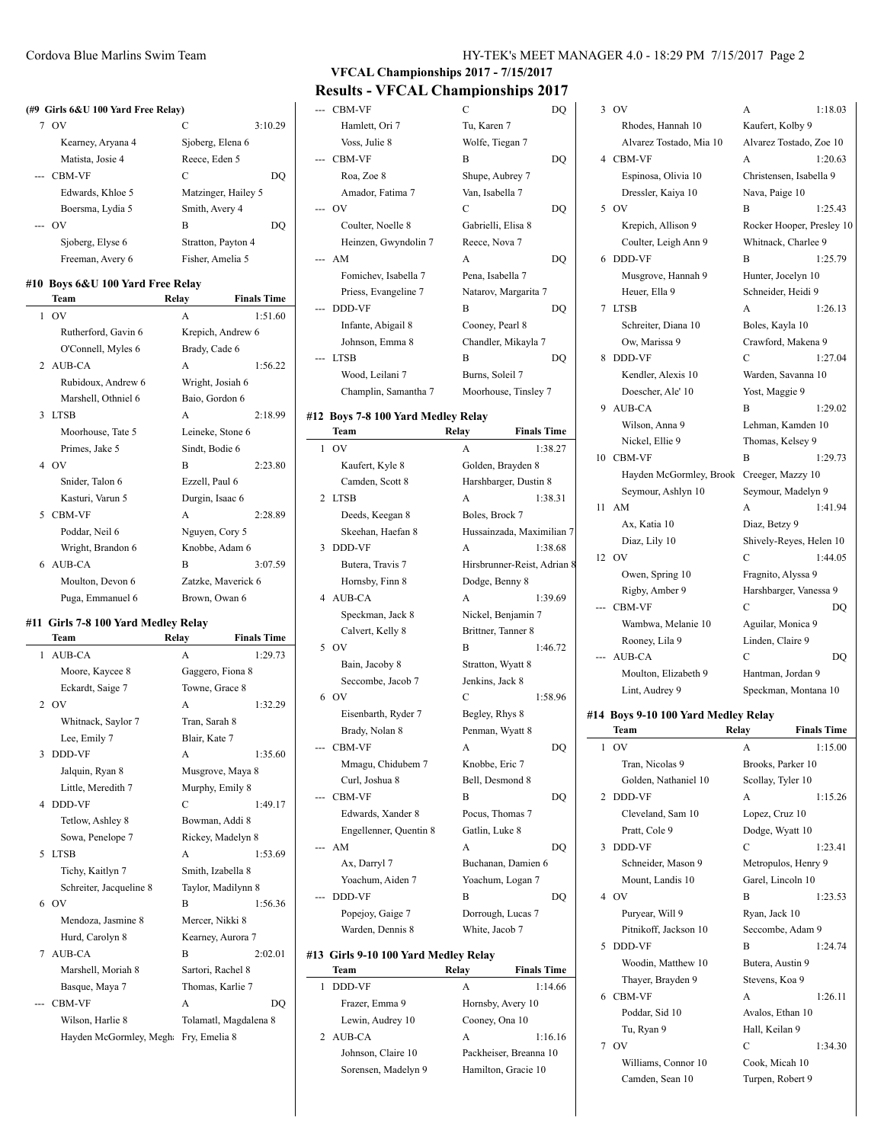#### **(#9 Girls 6&U 100 Yard Free Relay)**

| OV                | C                   | 3:10.29 |
|-------------------|---------------------|---------|
| Kearney, Aryana 4 | Sjoberg, Elena 6    |         |
| Matista, Josie 4  | Reece, Eden 5       |         |
| --- CBM-VF        | C                   | DO      |
| Edwards, Khloe 5  | Matzinger, Hailey 5 |         |
| Boersma, Lydia 5  | Smith, Avery 4      |         |
| OV                | В                   | DO      |
| Sjoberg, Elyse 6  | Stratton, Payton 4  |         |
| Freeman, Avery 6  | Fisher, Amelia 5    |         |
|                   |                     |         |

### **#10 Boys 6&U 100 Yard Free Relay**

|                | Team                | Relay              | <b>Finals Time</b> |
|----------------|---------------------|--------------------|--------------------|
| 1              | OV                  | A                  | 1:51.60            |
|                | Rutherford, Gavin 6 | Krepich, Andrew 6  |                    |
|                | O'Connell, Myles 6  | Brady, Cade 6      |                    |
| $\mathfrak{D}$ | AUB-CA              | A                  | 1:56.22            |
|                | Rubidoux, Andrew 6  | Wright, Josiah 6   |                    |
|                | Marshell, Othniel 6 | Baio, Gordon 6     |                    |
| 3              | <b>LTSB</b>         | A                  | 2:18.99            |
|                | Moorhouse, Tate 5   | Leineke, Stone 6   |                    |
|                | Primes, Jake 5      | Sindt, Bodie 6     |                    |
| 4              | O <sub>V</sub>      | R                  | 2:23.80            |
|                | Snider, Talon 6     | Ezzell, Paul 6     |                    |
|                | Kasturi, Varun 5    | Durgin, Isaac 6    |                    |
| 5              | CBM-VF              | A                  | 2.28.89            |
|                | Poddar, Neil 6      | Nguyen, Cory 5     |                    |
|                | Wright, Brandon 6   | Knobbe, Adam 6     |                    |
| 6              | AUB-CA              | B                  | 3:07.59            |
|                | Moulton, Devon 6    | Zatzke, Maverick 6 |                    |
|                | Puga, Emmanuel 6    | Brown, Owan 6      |                    |

#### **#11 Girls 7-8 100 Yard Medley Relay**

|              | Team                    | Relay                 | <b>Finals Time</b> |
|--------------|-------------------------|-----------------------|--------------------|
| 1            | AUB-CA                  | A                     | 1:29.73            |
|              | Moore, Kaycee 8         | Gaggero, Fiona 8      |                    |
|              | Eckardt, Saige 7        | Towne, Grace 8        |                    |
| $\mathbf{2}$ | O <sub>V</sub>          | A                     | 1:32.29            |
|              | Whitnack, Saylor 7      | Tran, Sarah 8         |                    |
|              | Lee, Emily 7            | Blair, Kate 7         |                    |
| 3            | <b>DDD-VF</b>           | A                     | 1:35.60            |
|              | Jalquin, Ryan 8         | Musgrove, Maya 8      |                    |
|              | Little, Meredith 7      | Murphy, Emily 8       |                    |
| 4            | <b>DDD-VF</b>           | C                     | 1:49.17            |
|              | Tetlow, Ashley 8        | Bowman, Addi 8        |                    |
|              | Sowa, Penelope 7        | Rickey, Madelyn 8     |                    |
| 5            | <b>LTSB</b>             | $\overline{A}$        | 1:53.69            |
|              | Tichy, Kaitlyn 7        | Smith, Izabella 8     |                    |
|              | Schreiter, Jacqueline 8 | Taylor, Madilynn 8    |                    |
|              | 6 OV                    | B                     | 1:56.36            |
|              | Mendoza, Jasmine 8      | Mercer, Nikki 8       |                    |
|              | Hurd, Carolyn 8         | Kearney, Aurora 7     |                    |
| 7            | AUB-CA                  | $\overline{B}$        | 2:02.01            |
|              | Marshell, Moriah 8      | Sartori, Rachel 8     |                    |
|              | Basque, Maya 7          | Thomas, Karlie 7      |                    |
|              | <b>CBM-VF</b>           | A                     | DO                 |
|              | Wilson, Harlie 8        | Tolamatl, Magdalena 8 |                    |
|              | Hayden McGormley, Megh  | Fry, Emelia 8         |                    |

# **VFCAL Championships 2017 - 7/15/2017 Results - VFCAL Championships 2017**

| --- CBM-VF           | C                    | DO |
|----------------------|----------------------|----|
| Hamlett, Ori 7       | Tu, Karen 7          |    |
| Voss, Julie 8        | Wolfe, Tiegan 7      |    |
| <b>CBM-VF</b>        | B                    | DO |
| Roa, Zoe 8           | Shupe, Aubrey 7      |    |
| Amador, Fatima 7     | Van, Isabella 7      |    |
| OV                   | C                    | DO |
| Coulter, Noelle 8    | Gabrielli, Elisa 8   |    |
| Heinzen, Gwyndolin 7 | Reece, Nova 7        |    |
| --- AM               | A                    | DQ |
| Fomichev, Isabella 7 | Pena, Isabella 7     |    |
| Priess, Evangeline 7 | Natarov, Margarita 7 |    |
| <b>DDD-VF</b>        | B                    | DO |
| Infante, Abigail 8   | Cooney, Pearl 8      |    |
| Johnson, Emma 8      | Chandler, Mikayla 7  |    |
| <b>LTSB</b>          | R                    | DO |
| Wood, Leilani 7      | Burns, Soleil 7      |    |
| Champlin, Samantha 7 | Moorhouse, Tinsley 7 |    |

#### **#12 Boys 7-8 100 Yard Medley Relay**

|    | Team                                 | Relay                       | <b>Finals Time</b> |
|----|--------------------------------------|-----------------------------|--------------------|
| 1  | O <sub>V</sub>                       | A                           | 1:38.27            |
|    | Kaufert, Kyle 8                      | Golden, Brayden 8           |                    |
|    | Camden, Scott 8                      | Harshbarger, Dustin 8       |                    |
| 2  | <b>LTSB</b>                          | A                           | 1:38.31            |
|    | Deeds, Keegan 8                      | Boles, Brock 7              |                    |
|    | Skeehan, Haefan 8                    | Hussainzada, Maximilian 7   |                    |
| 3  | <b>DDD-VF</b>                        | A                           | 1:38.68            |
|    | Butera, Travis 7                     | Hirsbrunner-Reist, Adrian 8 |                    |
|    | Hornsby, Finn 8                      | Dodge, Benny 8              |                    |
| 4  | AUB-CA                               | A                           | 1:39.69            |
|    | Speckman, Jack 8                     | Nickel, Benjamin 7          |                    |
|    | Calvert, Kelly 8                     | Brittner, Tanner 8          |                    |
| 5  | O <sub>V</sub>                       | B                           | 1:46.72            |
|    | Bain, Jacoby 8                       | Stratton, Wyatt 8           |                    |
|    | Seccombe, Jacob 7                    | Jenkins, Jack 8             |                    |
|    | 6 OV                                 | C                           | 1:58.96            |
|    | Eisenbarth, Ryder 7                  | Begley, Rhys 8              |                    |
|    | Brady, Nolan 8                       | Penman, Wyatt 8             |                    |
|    | CBM-VF                               | A                           | DQ                 |
|    | Mmagu, Chidubem 7                    | Knobbe, Eric 7              |                    |
|    | Curl, Joshua 8                       | Bell, Desmond 8             |                    |
|    | <b>CBM-VF</b>                        | B                           | DQ                 |
|    | Edwards, Xander 8                    | Pocus, Thomas 7             |                    |
|    | Engellenner, Quentin 8               | Gatlin, Luke 8              |                    |
| -- | AM                                   | A                           | DO                 |
|    | Ax, Darryl 7                         | Buchanan, Damien 6          |                    |
|    | Yoachum, Aiden 7                     | Yoachum, Logan 7            |                    |
|    | <b>DDD-VF</b>                        | B                           | DO                 |
|    | Popejoy, Gaige 7                     | Dorrough, Lucas 7           |                    |
|    | Warden, Dennis 8                     | White, Jacob 7              |                    |
|    | #13 Girls 9-10 100 Yard Medley Relay |                             |                    |
|    |                                      |                             |                    |

| Team                | Relay               | <b>Finals Time</b>     |
|---------------------|---------------------|------------------------|
| DDD-VF              | A                   | 1:14.66                |
| Frazer, Emma 9      | Hornsby, Avery 10   |                        |
| Lewin, Audrey 10    | Cooney, Ona 10      |                        |
| 2 AUB-CA            | A                   | 1:16.16                |
| Johnson, Claire 10  |                     | Packheiser, Breanna 10 |
| Sorensen, Madelyn 9 | Hamilton, Gracie 10 |                        |

|    | 3 OV                    | A                        | 1:18.03 |
|----|-------------------------|--------------------------|---------|
|    | Rhodes, Hannah 10       | Kaufert, Kolby 9         |         |
|    | Alvarez Tostado, Mia 10 | Alvarez Tostado, Zoe 10  |         |
|    | 4 CBM-VF                | A                        | 1:20.63 |
|    | Espinosa, Olivia 10     | Christensen, Isabella 9  |         |
|    | Dressler, Kaiya 10      | Nava, Paige 10           |         |
| 5  | OV                      | B                        | 1:25.43 |
|    | Krepich, Allison 9      | Rocker Hooper, Presley 1 |         |
|    | Coulter, Leigh Ann 9    | Whitnack, Charlee 9      |         |
| 6  | <b>DDD-VF</b>           | B                        | 1:25.79 |
|    | Musgrove, Hannah 9      | Hunter, Jocelyn 10       |         |
|    | Heuer, Ella 9           | Schneider, Heidi 9       |         |
| 7  | <b>LTSB</b>             | A                        | 1:26.13 |
|    | Schreiter, Diana 10     | Boles, Kayla 10          |         |
|    | Ow, Marissa 9           | Crawford, Makena 9       |         |
| 8  | <b>DDD-VF</b>           | C                        | 1:27.04 |
|    | Kendler, Alexis 10      | Warden, Savanna 10       |         |
|    | Doescher, Ale' 10       | Yost, Maggie 9           |         |
| 9  | <b>AUB-CA</b>           | B                        | 1:29.02 |
|    | Wilson, Anna 9          | Lehman, Kamden 10        |         |
|    | Nickel, Ellie 9         | Thomas, Kelsey 9         |         |
| 10 | <b>CBM-VF</b>           | B                        | 1:29.73 |
|    | Hayden McGormley, Brook | Creeger, Mazzy 10        |         |
|    | Seymour, Ashlyn 10      | Seymour, Madelyn 9       |         |
| 11 | AM                      | A                        | 1:41.94 |
|    | Ax, Katia 10            | Diaz, Betzy 9            |         |
|    | Diaz Lily 10            | Shively-Reves. Helen 10. |         |

# Crawford, Makena 9 C 1:27.04 Warden, Savanna 10 Yost, Maggie 9 B 1:29.02 Lehman, Kamden 10 Thomas, Kelsey 9 Creeger, Mazzy 10 Seymour, Madelyn 9 A 1:41.94 Diaz, Betzy 9 Shively-Reyes, Helen 10 12 OV C 1:44.05 Owen, Spring 10 Fragnito, Alyssa 9 Rigby, Amber 9 Harshbarger, Vanessa 9 --- CBM-VF C DQ Wambwa, Melanie 10 Aguilar, Monica 9 Rooney, Lila 9 Linden, Claire 9 --- AUB-CA C DQ Moulton, Elizabeth 9 Hantman, Jordan 9 Lint, Audrey 9 Speckman, Montana 10

Kaufert, Kolby 9 Alvarez Tostado, Zoe 10 A 1:20.63 Christensen, Isabella 9 Nava, Paige 10 **B** 1:25.43 Rocker Hooper, Presley 10 Whitnack, Charlee 9 B 1:25.79 Hunter, Jocelyn 10 Schneider, Heidi 9  $A$  1:26.13 Boles, Kayla 10

### **#14 Boys 9-10 100 Yard Medley Relay**

|                | Team                  | Relay               | <b>Finals Time</b> |
|----------------|-----------------------|---------------------|--------------------|
| 1              | O <sub>V</sub>        | A                   | 1:15.00            |
|                | Tran, Nicolas 9       | Brooks, Parker 10   |                    |
|                | Golden, Nathaniel 10  | Scollay, Tyler 10   |                    |
| $\overline{2}$ | DDD-VF                | A                   | 1:15.26            |
|                | Cleveland, Sam 10     | Lopez, Cruz 10      |                    |
|                | Pratt, Cole 9         | Dodge, Wyatt 10     |                    |
| 3              | DDD-VF                | C                   | 1:23.41            |
|                | Schneider, Mason 9    | Metropulos, Henry 9 |                    |
|                | Mount, Landis 10      | Garel, Lincoln 10   |                    |
|                | 4 OV                  | B                   | 1:23.53            |
|                | Puryear, Will 9       | Ryan, Jack 10       |                    |
|                | Pitnikoff, Jackson 10 | Seccombe, Adam 9    |                    |
| 5              | <b>DDD-VF</b>         | B                   | 1:24.74            |
|                | Woodin, Matthew 10    | Butera, Austin 9    |                    |
|                | Thayer, Brayden 9     | Stevens, Koa 9      |                    |
| 6              | <b>CBM-VF</b>         | A                   | 1:26.11            |
|                | Poddar, Sid 10        | Avalos, Ethan 10    |                    |
|                | Tu, Ryan 9            | Hall, Keilan 9      |                    |
| 7              | O <sub>V</sub>        | C                   | 1:34.30            |
|                | Williams, Connor 10   | Cook, Micah 10      |                    |
|                | Camden, Sean 10       | Turpen, Robert 9    |                    |
|                |                       |                     |                    |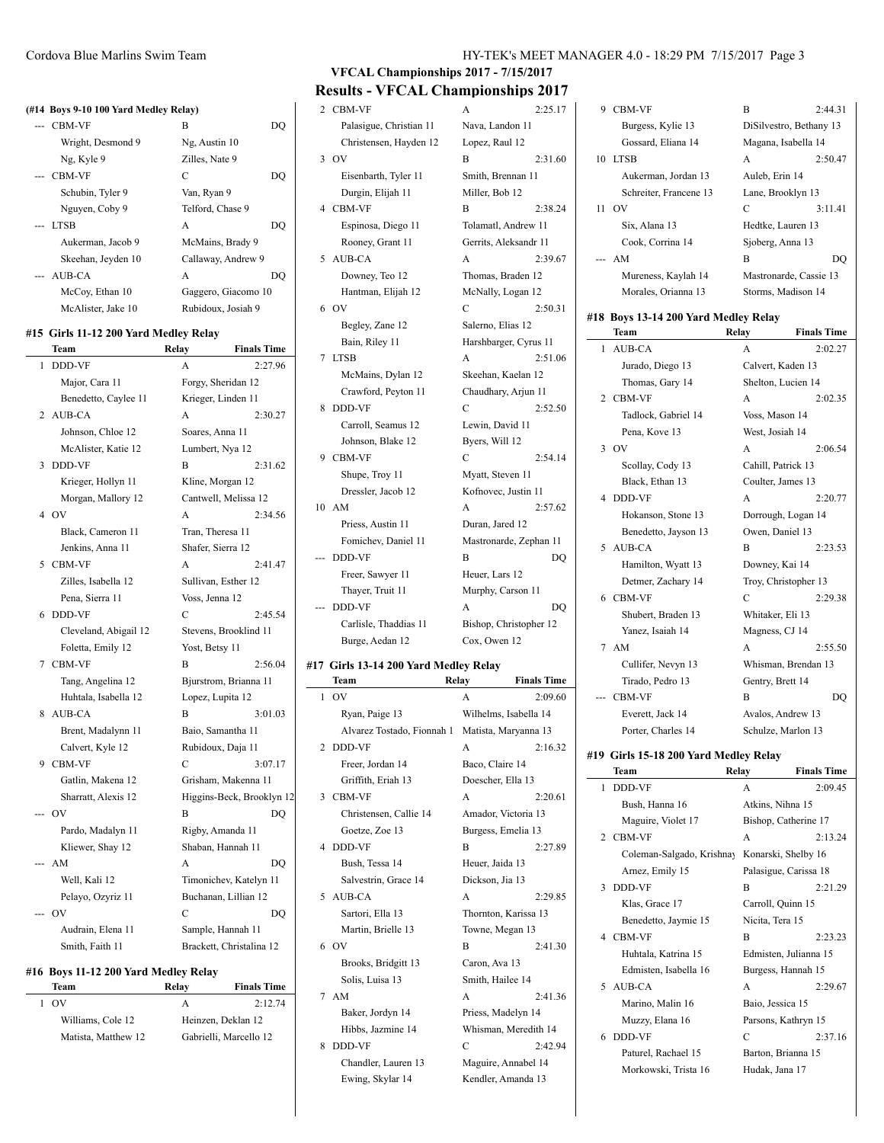#### **(#14 Boys 9-10 100 Yard Medley Relay)**

| CBM-VF             | B                   |
|--------------------|---------------------|
| Wright, Desmond 9  | Ng, Austin 10       |
| Ng, Kyle 9         | Zilles, Nate 9      |
| --- CBM-VF         | C<br>DO             |
| Schubin, Tyler 9   | Van, Ryan 9         |
| Nguyen, Coby 9     | Telford, Chase 9    |
| --- LTSB           | A<br>DO             |
| Aukerman, Jacob 9  | McMains, Brady 9    |
| Skeehan, Jeyden 10 | Callaway, Andrew 9  |
| --- AUB-CA         | A<br>DO             |
| McCoy, Ethan 10    | Gaggero, Giacomo 10 |
| McAlister, Jake 10 | Rubidoux, Josiah 9  |

### **#15 Girls 11-12 200 Yard Medley Relay**

|   | Team                  | Relay               | <b>Finals Time</b>        |
|---|-----------------------|---------------------|---------------------------|
| 1 | <b>DDD-VF</b>         | A                   | 2:27.96                   |
|   | Major, Cara 11        | Forgy, Sheridan 12  |                           |
|   | Benedetto, Caylee 11  | Krieger, Linden 11  |                           |
|   | 2 AUB-CA              | A                   | 2:30.27                   |
|   | Johnson, Chloe 12     | Soares, Anna 11     |                           |
|   | McAlister, Katie 12   | Lumbert, Nya 12     |                           |
| 3 | <b>DDD-VF</b>         | B                   | 2:31.62                   |
|   | Krieger, Hollyn 11    | Kline, Morgan 12    |                           |
|   | Morgan, Mallory 12    |                     | Cantwell, Melissa 12      |
|   | 4 OV                  | A                   | 2:34.56                   |
|   | Black, Cameron 11     | Tran, Theresa 11    |                           |
|   | Jenkins, Anna 11      | Shafer, Sierra 12   |                           |
| 5 | <b>CBM-VF</b>         | A                   | 2:41.47                   |
|   | Zilles, Isabella 12   | Sullivan, Esther 12 |                           |
|   | Pena, Sierra 11       | Voss, Jenna 12      |                           |
| 6 | DDD-VF                | C                   | 2:45.54                   |
|   | Cleveland, Abigail 12 |                     | Stevens, Brooklind 11     |
|   | Foletta, Emily 12     | Yost, Betsy 11      |                           |
| 7 | <b>CBM-VF</b>         | B                   | 2:56.04                   |
|   | Tang, Angelina 12     |                     | Bjurstrom, Brianna 11     |
|   | Huhtala, Isabella 12  | Lopez, Lupita 12    |                           |
| 8 | <b>AUB-CA</b>         | B                   | 3:01.03                   |
|   | Brent, Madalynn 11    | Baio, Samantha 11   |                           |
|   | Calvert, Kyle 12      | Rubidoux, Daja 11   |                           |
| 9 | <b>CBM-VF</b>         | C                   | 3:07.17                   |
|   | Gatlin, Makena 12     |                     | Grisham, Makenna 11       |
|   | Sharratt, Alexis 12   |                     | Higgins-Beck, Brooklyn 12 |
|   | O <sub>V</sub>        | B                   | DO                        |
|   | Pardo, Madalyn 11     | Rigby, Amanda 11    |                           |
|   | Kliewer, Shay 12      | Shaban, Hannah 11   |                           |
|   | AM                    | $\mathbf{A}$        | DO                        |
|   | Well, Kali 12         |                     | Timonichev, Katelyn 11    |
|   | Pelayo, Ozyriz 11     |                     | Buchanan, Lillian 12      |
|   | OV                    | C                   | DO                        |
|   | Audrain, Elena 11     |                     | Sample, Hannah 11         |
|   | Smith, Faith 11       |                     | Brackett, Christalina 12  |
|   |                       |                     |                           |

### **#16 Boys 11-12 200 Yard Medley Relay**

| Team                | Relay | <b>Finals Time</b>     |
|---------------------|-------|------------------------|
| 1. OV               | A     | 2:12.74                |
| Williams, Cole 12   |       | Heinzen, Deklan 12     |
| Matista, Matthew 12 |       | Gabrielli, Marcello 12 |
|                     |       |                        |

# **VFCAL Championships 2017 - 7/15/2017 Results - VFCAL Championships 2017**

| 17 | Girls 13-14 200 Yard Medley Relay |                            |                        |
|----|-----------------------------------|----------------------------|------------------------|
|    | Burge, Aedan 12                   | Cox, Owen 12               |                        |
|    | Carlisle, Thaddias 11             |                            | Bishop, Christopher 12 |
|    | <b>DDD-VF</b>                     | A                          | DO                     |
|    | Thayer, Truit 11                  | Murphy, Carson 11          |                        |
|    | Freer, Sawyer 11                  | Heuer, Lars 12             |                        |
|    | DDD-VF                            | B                          | DQ                     |
|    | Fomichev, Daniel 11               |                            | Mastronarde, Zephan 11 |
|    | Priess, Austin 11                 | Duran, Jared 12            |                        |
| 10 | AM                                | A                          | 2:57.62                |
|    | Dressler, Jacob 12                | Kofnovec, Justin 11        |                        |
|    | Shupe, Troy 11                    | Myatt, Steven 11           |                        |
| 9  | CBM-VF                            | C                          | 2:54.14                |
|    | Johnson, Blake 12                 | Byers, Will 12             |                        |
|    | Carroll, Seamus 12                | Lewin, David 11            |                        |
| 8  | DDD-VF                            | C                          | 2:52.50                |
|    | Crawford, Peyton 11               | Chaudhary, Arjun 11        |                        |
|    | McMains, Dylan 12                 | Skeehan, Kaelan 12         |                        |
| 7  | <b>LTSB</b>                       | A                          | 2:51.06                |
|    | Bain, Riley 11                    | Harshbarger, Cyrus 11      |                        |
|    | Begley, Zane 12                   | Salerno, Elias 12          |                        |
| 6  | OV                                | C                          | 2:50.31                |
|    | Hantman, Elijah 12                | McNally, Logan 12          |                        |
|    | Downey, Teo 12                    | Thomas, Braden 12          |                        |
| 5  | Rooney, Grant 11<br>AUB-CA        | Gerrits, Aleksandr 11<br>A | 2:39.67                |
|    | Espinosa, Diego 11                | Tolamatl, Andrew 11        |                        |
| 4  | CBM-VF                            | B                          | 2:38.24                |
|    | Durgin, Elijah 11                 | Miller, Bob 12             |                        |
|    | Eisenbarth, Tyler 11              | Smith, Brennan 11          |                        |
| 3  | OV                                | B                          | 2:31.60                |
|    | Christensen, Hayden 12            | Lopez, Raul 12             |                        |
|    | Palasigue, Christian 11           | Nava, Landon 11            |                        |
| 2  | CBM-VF                            | A                          | 2:25.17                |
|    |                                   |                            |                        |

# #17 Gir

|    | Team                       | Relay           | <b>Finals Time</b>    |
|----|----------------------------|-----------------|-----------------------|
| 1  | OV                         | A               | 2:09.60               |
|    | Ryan, Paige 13             |                 | Wilhelms, Isabella 14 |
|    | Alvarez Tostado, Fionnah 1 |                 | Matista, Maryanna 13  |
| 2  | <b>DDD-VF</b>              | A               | 2:16.32               |
|    | Freer, Jordan 14           | Baco, Claire 14 |                       |
|    | Griffith, Eriah 13         |                 | Doescher, Ella 13     |
| 3  | <b>CBM-VF</b>              | A               | 2:20.61               |
|    | Christensen, Callie 14     |                 | Amador, Victoria 13   |
|    | Goetze, Zoe 13             |                 | Burgess, Emelia 13    |
| 4  | <b>DDD-VF</b>              | B               | 2:27.89               |
|    | Bush, Tessa 14             | Heuer, Jaida 13 |                       |
|    | Salvestrin, Grace 14       | Dickson, Jia 13 |                       |
| 5  | AUB-CA                     | A               | 2:29.85               |
|    | Sartori, Ella 13           |                 | Thornton, Karissa 13  |
|    | Martin, Brielle 13         |                 | Towne, Megan 13       |
| 6. | O <sub>V</sub>             | B               | 2:41.30               |
|    | Brooks, Bridgitt 13        | Caron, Ava 13   |                       |
|    | Solis, Luisa 13            |                 | Smith, Hailee 14      |
| 7  | AM                         | A               | 2:41.36               |
|    | Baker, Jordyn 14           |                 | Priess, Madelyn 14    |
|    | Hibbs, Jazmine 14          |                 | Whisman, Meredith 14  |
| 8  | DDD-VF                     | C               | 2:42.94               |
|    | Chandler, Lauren 13        |                 | Maguire, Annabel 14   |
|    | Ewing, Skylar 14           |                 | Kendler, Amanda 13    |

| 9  | <b>CBM-VF</b>                        | B                 | 2:44.31                 |
|----|--------------------------------------|-------------------|-------------------------|
|    | Burgess, Kylie 13                    |                   | DiSilvestro, Bethany 13 |
|    | Gossard, Eliana 14                   |                   | Magana, Isabella 14     |
|    | 10 LTSB                              | A                 | 2:50.47                 |
|    | Aukerman, Jordan 13                  | Auleb, Erin 14    |                         |
|    | Schreiter, Francene 13               |                   | Lane, Brooklyn 13       |
|    | 11 OV                                | C                 | 3:11.41                 |
|    | Six, Alana 13                        |                   | Hedtke, Lauren 13       |
|    | Cook, Corrina 14                     | Sjoberg, Anna 13  |                         |
|    | --- AM                               | B                 | DO                      |
|    | Mureness, Kaylah 14                  |                   | Mastronarde, Cassie 13  |
|    | Morales, Orianna 13                  |                   | Storms, Madison 14      |
|    | #18 Boys 13-14 200 Yard Medley Relay |                   |                         |
|    | Team                                 | Relav             | <b>Finals Time</b>      |
| 1. | AUB-CA                               | A                 | 2:02.27                 |
|    | Jurado, Diego 13                     | Calvert, Kaden 13 |                         |
|    | Thomas, Gary 14                      |                   | Shelton. Lucien 14      |

| 1            | <b>AUB-CA</b>        | A                    | 2:02.27 |
|--------------|----------------------|----------------------|---------|
|              | Jurado, Diego 13     | Calvert, Kaden 13    |         |
|              | Thomas, Gary 14      | Shelton, Lucien 14   |         |
|              | 2 CBM-VF             | $\mathsf{A}$         | 2:02.35 |
|              | Tadlock, Gabriel 14  | Voss, Mason 14       |         |
|              | Pena, Kove 13        | West, Josiah 14      |         |
| $\mathbf{3}$ | O <sub>V</sub>       | $\mathsf{A}$         | 2:06.54 |
|              | Scollay, Cody 13     | Cahill, Patrick 13   |         |
|              | Black, Ethan 13      | Coulter, James 13    |         |
| 4            | <b>DDD-VF</b>        | A                    | 2:20.77 |
|              | Hokanson, Stone 13   | Dorrough, Logan 14   |         |
|              | Benedetto, Jayson 13 | Owen, Daniel 13      |         |
|              | 5 AUB-CA             | B                    | 2:23.53 |
|              | Hamilton, Wyatt 13   | Downey, Kai 14       |         |
|              | Detmer, Zachary 14   | Troy, Christopher 13 |         |
|              | 6 CBM-VF             | C                    | 2:29.38 |
|              | Shubert, Braden 13   | Whitaker, Eli 13     |         |
|              | Yanez, Isaiah 14     | Magness, CJ 14       |         |
|              | 7 AM                 | A                    | 2:55.50 |
|              | Cullifer, Nevyn 13   | Whisman, Brendan 13  |         |
|              | Tirado, Pedro 13     | Gentry, Brett 14     |         |
|              | <b>CBM-VF</b>        | B                    | DQ      |
|              | Everett, Jack 14     | Avalos, Andrew 13    |         |
|              | Porter, Charles 14   | Schulze, Marlon 13   |         |

#### **#19 Girls 15-18 200 Yard Medley Relay**

|               | Team                      | Relay            | <b>Finals Time</b>    |
|---------------|---------------------------|------------------|-----------------------|
| 1             | DDD-VF                    | A                | 2:09.45               |
|               | Bush, Hanna 16            | Atkins, Nihna 15 |                       |
|               | Maguire, Violet 17        |                  | Bishop, Catherine 17  |
|               | 2 CBM-VF                  | A                | 2:13.24               |
|               | Coleman-Salgado, Krishnay |                  | Konarski, Shelby 16   |
|               | Arnez, Emily 15           |                  | Palasigue, Carissa 18 |
| $\mathcal{L}$ | <b>DDD-VF</b>             | R                | 2:21.29               |
|               | Klas, Grace 17            |                  | Carroll, Quinn 15     |
|               | Benedetto, Jaymie 15      | Nicita, Tera 15  |                       |
|               | 4 CBM-VF                  | R                | 2:23.23               |
|               | Huhtala, Katrina 15       |                  | Edmisten, Julianna 15 |
|               | Edmisten, Isabella 16     |                  | Burgess, Hannah 15    |
|               | 5 AUB-CA                  | A                | 2:29.67               |
|               | Marino, Malin 16          | Baio, Jessica 15 |                       |
|               | Muzzy, Elana 16           |                  | Parsons, Kathryn 15   |
| 6             | DDD-VF                    | C                | 2:37.16               |
|               | Paturel, Rachael 15       |                  | Barton, Brianna 15    |
|               | Morkowski, Trista 16      | Hudak, Jana 17   |                       |
|               |                           |                  |                       |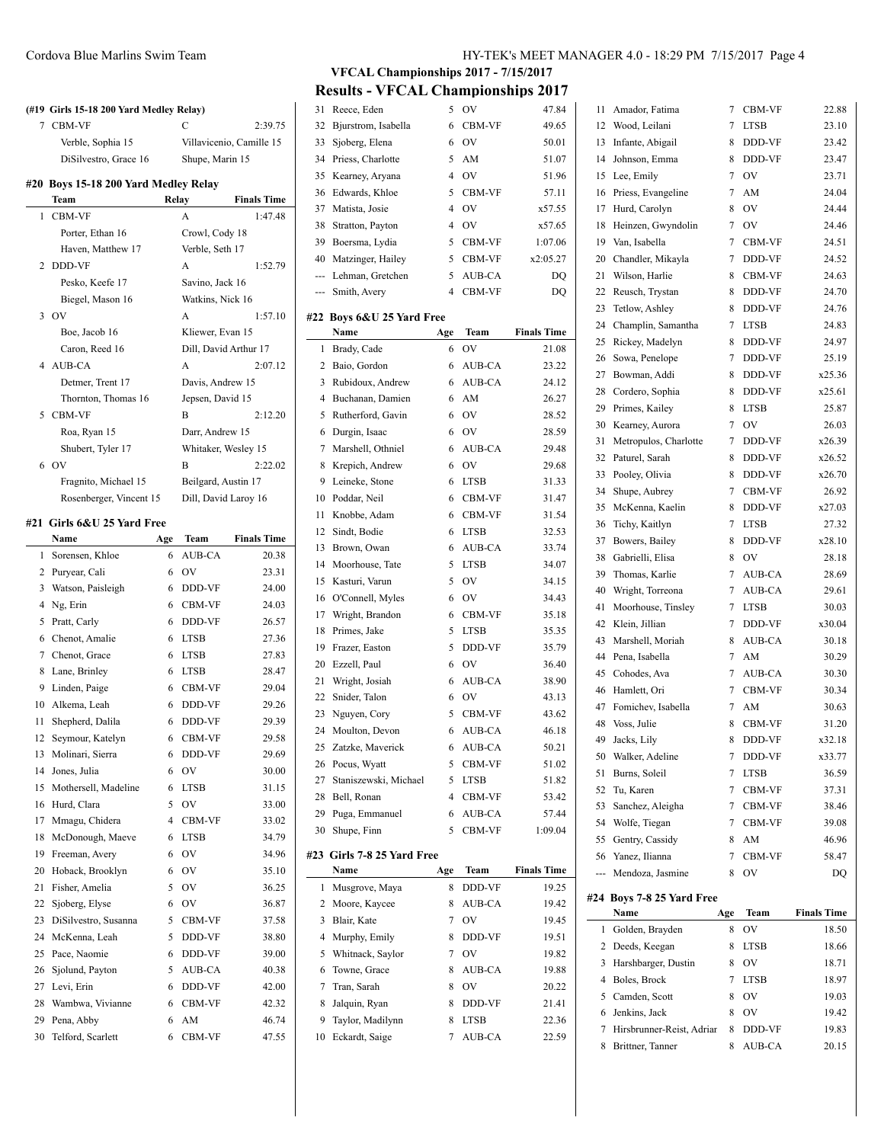|          | (#19 Girls 15-18 200 Yard Medley Relay) |        |                       |                          |
|----------|-----------------------------------------|--------|-----------------------|--------------------------|
| 7        | <b>CBM-VF</b>                           |        | C                     | 2:39.75                  |
|          | Verble, Sophia 15                       |        |                       | Villavicenio, Camille 15 |
|          | DiSilvestro, Grace 16                   |        | Shupe, Marin 15       |                          |
|          | #20 Boys 15-18 200 Yard Medley Relay    |        |                       |                          |
|          | Team                                    |        | Relay                 | <b>Finals Time</b>       |
| 1        | CBM-VF                                  |        | A                     | 1:47.48                  |
|          | Porter, Ethan 16                        |        | Crowl, Cody 18        |                          |
|          | Haven, Matthew 17                       |        | Verble, Seth 17       |                          |
| 2        | DDD-VF                                  |        | A                     | 1:52.79                  |
|          | Pesko, Keefe 17                         |        | Savino, Jack 16       |                          |
|          | Biegel, Mason 16                        |        | Watkins, Nick 16      |                          |
| 3        | <b>OV</b>                               |        | A                     | 1:57.10                  |
|          | Boe, Jacob 16                           |        | Kliewer, Evan 15      |                          |
|          | Caron, Reed 16                          |        | Dill, David Arthur 17 |                          |
| 4        | AUB-CA                                  |        | A                     | 2:07.12                  |
|          | Detmer, Trent 17                        |        | Davis, Andrew 15      |                          |
|          | Thornton, Thomas 16                     |        | Jepsen, David 15      |                          |
| 5        | <b>CBM-VF</b>                           |        | B                     | 2:12.20                  |
|          | Roa, Ryan 15                            |        | Darr, Andrew 15       |                          |
|          | Shubert, Tyler 17                       |        | Whitaker, Wesley 15   |                          |
| 6        | <b>OV</b>                               |        | В                     | 2:22.02                  |
|          | Fragnito, Michael 15                    |        | Beilgard, Austin 17   |                          |
|          | Rosenberger, Vincent 15                 |        | Dill, David Laroy 16  |                          |
|          |                                         |        |                       |                          |
|          | #21 Girls 6&U 25 Yard Free              |        |                       |                          |
|          | Name                                    | Age    | Team                  | <b>Finals Time</b>       |
| 1        | Sorensen, Khloe                         | 6      | AUB-CA                | 20.38                    |
| 2        | Puryear, Cali                           | 6      | OV                    | 23.31                    |
| 3        | Watson, Paisleigh                       | 6      | DDD-VF                | 24.00                    |
| 4        | Ng, Erin                                | 6      | <b>CBM-VF</b>         | 24.03                    |
| 5        | Pratt, Carly                            | 6      | DDD-VF                | 26.57                    |
| 6        | Chenot, Amalie                          | 6      | LTSB                  | 27.36                    |
| 7        | Chenot, Grace                           | 6      | LTSB                  | 27.83                    |
| 8        | Lane, Brinley                           | 6      | <b>LTSB</b>           | 28.47                    |
| 9        | Linden, Paige                           | 6      | CBM-VF                | 29.04                    |
| 10       | Alkema, Leah                            | 6      | DDD-VF                | 29.26                    |
| 11       | Shepherd, Dalila                        | 6      | <b>DDD-VF</b>         | 29.39                    |
| 12       | Seymour, Katelyn                        | 6      | CBM-VF                | 29.58                    |
| 13       | Molinari, Sierra                        | 6      | DDD-VF                | 29.69                    |
| 14       | Jones, Julia                            | 6      | OV                    | 30.00                    |
| 15       | Mothersell, Madeline                    | 6      | <b>LTSB</b>           | 31.15                    |
| 16       | Hurd, Clara                             | 5      | OV                    | 33.00                    |
| 17       | Mmagu, Chidera                          | 4      | CBM-VF                | 33.02                    |
| 18       | McDonough, Maeve                        | 6      | <b>LTSB</b>           | 34.79                    |
| 19       | Freeman, Avery                          | 6      | <b>OV</b>             | 34.96                    |
| 20       | Hoback, Brooklyn                        | 6      | OV                    | 35.10                    |
| 21       | Fisher, Amelia                          | 5      | OV                    | 36.25                    |
|          | Sjoberg, Elyse                          | 6      | OV                    | 36.87                    |
| 22       |                                         |        | CBM-VF                | 37.58                    |
| 23       | DiSilvestro, Susanna                    | 5      |                       |                          |
| 24       |                                         | 5      |                       |                          |
|          | McKenna, Leah                           |        | DDD-VF                | 38.80                    |
| 25       | Pace, Naomie                            | 6      | DDD-VF                | 39.00                    |
| 26       | Sjolund, Payton                         | 5      | AUB-CA                | 40.38                    |
| 27       | Levi, Erin                              | 6      | DDD-VF                | 42.00                    |
| 28       | Wambwa, Vivianne                        | 6      | CBM-VF                | 42.32                    |
| 29<br>30 | Pena, Abby<br>Telford, Scarlett         | 6<br>6 | AM<br>CBM-VF          | 46.74<br>47.55           |

**VFCAL Championships 2017 - 7/15/2017 Results - VFCAL Championships 2017**

| 31  | Reece, Eden            | 5   | OV            | 47.84              |
|-----|------------------------|-----|---------------|--------------------|
| 32  | Bjurstrom, Isabella    | 6   | CBM-VF        | 49.65              |
| 33  | Sjoberg, Elena         | 6   | OV            | 50.01              |
| 34  | Priess, Charlotte      | 5   | AM            | 51.07              |
| 35  | Kearney, Aryana        | 4   | OV            | 51.96              |
| 36  | Edwards, Khloe         | 5   | CBM-VF        | 57.11              |
| 37  | Matista, Josie         | 4   | OV            | x57.55             |
| 38  | Stratton, Payton       | 4   | OV            | x57.65             |
| 39  | Boersma, Lydia         | 5   | CBM-VF        | 1:07.06            |
| 40  | Matzinger, Hailey      | 5   | CBM-VF        | x2:05.27           |
| --- | Lehman, Gretchen       | 5   | AUB-CA        | DQ                 |
| --- |                        | 4   | CBM-VF        |                    |
|     | Smith, Avery           |     |               | DQ                 |
| #22 | Boys 6&U 25 Yard Free  |     |               |                    |
|     | Name                   | Age | Team          | <b>Finals Time</b> |
| 1   | Brady, Cade            | 6   | OV            | 21.08              |
| 2   | Baio, Gordon           | 6   | AUB-CA        | 23.22              |
| 3   | Rubidoux, Andrew       | 6   | AUB-CA        | 24.12              |
| 4   | Buchanan, Damien       | 6   | AM            | 26.27              |
| 5   | Rutherford, Gavin      | 6   | OV            | 28.52              |
| 6   | Durgin, Isaac          | 6   | OV            | 28.59              |
| 7   | Marshell, Othniel      | 6   | AUB-CA        | 29.48              |
| 8   | Krepich, Andrew        | 6   | OV            | 29.68              |
| 9   | Leineke, Stone         | 6   | <b>LTSB</b>   | 31.33              |
| 10  | Poddar, Neil           | 6   | CBM-VF        | 31.47              |
| 11  | Knobbe, Adam           | 6   | <b>CBM-VF</b> | 31.54              |
| 12  | Sindt, Bodie           | 6   | <b>LTSB</b>   | 32.53              |
| 13  | Brown, Owan            | 6   | AUB-CA        | 33.74              |
| 14  | Moorhouse, Tate        | 5   | <b>LTSB</b>   | 34.07              |
| 15  | Kasturi, Varun         | 5   | OV            | 34.15              |
| 16  |                        | 6   | OV            |                    |
|     | O'Connell, Myles       |     |               | 34.43              |
| 17  | Wright, Brandon        | 6   | <b>CBM-VF</b> | 35.18              |
| 18  | Primes, Jake           | 5   | <b>LTSB</b>   | 35.35              |
| 19  | Frazer, Easton         | 5   | DDD-VF        | 35.79              |
| 20  | Ezzell, Paul           | 6   | OV            | 36.40              |
| 21  | Wright, Josiah         | 6   | AUB-CA        | 38.90              |
| 22  | Snider, Talon          | 6   | OV            | 43.13              |
| 23  | Nguyen, Cory           | 5   | CBM-VF        | 43.62              |
| 24  | Moulton, Devon         | 6   | AUB-CA        | 46.18              |
| 25  | Zatzke, Maverick       | 6   | AUB-CA        | 50.21              |
| 26  | Pocus, Wyatt           | 5   | CBM-VF        | 51.02              |
| 27  | Staniszewski, Michael  | 5   | <b>LTSB</b>   | 51.82              |
| 28  | Bell, Ronan            | 4   | CBM-VF        | 53.42              |
| 29  | Puga, Emmanuel         | 6   | AUB-CA        | 57.44              |
| 30  | Shupe, Finn            | 5   | CBM-VF        | 1:09.04            |
| #23 | Girls 7-8 25 Yard Free |     |               |                    |
|     | Name                   | Age | Team          | <b>Finals Time</b> |
| 1   | Musgrove, Maya         | 8   | DDD-VF        | 19.25              |
| 2   | Moore, Kaycee          | 8   | AUB-CA        | 19.42              |
| 3   | Blair, Kate            | 7   | OV            | 19.45              |
| 4   | Murphy, Emily          | 8   | DDD-VF        | 19.51              |
| 5   | Whitnack, Saylor       | 7   | OV            | 19.82              |
| 6   | Towne, Grace           | 8   |               |                    |
|     |                        |     | AUB-CA        | 19.88              |
| 7   | Tran, Sarah            | 8   | OV            | 20.22              |
| 8   | Jalquin, Ryan          | 8   | DDD-VF        | 21.41              |
| 9   | Taylor, Madilynn       | 8   | LTSB          | 22.36              |
| 10  | Eckardt, Saige         | 7   | AUB-CA        | 22.59              |

 $\overline{a}$ 

 $\overline{\phantom{a}}$ 

| 11  | Amador, Fatima            | 7   | CBM-VF      | 22.88              |
|-----|---------------------------|-----|-------------|--------------------|
| 12  | Wood, Leilani             | 7   | LTSB        | 23.10              |
| 13  | Infante, Abigail          | 8   | DDD-VF      | 23.42              |
| 14  | Johnson, Emma             | 8   | DDD-VF      | 23.47              |
| 15  | Lee, Emily                | 7   | OV          | 23.71              |
| 16  | Priess, Evangeline        | 7   | AM          | 24.04              |
| 17  | Hurd, Carolyn             | 8   | OV          | 24.44              |
| 18  | Heinzen, Gwyndolin        | 7   | OV          | 24.46              |
| 19  | Van, Isabella             | 7   | CBM-VF      | 24.51              |
|     | 20 Chandler, Mikayla      | 7   | DDD-VF      | 24.52              |
| 21  | Wilson, Harlie            | 8   | CBM-VF      | 24.63              |
| 22  | Reusch, Trystan           | 8   | DDD-VF      | 24.70              |
| 23  | Tetlow, Ashley            | 8   | DDD-VF      | 24.76              |
| 24  | Champlin, Samantha        | 7   | <b>LTSB</b> | 24.83              |
| 25  | Rickey, Madelyn           | 8   | DDD-VF      | 24.97              |
| 26  | Sowa, Penelope            | 7   | DDD-VF      | 25.19              |
| 27  | Bowman, Addi              | 8   | DDD-VF      | x25.36             |
| 28  | Cordero, Sophia           | 8   | DDD-VF      | x25.61             |
| 29  | Primes, Kailey            | 8   | <b>LTSB</b> | 25.87              |
| 30  | Kearney, Aurora           | 7   | OV          | 26.03              |
| 31  | Metropulos, Charlotte     | 7   | DDD-VF      | x26.39             |
| 32  | Paturel, Sarah            | 8   | DDD-VF      | x26.52             |
| 33  | Pooley, Olivia            | 8   | DDD-VF      | x26.70             |
| 34  | Shupe, Aubrey             | 7   | CBM-VF      | 26.92              |
| 35  | McKenna, Kaelin           | 8   | DDD-VF      | x27.03             |
| 36  | Tichy, Kaitlyn            | 7   | <b>LTSB</b> | 27.32              |
| 37  | Bowers, Bailey            | 8   | DDD-VF      | x28.10             |
| 38  | Gabrielli, Elisa          | 8   | OV          | 28.18              |
| 39  | Thomas, Karlie            | 7   | AUB-CA      | 28.69              |
| 40  | Wright, Torreona          | 7   | AUB-CA      | 29.61              |
| 41  | Moorhouse, Tinsley        | 7   | <b>LTSB</b> | 30.03              |
| 42  | Klein, Jillian            | 7   | DDD-VF      | x30.04             |
| 43  | Marshell, Moriah          | 8   | AUB-CA      | 30.18              |
| 44  | Pena, Isabella            | 7   | AM          | 30.29              |
| 45  | Cohodes, Ava              | 7   | AUB-CA      | 30.30              |
| 46  | Hamlett, Ori              | 7   | CBM-VF      | 30.34              |
| 47  | Fomichev, Isabella        | 7   | AM          | 30.63              |
| 48  | Voss, Julie               | 8   | CBM-VF      | 31.20              |
| 49  | Jacks, Lily               | 8   | DDD-VF      | x32.18             |
| 50  | Walker, Adeline           | 7   | DDD-VF      | x33.77             |
| 51  | Burns, Soleil             | 7   | LTSB        | 36.59              |
| 52  | Tu, Karen                 | 7   | CBM-VF      | 37.31              |
| 53  | Sanchez, Aleigha          | 7   | CBM-VF      | 38.46              |
| 54  | Wolfe, Tiegan             | 7   | CBM-VF      | 39.08              |
| 55  | Gentry, Cassidy           | 8   | AM          | 46.96              |
| 56  | Yanez, Ilianna            | 7   | CBM-VF      | 58.47              |
| --- | Mendoza, Jasmine          | 8   | OV          | DO                 |
|     | #24 Boys 7-8 25 Yard Free |     |             |                    |
|     | Name                      | Age | Team        | <b>Finals Time</b> |
| 1   | Golden, Brayden           | 8   | OV          | 18.50              |
| 2   |                           |     |             |                    |
|     | Deeds, Keegan             | 8   | LTSB        | 18.66              |
| 3   | Harshbarger, Dustin       | 8   | OV          | 18.71              |
| 4   | Boles, Brock              | 7   | <b>LTSB</b> | 18.97              |
| 5   | Camden, Scott             | 8   | OV          | 19.03              |
| 6   | Jenkins, Jack             | 8   | OV          | 19.42              |
| 7   | Hirsbrunner-Reist, Adriar | 8   | DDD-VF      | 19.83              |
| 8   | Brittner, Tanner          | 8   | AUB-CA      | 20.15              |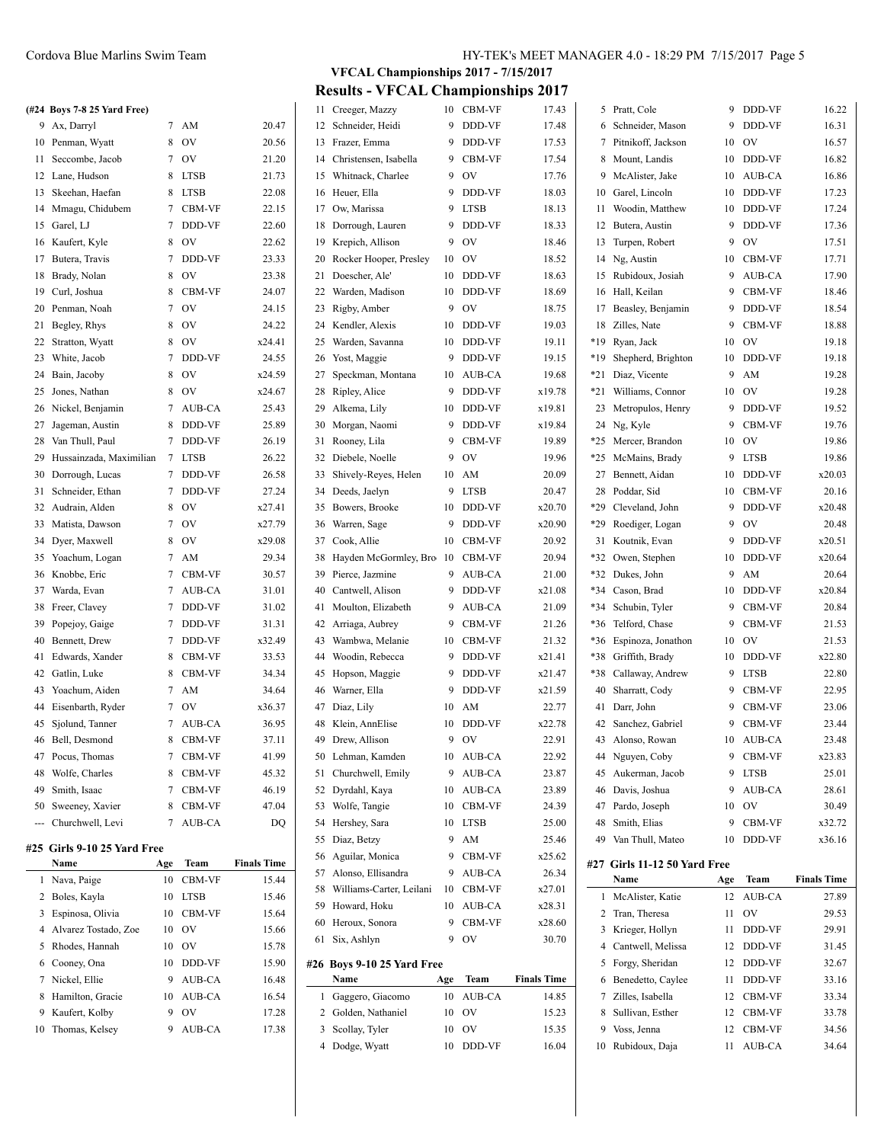#### **(#24 Boys 7-8 25 Yard Free)**

| 9  | Ax, Darryl                  | 7              | AM            | 20.47  |
|----|-----------------------------|----------------|---------------|--------|
| 10 | Penman, Wyatt               | 8              | OV            | 20.56  |
| 11 | Seccombe, Jacob             | $\overline{7}$ | OV            | 21.20  |
| 12 | Lane, Hudson                | 8              | <b>LTSB</b>   | 21.73  |
| 13 | Skeehan, Haefan             | 8              | <b>LTSB</b>   | 22.08  |
| 14 | Mmagu, Chidubem             | $\overline{7}$ | <b>CBM-VF</b> | 22.15  |
| 15 | Garel, LJ                   | $\overline{7}$ | DDD-VF        | 22.60  |
| 16 | Kaufert, Kyle               | 8              | <b>OV</b>     | 22.62  |
| 17 | Butera, Travis              | $\overline{7}$ | DDD-VF        | 23.33  |
| 18 | Brady, Nolan                | 8              | OV            | 23.38  |
| 19 | Curl, Joshua                | 8              | CBM-VF        | 24.07  |
| 20 | Penman, Noah                | $\overline{7}$ | OV            | 24.15  |
| 21 | Begley, Rhys                | 8              | OV            | 24.22  |
| 22 | Stratton, Wyatt             | 8              | OV            | x24.41 |
| 23 | White, Jacob                | 7              | DDD-VF        | 24.55  |
| 24 | Bain, Jacoby                | 8              | OV            | x24.59 |
| 25 | Jones, Nathan               | 8              | OV            | x24.67 |
| 26 | Nickel, Benjamin            | $\overline{7}$ | AUB-CA        | 25.43  |
| 27 | Jageman, Austin             | 8              | DDD-VF        | 25.89  |
| 28 | Van Thull, Paul             | $\overline{7}$ | DDD-VF        | 26.19  |
| 29 | Hussainzada, Maximilian     | 7              | <b>LTSB</b>   | 26.22  |
| 30 | Dorrough, Lucas             | $\overline{7}$ | DDD-VF        | 26.58  |
| 31 | Schneider, Ethan            | $\tau$         | DDD-VF        | 27.24  |
| 32 | Audrain, Alden              | 8              | OV            | x27.41 |
| 33 | Matista, Dawson             | $\overline{7}$ | OV            | x27.79 |
| 34 | Dyer, Maxwell               | 8              | OV            | x29.08 |
| 35 | Yoachum, Logan              | 7              | AM            | 29.34  |
| 36 | Knobbe, Eric                | $\overline{7}$ | CBM-VF        | 30.57  |
| 37 | Warda, Evan                 | $\tau$         | AUB-CA        | 31.01  |
| 38 | Freer, Clavey               | $\overline{7}$ | DDD-VF        | 31.02  |
| 39 | Popejoy, Gaige              | $\overline{7}$ | DDD-VF        | 31.31  |
| 40 | Bennett, Drew               | $\tau$         | DDD-VF        | x32.49 |
| 41 | Edwards, Xander             | 8              | CBM-VF        | 33.53  |
| 42 | Gatlin, Luke                | 8              | CBM-VF        | 34.34  |
| 43 | Yoachum, Aiden              | $\overline{7}$ | AM            | 34.64  |
| 44 | Eisenbarth, Ryder           | 7              | OV            | x36.37 |
| 45 | Sjolund, Tanner             | $\overline{7}$ | AUB-CA        | 36.95  |
| 46 | Bell, Desmond               | 8              | CBM-VF        | 37.11  |
| 47 | Pocus, Thomas               | $\tau$         | CBM-VF        | 41.99  |
| 48 | Wolfe, Charles              | 8              | CBM-VF        | 45.32  |
| 49 | Smith, Isaac                | $\overline{7}$ | CBM-VF        | 46.19  |
| 50 | Sweeney, Xavier             | 8              | CBM-VF        | 47.04  |
|    | --- Churchwell, Levi        | $\overline{7}$ | AUB-CA        | DQ     |
|    |                             |                |               |        |
|    | #25 Girls 9-10 25 Yard Free |                |               |        |

|   | Name                   | Age | Team           | <b>Finals Time</b> |
|---|------------------------|-----|----------------|--------------------|
|   | 1 Nava, Paige          | 10  | <b>CBM-VF</b>  | 15.44              |
|   | 2 Boles, Kayla         | 10  | <b>LTSB</b>    | 15.46              |
| 3 | Espinosa, Olivia       | 10  | <b>CBM-VF</b>  | 15.64              |
|   | 4 Alvarez Tostado, Zoe | 10  | O <sub>V</sub> | 15.66              |
|   | 5 Rhodes, Hannah       | 10  | O <sub>V</sub> | 15.78              |
|   | 6 Cooney, Ona          | 10  | <b>DDD-VF</b>  | 15.90              |
|   | 7 Nickel, Ellie        | 9   | AUB-CA         | 16.48              |
| 8 | Hamilton, Gracie       | 10  | AUB-CA         | 16.54              |
| 9 | Kaufert, Kolby         | 9   | O <sub>V</sub> | 17.28              |
|   | 10 Thomas, Kelsey      | 9   | <b>AUB-CA</b>  | 17.38              |

**VFCAL Championships 2017 - 7/15/2017 Results - VFCAL Championships 2017**

| 11 | Creeger, Mazzy             | 10  | CBM-VF      | 17.43              |     | 5 Pratt, Cole                | 9   | DDD-VF        | 16.22              |
|----|----------------------------|-----|-------------|--------------------|-----|------------------------------|-----|---------------|--------------------|
| 12 | Schneider, Heidi           | 9   | DDD-VF      | 17.48              | 6   | Schneider, Mason             | 9   | DDD-VF        | 16.31              |
| 13 | Frazer, Emma               | 9   | DDD-VF      | 17.53              |     | 7 Pitnikoff, Jackson         | 10  | OV            | 16.57              |
| 14 | Christensen, Isabella      | 9   | CBM-VF      | 17.54              | 8   | Mount, Landis                | 10  | DDD-VF        | 16.82              |
| 15 | Whitnack, Charlee          | 9   | OV          | 17.76              | 9   | McAlister, Jake              | 10  | AUB-CA        | 16.86              |
| 16 | Heuer, Ella                | 9   | DDD-VF      | 18.03              | 10  | Garel, Lincoln               | 10  | DDD-VF        | 17.23              |
| 17 | Ow, Marissa                | 9   | <b>LTSB</b> | 18.13              | 11  | Woodin, Matthew              | 10  | DDD-VF        | 17.24              |
| 18 | Dorrough, Lauren           | 9   | DDD-VF      | 18.33              | 12  | Butera, Austin               | 9   | DDD-VF        | 17.36              |
| 19 | Krepich, Allison           | 9   | OV          | 18.46              | 13  | Turpen, Robert               | 9   | OV            | 17.51              |
| 20 | Rocker Hooper, Presley     | 10  | OV          | 18.52              | 14  | Ng, Austin                   | 10  | CBM-VF        | 17.71              |
| 21 | Doescher, Ale'             | 10  | DDD-VF      | 18.63              | 15  | Rubidoux, Josiah             | 9   | AUB-CA        | 17.90              |
| 22 | Warden, Madison            | 10  | DDD-VF      | 18.69              |     | 16 Hall, Keilan              | 9   | CBM-VF        | 18.46              |
| 23 | Rigby, Amber               | 9   | OV          | 18.75              | 17  | Beasley, Benjamin            | 9   | DDD-VF        | 18.54              |
| 24 | Kendler, Alexis            | 10  | DDD-VF      | 19.03              | 18  | Zilles, Nate                 | 9   | CBM-VF        | 18.88              |
| 25 | Warden, Savanna            | 10  | DDD-VF      | 19.11              | *19 | Ryan, Jack                   | 10  | OV            | 19.18              |
| 26 | Yost, Maggie               | 9   | DDD-VF      | 19.15              | *19 | Shepherd, Brighton           | 10  | DDD-VF        | 19.18              |
| 27 | Speckman, Montana          | 10  | AUB-CA      | 19.68              | *21 | Diaz, Vicente                | 9   | AM            | 19.28              |
| 28 | Ripley, Alice              | 9   | DDD-VF      | x19.78             | *21 | Williams, Connor             | 10  | OV            | 19.28              |
| 29 | Alkema, Lily               | 10  | DDD-VF      | x19.81             | 23  | Metropulos, Henry            | 9   | DDD-VF        | 19.52              |
| 30 | Morgan, Naomi              | 9   | DDD-VF      | x19.84             |     | 24 Ng, Kyle                  | 9   | CBM-VF        | 19.76              |
| 31 | Rooney, Lila               | 9   | CBM-VF      | 19.89              | *25 | Mercer, Brandon              | 10  | OV            | 19.86              |
| 32 | Diebele, Noelle            | 9   | OV          | 19.96              | *25 | McMains, Brady               | 9   | <b>LTSB</b>   | 19.86              |
| 33 | Shively-Reyes, Helen       | 10  | AM          | 20.09              | 27  | Bennett, Aidan               | 10  | DDD-VF        | x20.03             |
| 34 | Deeds, Jaelyn              | 9   | <b>LTSB</b> | 20.47              | 28  | Poddar, Sid                  | 10  | CBM-VF        | 20.16              |
| 35 | Bowers, Brooke             | 10  | DDD-VF      | x20.70             | *29 | Cleveland, John              | 9   | DDD-VF        | x20.48             |
| 36 | Warren, Sage               | 9   | DDD-VF      | x20.90             | *29 | Roediger, Logan              | 9   | OV            | 20.48              |
| 37 | Cook, Allie                | 10  | CBM-VF      | 20.92              |     | 31 Koutnik, Evan             | 9   | DDD-VF        | x20.51             |
| 38 | Hayden McGormley, Bro 10   |     | CBM-VF      | 20.94              |     | *32 Owen, Stephen            | 10  | DDD-VF        | x20.64             |
| 39 | Pierce, Jazmine            | 9   | AUB-CA      | 21.00              |     | *32 Dukes, John              | 9   | AM            | 20.64              |
| 40 | Cantwell, Alison           | 9   | DDD-VF      | x21.08             |     | *34 Cason, Brad              | 10  | DDD-VF        | x20.84             |
| 41 | Moulton, Elizabeth         | 9   | AUB-CA      | 21.09              | *34 | Schubin, Tyler               | 9   | CBM-VF        | 20.84              |
| 42 | Arriaga, Aubrey            | 9   | CBM-VF      | 21.26              | *36 | Telford, Chase               | 9   | CBM-VF        | 21.53              |
| 43 | Wambwa, Melanie            | 10  | CBM-VF      | 21.32              |     | *36 Espinoza, Jonathon       | 10  | OV            | 21.53              |
| 44 | Woodin, Rebecca            | 9   | DDD-VF      | x21.41             | *38 | Griffith, Brady              | 10  | DDD-VF        | x22.80             |
| 45 | Hopson, Maggie             | 9   | DDD-VF      | x21.47             | *38 | Callaway, Andrew             | 9   | <b>LTSB</b>   | 22.80              |
| 46 | Warner, Ella               | 9   | DDD-VF      | x21.59             | 40  | Sharratt, Cody               | 9   | CBM-VF        | 22.95              |
| 47 | Diaz, Lily                 | 10  | AM          | 22.77              | 41  | Darr, John                   | 9   | CBM-VF        | 23.06              |
| 48 | Klein, AnnElise            | 10  | DDD-VF      | x22.78             | 42  | Sanchez, Gabriel             | 9   | <b>CBM-VF</b> | 23.44              |
| 49 | Drew, Allison              | 9   | OV          | 22.91              | 43  | Alonso, Rowan                | 10  | AUB-CA        | 23.48              |
|    | 50 Lehman, Kamden          | 10  | AUB-CA      | 22.92              |     | 44 Nguyen, Coby              | 9   | CBM-VF        | x23.83             |
| 51 | Churchwell, Emily          | 9   | AUB-CA      | 23.87              | 45  | Aukerman, Jacob              | 9   | <b>LTSB</b>   | 25.01              |
|    | 52 Dyrdahl, Kaya           | 10  | AUB-CA      | 23.89              |     | 46 Davis, Joshua             | 9   | AUB-CA        | 28.61              |
| 53 | Wolfe, Tangie              | 10  | CBM-VF      | 24.39              | 47  | Pardo, Joseph                | 10  | OV            | 30.49              |
| 54 | Hershey, Sara              | 10  | <b>LTSB</b> | 25.00              | 48  | Smith, Elias                 | 9   | CBM-VF        | x32.72             |
| 55 | Diaz, Betzy                | 9   | AM          | 25.46              | 49  | Van Thull, Mateo             | 10  | DDD-VF        | x36.16             |
| 56 | Aguilar, Monica            | 9   | CBM-VF      | x25.62             |     |                              |     |               |                    |
| 57 | Alonso, Ellisandra         | 9   | AUB-CA      | 26.34              |     | #27 Girls 11-12 50 Yard Free |     |               |                    |
| 58 | Williams-Carter, Leilani   | 10  | CBM-VF      | x27.01             |     | Name                         | Age | Team          | <b>Finals Time</b> |
| 59 | Howard, Hoku               | 10  | AUB-CA      | x28.31             |     | 1 McAlister, Katie           | 12  | AUB-CA        | 27.89              |
| 60 | Heroux, Sonora             | 9   | CBM-VF      | x28.60             |     | 2 Tran, Theresa              | 11  | OV            | 29.53              |
| 61 | Six, Ashlyn                | 9   | <b>OV</b>   | 30.70              | 3   | Krieger, Hollyn              | 11  | DDD-VF        | 29.91              |
|    |                            |     |             |                    | 4   | Cantwell, Melissa            | 12  | DDD-VF        | 31.45              |
|    | #26 Boys 9-10 25 Yard Free |     |             |                    |     | 5 Forgy, Sheridan            | 12  | DDD-VF        | 32.67              |
|    | Name                       | Age | Team        | <b>Finals Time</b> | 6   | Benedetto, Caylee            | 11  | DDD-VF        | 33.16              |
|    | 1 Gaggero, Giacomo         | 10  | AUB-CA      | 14.85              | 7   | Zilles, Isabella             | 12  | CBM-VF        | 33.34              |
| 2  | Golden, Nathaniel          | 10  | OV          | 15.23              | 8   | Sullivan, Esther             | 12  | CBM-VF        | 33.78              |
| 3  | Scollay, Tyler             | 10  | OV          | 15.35              | 9   | Voss, Jenna                  | 12  | CBM-VF        | 34.56              |
| 4  | Dodge, Wyatt               | 10  | DDD-VF      | 16.04              | 10  | Rubidoux, Daja               | 11  | AUB-CA        | 34.64              |
|    |                            |     |             |                    |     |                              |     |               |                    |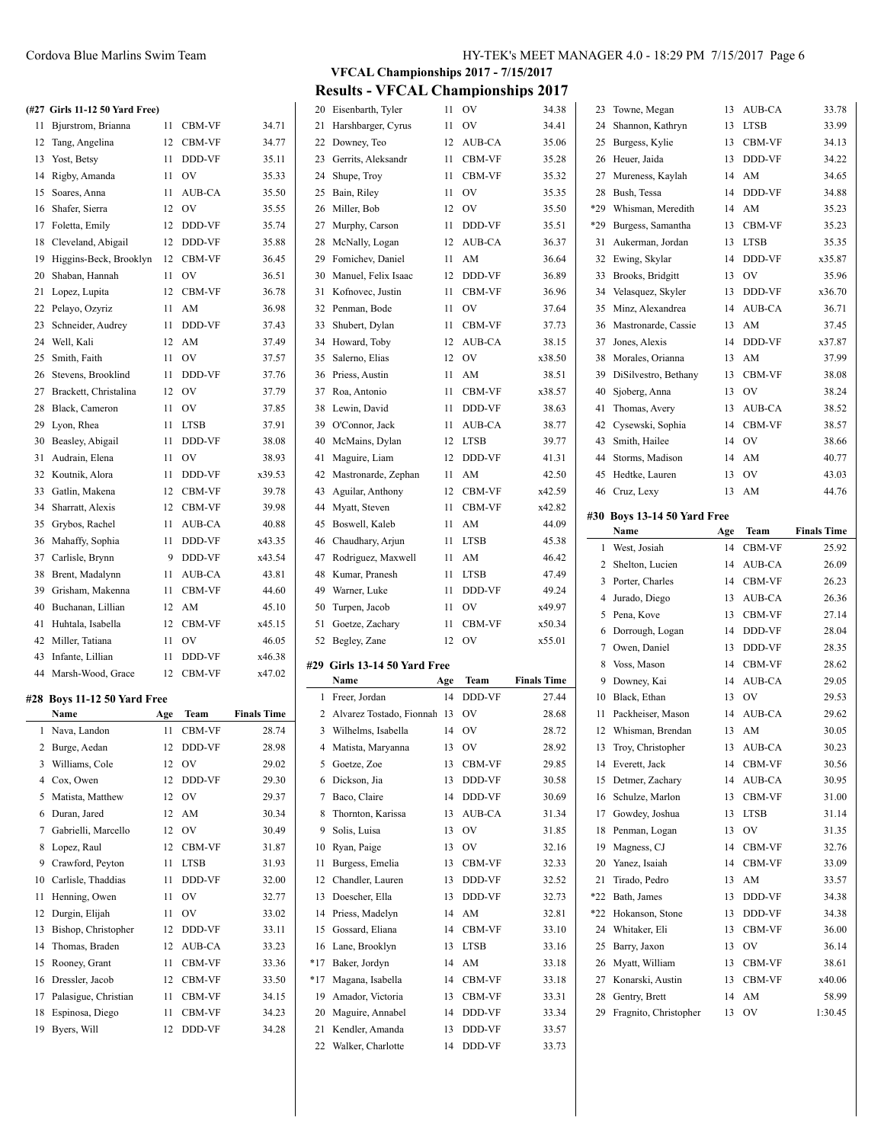#### **(#27 Girls 11-12 50 Yard Free)**

| 11 | Bjurstrom, Brianna          | 11  | CBM-VF      | 34.71              |
|----|-----------------------------|-----|-------------|--------------------|
| 12 | Tang, Angelina              | 12  | CBM-VF      | 34.77              |
| 13 | Yost, Betsy                 | 11  | DDD-VF      | 35.11              |
| 14 | Rigby, Amanda               | 11  | OV          | 35.33              |
| 15 | Soares, Anna                | 11  | AUB-CA      | 35.50              |
| 16 | Shafer, Sierra              | 12  | <b>OV</b>   | 35.55              |
| 17 | Foletta, Emily              | 12  | DDD-VF      | 35.74              |
| 18 | Cleveland, Abigail          | 12  | DDD-VF      | 35.88              |
| 19 | Higgins-Beck, Brooklyn      | 12  | CBM-VF      | 36.45              |
| 20 | Shaban, Hannah              | 11  | OV          | 36.51              |
| 21 | Lopez, Lupita               | 12  | CBM-VF      | 36.78              |
| 22 | Pelayo, Ozyriz              | 11  | AM          | 36.98              |
| 23 | Schneider, Audrey           | 11  | DDD-VF      | 37.43              |
| 24 | Well, Kali                  | 12  | AM          | 37.49              |
| 25 | Smith, Faith                | 11  | OV          | 37.57              |
| 26 | Stevens, Brooklind          | 11  | DDD-VF      | 37.76              |
| 27 | Brackett, Christalina       | 12  | OV          | 37.79              |
| 28 | Black, Cameron              | 11  | OV          | 37.85              |
| 29 | Lyon, Rhea                  | 11  | <b>LTSB</b> | 37.91              |
| 30 | Beasley, Abigail            | 11  | DDD-VF      | 38.08              |
| 31 | Audrain, Elena              | 11  | OV          | 38.93              |
| 32 | Koutnik, Alora              | 11  | DDD-VF      | x39.53             |
| 33 | Gatlin, Makena              | 12  | CBM-VF      | 39.78              |
| 34 | Sharratt, Alexis            | 12  | CBM-VF      | 39.98              |
| 35 | Grybos, Rachel              | 11  | AUB-CA      | 40.88              |
| 36 | Mahaffy, Sophia             | 11  | DDD-VF      | x43.35             |
| 37 | Carlisle, Brynn             | 9   | DDD-VF      | x43.54             |
| 38 | Brent, Madalynn             | 11  | AUB-CA      | 43.81              |
| 39 | Grisham, Makenna            | 11  | CBM-VF      | 44.60              |
| 40 | Buchanan, Lillian           | 12  | AM          | 45.10              |
| 41 | Huhtala, Isabella           | 12  | CBM-VF      | x45.15             |
| 42 | Miller, Tatiana             | 11  | <b>OV</b>   | 46.05              |
| 43 | Infante, Lillian            | 11  | DDD-VF      | x46.38             |
|    | 44 Marsh-Wood, Grace        | 12  | CBM-VF      | x47.02             |
|    | #28 Boys 11-12 50 Yard Free |     |             |                    |
|    | Name                        | Age | Team        | <b>Finals Time</b> |
| 1  | Nava, Landon                | 11  | CBM-VF      | 28.74              |
|    | 2 Burge, Aedan              | 12  | DDD-VF      | 28.98              |
|    | 3 Williams, Cole            | 12  | OV          | 29.02              |
|    | 4 Cox, Owen                 | 12  | DDD-VF      | 29.30              |
| 5  | Matista, Matthew            | 12  | OV          | 29.37              |
|    | 6 Duran, Jared              |     | 12 AM       | 30.34              |

 Durgin, Elijah 11 OV 33.02 Bishop, Christopher 12 DDD-VF 33.11 Thomas, Braden 12 AUB-CA 33.23 15 Rooney, Grant 11 CBM-VF 33.36 Dressler, Jacob 12 CBM-VF 33.50 17 Palasigue, Christian 11 CBM-VF 34.15 Espinosa, Diego 11 CBM-VF 34.23 Byers, Will 12 DDD-VF 34.28

| υo | DIVIII, <i>wiadaryim</i>          |     | AUD-UA         | 72.OI              |     | TO KUHIGI, I IGHUSH         |     |  |
|----|-----------------------------------|-----|----------------|--------------------|-----|-----------------------------|-----|--|
| 39 | Grisham, Makenna                  | 11  | <b>CBM-VF</b>  | 44.60              | 49  | Warner, Luke                | 11  |  |
| 40 | Buchanan, Lillian                 | 12  | AM             | 45.10              | 50  | Turpen, Jacob               | 11  |  |
| 41 | Huhtala, Isabella                 | 12  | <b>CBM-VF</b>  | x45.15             | 51  | Goetze, Zachary             | 11  |  |
| 42 | Miller, Tatiana                   | 11  | OV             | 46.05              |     | 52 Begley, Zane             | 12  |  |
| 43 | Infante, Lillian                  | 11  | <b>DDD-VF</b>  | x46.38             |     |                             |     |  |
|    | 44 Marsh-Wood, Grace              | 12  | <b>CBM-VF</b>  | x47.02             | #29 | Girls 13-14 50 Yard Free    |     |  |
|    |                                   |     |                |                    |     | Name                        | Age |  |
|    | <b>28 Boys 11-12 50 Yard Free</b> |     |                |                    | 1   | Freer, Jordan               | 14  |  |
|    | Name                              | Age | Team           | <b>Finals Time</b> | 2   | Alvarez Tostado, Fionnah 13 |     |  |
| 1  | Nava, Landon                      | 11  | <b>CBM-VF</b>  | 28.74              | 3   | Wilhelms, Isabella          | 14  |  |
| 2  | Burge, Aedan                      | 12  | <b>DDD-VF</b>  | 28.98              | 4   | Matista, Maryanna           | 13  |  |
| 3  | Williams, Cole                    | 12  | $_{\rm OV}$    | 29.02              | 5   | Goetze, Zoe                 | 13  |  |
| 4  | Cox, Owen                         | 12  | <b>DDD-VF</b>  | 29.30              | 6   | Dickson, Jia                | 13  |  |
| 5  | Matista, Matthew                  | 12  | O <sub>V</sub> | 29.37              | 7   | Baco, Claire                | 14  |  |
| 6  | Duran, Jared                      | 12  | AM             | 30.34              | 8   | Thornton, Karissa           | 13  |  |
| 7  | Gabrielli, Marcello               | 12  | <b>OV</b>      | 30.49              | 9   | Solis, Luisa                | 13  |  |
| 8  | Lopez, Raul                       | 12  | <b>CBM-VF</b>  | 31.87              | 10  | Ryan, Paige                 | 13  |  |
| 9  | Crawford, Peyton                  | 11  | <b>LTSB</b>    | 31.93              | 11  | Burgess, Emelia             | 13  |  |
| 10 | Carlisle, Thaddias                | 11  | DDD-VF         | 32.00              | 12  | Chandler, Lauren            | 13  |  |
|    | 11 Henning, Owen                  | 11  | OV             | 32.77              |     | 13 Doescher, Ella           | 13  |  |

| 21             | Harshbarger, Cyrus                   | 11       | OV               | 34.41              |
|----------------|--------------------------------------|----------|------------------|--------------------|
| 22             | Downey, Teo                          | 12       | AUB-CA           | 35.06              |
| 23             | Gerrits, Aleksandr                   | 11       | CBM-VF           | 35.28              |
| 24             | Shupe, Troy                          | 11       | CBM-VF           | 35.32              |
| 25             | Bain, Riley                          | 11       | OV               | 35.35              |
| 26             | Miller, Bob                          | 12       | OV               | 35.50              |
| 27             | Murphy, Carson                       | 11       | DDD-VF           | 35.51              |
| 28             | McNally, Logan                       | 12       | AUB-CA           | 36.37              |
| 29             | Fomichev, Daniel                     | 11       | AM               | 36.64              |
| 30             | Manuel, Felix Isaac                  | 12       | DDD-VF           | 36.89              |
| 31             | Kofnovec, Justin                     | 11       | CBM-VF           | 36.96              |
| 32             | Penman, Bode                         | 11       | OV               | 37.64              |
| 33             | Shubert, Dylan                       | 11       | CBM-VF           | 37.73              |
| 34             | Howard, Toby                         | 12       | AUB-CA           | 38.15              |
| 35             | Salerno, Elias                       | 12       | OV               | x38.50             |
| 36             | Priess, Austin                       | 11       | AM               | 38.51              |
| 37             | Roa, Antonio                         | 11       | CBM-VF           | x38.57             |
| 38             | Lewin, David                         | 11       | DDD-VF           | 38.63              |
| 39             | O'Connor, Jack                       | 11       | AUB-CA           | 38.77              |
| 40             | McMains, Dylan                       | 12       | <b>LTSB</b>      | 39.77              |
|                | Maguire, Liam                        |          |                  |                    |
| 41             |                                      | 12       | DDD-VF           | 41.31              |
| 42             | Mastronarde, Zephan                  | 11       | AM               | 42.50              |
| 43             | Aguilar, Anthony                     | 12       | CBM-VF           | x42.59             |
| 44             | Myatt, Steven                        | 11       | CBM-VF           | x42.82             |
| 45             | Boswell, Kaleb                       | 11       | AM               | 44.09              |
| 46             | Chaudhary, Arjun                     | 11       | <b>LTSB</b>      | 45.38              |
| 47             | Rodriguez, Maxwell                   | 11       | AM               | 46.42              |
| 48             | Kumar, Pranesh                       | 11       | <b>LTSB</b>      | 47.49              |
|                |                                      |          |                  |                    |
| 49             | Warner, Luke                         | 11       | DDD-VF           | 49.24              |
| 50             | Turpen, Jacob                        | 11       | OV               | x49.97             |
| 51             | Goetze, Zachary                      | 11       | CBM-VF           | x50.34             |
| 52             | Begley, Zane                         | 12       | OV               | x55.01             |
| #29            | Girls 13-14 50 Yard Free             |          |                  |                    |
|                | Name                                 | Age      | Team             | <b>Finals Time</b> |
| 1              | Freer, Jordan                        | 14       | DDD-VF           | 27.44              |
| 2              | Alvarez Tostado, Fionnah 13          |          | OV               | 28.68              |
| 3              | Wilhelms, Isabella                   | 14       | OV               | 28.72              |
| $\overline{4}$ | Matista, Maryanna                    | 13       | OV               | 28.92              |
| 5              | Goetze, Zoe                          |          | 13 CBM-VF        | 29.85              |
| 6              | Dickson, Jia                         | 13       | DDD-VF           | 30.58              |
| 7              | Baco, Claire                         | 14       | DDD-VF           | 30.69              |
| 8              | Thornton, Karissa                    | 13       | AUB-CA           | 31.34              |
| 9              | Solis, Luisa                         | 13       | OV               | 31.85              |
| 10             | Ryan, Paige                          | 13       | OV               | 32.16              |
| 11             | Burgess, Emelia                      | 13       | CBM-VF           | 32.33              |
| 12             | Chandler, Lauren                     | 13       | DDD-VF           | 32.52              |
| 13             | Doescher, Ella                       | 13       | DDD-VF           | 32.73              |
| 14             | Priess, Madelyn                      | 14       | AM               | 32.81              |
| 15             | Gossard, Eliana                      | 14       | CBM-VF           | 33.10              |
| 16             | Lane, Brooklyn                       | 13       | <b>LTSB</b>      | 33.16              |
| *17            | Baker, Jordyn                        | 14       | AM               | 33.18              |
| *17            | Magana, Isabella                     | 14       | CBM-VF           | 33.18              |
| 19             |                                      | 13       |                  |                    |
| 20             | Amador, Victoria<br>Maguire, Annabel | 14       | CBM-VF<br>DDD-VF | 33.31<br>33.34     |
|                |                                      |          |                  |                    |
| 21<br>22       | Kendler, Amanda<br>Walker, Charlotte | 13<br>14 | DDD-VF<br>DDD-VF | 33.57<br>33.73     |

# Cordova Blue Marlins Swim Team HY-TEK's MEET MANAGER 4.0 - 18:29 PM 7/15/2017 Page 6

**VFCAL Championships 2017 - 7/15/2017 Results - VFCAL Championships 2017**

20 Eisenbarth, Tyler 11 OV 34.38

| 23       | Towne, Megan                           | 13       | AUB-CA         | 33.78              |
|----------|----------------------------------------|----------|----------------|--------------------|
| 24       | Shannon, Kathryn                       | 13       | LTSB           | 33.99              |
| 25       | Burgess, Kylie                         | 13       | CBM-VF         | 34.13              |
| 26       | Heuer, Jaida                           | 13       | DDD-VF         | 34.22              |
| 27       | Mureness, Kaylah                       | 14       | AM             | 34.65              |
| 28       | Bush, Tessa                            | 14       | DDD-VF         | 34.88              |
| *29      | Whisman, Meredith                      | 14       | AM             | 35.23              |
| *29      | Burgess, Samantha                      | 13       | CBM-VF         | 35.23              |
| 31       | Aukerman, Jordan                       | 13       | LTSB           | 35.35              |
| 32       | Ewing, Skylar                          | 14       | DDD-VF         | x35.87             |
| 33       | Brooks, Bridgitt                       | 13       | O <sub>V</sub> | 35.96              |
| 34       | Velasquez, Skyler                      | 13       | DDD-VF         | x36.70             |
| 35       | Minz, Alexandrea                       | 14       | <b>AUB-CA</b>  | 36.71              |
| 36       | Mastronarde, Cassie                    | 13       | AM             | 37.45              |
| 37       | Jones, Alexis                          | 14       | DDD-VF         | x37.87             |
| 38       | Morales, Orianna                       | 13       | AM             | 37.99              |
| 39       | DiSilvestro, Bethany                   | 13       | CBM-VF         | 38.08              |
| 40       | Sjoberg, Anna                          | 13       | OV             | 38.24              |
| 41       | Thomas, Avery                          | 13       | AUB-CA         | 38.52              |
| 42       | Cysewski, Sophia                       | 14       | CBM-VF         | 38.57              |
| 43       | Smith, Hailee                          | 14       | OV             | 38.66              |
| 44       | Storms, Madison                        | 14       | AM             | 40.77              |
| 45       |                                        |          | OV             |                    |
| 46       | Hedtke, Lauren<br>Cruz, Lexy           | 13<br>13 | AM             | 43.03              |
|          |                                        |          |                | 44.76              |
|          | #30 Boys 13-14 50 Yard Free            |          |                |                    |
|          | Name                                   | Age      | Team           | <b>Finals Time</b> |
| 1        | West, Josiah                           | 14       | CBM-VF         | 25.92              |
|          |                                        |          |                |                    |
| 2        | Shelton, Lucien                        | 14       | AUB-CA         | 26.09              |
| 3        | Porter, Charles                        | 14       | CBM-VF         | 26.23              |
| 4        | Jurado, Diego                          | 13       | AUB-CA         | 26.36              |
| 5        | Pena, Kove                             | 13       | CBM-VF         | 27.14              |
| 6        | Dorrough, Logan                        | 14       | DDD-VF         | 28.04              |
| 7        | Owen, Daniel                           | 13       | DDD-VF         | 28.35              |
| 8        | Voss, Mason                            | 14       | CBM-VF         | 28.62              |
| 9        | Downey, Kai                            | 14       | <b>AUB-CA</b>  | 29.05              |
| 10       | Black, Ethan                           | 13       | OV             | 29.53              |
| 11       | Packheiser, Mason                      | 14       | AUB-CA         | 29.62              |
| 12       | Whisman, Brendan                       | 13       | AM             | 30.05              |
| 13       | Troy, Christopher                      | 13       | AUB-CA         | 30.23              |
| 14       | Everett, Jack                          | 14       | CBM-VF         | 30.56              |
| 15       | Detmer, Zachary                        | 14       | AUB-CA         | 30.95              |
| 16       | Schulze, Marlon                        | 13       | CBM-VF         | 31.00              |
| 17       | Gowdey, Joshua                         | 13       | LTSB           |                    |
| 18       |                                        | 13       |                | 31.14<br>31.35     |
| 19       | Penman, Logan                          | 14       | OV             |                    |
| 20       | Magness, CJ<br>Yanez, Isaiah           | 14       | CBM-VF         | 32.76              |
| 21       |                                        | 13       | CBM-VF         | 33.09              |
|          | Tirado, Pedro                          |          | AM             | 33.57              |
| *22      | Bath, James                            | 13       | DDD-VF         | 34.38              |
| *22      | Hokanson, Stone                        | 13       | DDD-VF         | 34.38              |
| 24       | Whitaker, Eli                          | 13       | CBM-VF         | 36.00              |
| 25       | Barry, Jaxon                           | 13       | OV             | 36.14              |
| 26       | Myatt, William                         | 13       | CBM-VF         | 38.61              |
| 27       | Konarski, Austin                       | 13       | CBM-VF         | x40.06             |
| 28<br>29 | Gentry, Brett<br>Fragnito, Christopher | 14<br>13 | AM<br>OV       | 58.99<br>1:30.45   |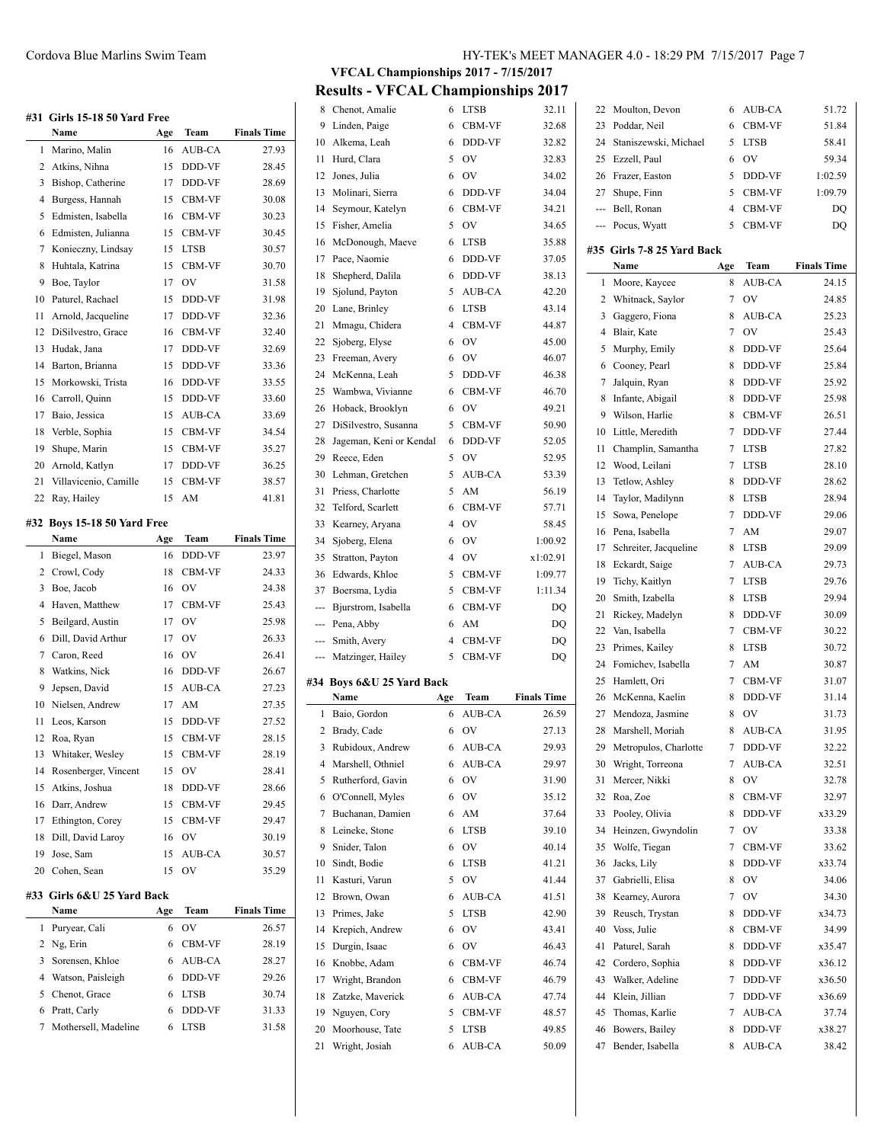|        | #31 Girls 15-18 50 Yard Free         |        |                       |                    |
|--------|--------------------------------------|--------|-----------------------|--------------------|
|        | Name                                 | Age    | Team                  | <b>Finals Time</b> |
| 1      | Marino, Malin                        | 16     | AUB-CA                | 27.93              |
| 2      | Atkins, Nihna                        | 15     | DDD-VF                | 28.45              |
| 3      | Bishop, Catherine                    | 17     | DDD-VF                | 28.69              |
| 4      | Burgess, Hannah                      | 15     | CBM-VF                | 30.08              |
| 5      | Edmisten, Isabella                   | 16     | CBM-VF                | 30.23              |
| 6      | Edmisten, Julianna                   | 15     | CBM-VF                | 30.45              |
| 7      | Konieczny, Lindsay                   | 15     | <b>LTSB</b>           | 30.57              |
| 8      | Huhtala, Katrina                     | 15     | CBM-VF                | 30.70              |
| 9      | Boe, Taylor                          | 17     | OV                    | 31.58              |
| 10     | Paturel, Rachael                     | 15     | DDD-VF                | 31.98              |
| 11     | Arnold, Jacqueline                   | 17     | DDD-VF                | 32.36              |
| 12     | DiSilvestro, Grace                   | 16     | CBM-VF                | 32.40              |
| 13     | Hudak, Jana                          | 17     | DDD-VF                | 32.69              |
| 14     | Barton, Brianna                      | 15     | DDD-VF                | 33.36              |
| 15     | Morkowski, Trista                    | 16     | DDD-VF                | 33.55              |
| 16     | Carroll, Quinn                       | 15     | DDD-VF                | 33.60              |
| 17     | Baio, Jessica                        | 15     | AUB-CA                | 33.69              |
|        |                                      |        |                       |                    |
| 18     | Verble, Sophia<br>Shupe, Marin       | 15     | CBM-VF                | 34.54              |
| 19     |                                      | 15     | CBM-VF                | 35.27              |
| 20     | Arnold, Katlyn                       | 17     | DDD-VF                | 36.25              |
| 21     | Villavicenio, Camille                | 15     | CBM-VF                | 38.57              |
| 22     | Ray, Hailey                          | 15     | AM                    | 41.81              |
| #32    | <b>Boys 15-18 50 Yard Free</b>       |        |                       |                    |
|        | Name                                 | Age    | Team                  | <b>Finals Time</b> |
| 1      | Biegel, Mason                        | 16     | DDD-VF                | 23.97              |
|        |                                      |        |                       |                    |
| 2      | Crowl, Cody                          | 18     | CBM-VF                | 24.33              |
| 3      | Boe, Jacob                           | 16     | OV                    | 24.38              |
| 4      | Haven, Matthew                       | 17     | CBM-VF                | 25.43              |
| 5      | Beilgard, Austin                     | 17     | OV                    | 25.98              |
| 6      | Dill, David Arthur                   | 17     | OV                    | 26.33              |
| 7      | Caron, Reed                          | 16     | OV                    | 26.41              |
| 8      | Watkins, Nick                        | 16     | DDD-VF                | 26.67              |
| 9      | Jepsen, David                        | 15     | AUB-CA                | 27.23              |
| 10     | Nielsen, Andrew                      | 17     | AM                    | 27.35              |
| 11     | Leos, Karson                         | 15     | DDD-VF                | 27.52              |
| 12     | Roa, Ryan                            | 15     | CBM-VF                | 28.15              |
| 13     | Whitaker, Wesley                     | 15     | CBM-VF                | 28.19              |
| 14     | Rosenberger, Vincent                 | 15     | OV                    | 28.41              |
| 15     | Atkins, Joshua                       | 18     | DDD-VF                | 28.66              |
| 16     | Darr, Andrew                         | 15     | CBM-VF                | 29.45              |
| 17     | Ethington, Corey                     | 15     | CBM-VF                | 29.47              |
| 18     | Dill, David Laroy                    | 16     | OV                    | 30.19              |
| 19     | Jose, Sam                            | 15     | AUB-CA                | 30.57              |
| 20     | Cohen, Sean                          | 15     | OV                    | 35.29              |
|        | #33 Girls 6&U 25 Yard Back           |        |                       |                    |
|        | Name                                 | Age    | Team                  | <b>Finals Time</b> |
| 1      | Puryear, Cali                        | 6      | OV                    | 26.57              |
| 2      | Ng, Erin                             | 6      | CBM-VF                | 28.19              |
| 3      | Sorensen, Khloe                      | 6      | AUB-CA                | 28.27              |
| 4      | Watson, Paisleigh                    | 6      | DDD-VF                | 29.26              |
| 5      | Chenot, Grace                        | 6      | <b>LTSB</b>           | 30.74              |
| 6<br>7 | Pratt, Carly<br>Mothersell, Madeline | 6<br>6 | DDD-VF<br><b>LTSB</b> | 31.33<br>31.58     |

**VFCAL Championships 2017 - 7/15/2017 Results - VFCAL Championships 2017**

| 8              | Chenot, Amalie            | 6              | <b>LTSB</b>    | 32.11              | 22  |
|----------------|---------------------------|----------------|----------------|--------------------|-----|
| 9              | Linden, Paige             | 6              | CBM-VF         | 32.68              | 23  |
| 10             | Alkema, Leah              | 6              | DDD-VF         | 32.82              | 24  |
| 11             | Hurd, Clara               | 5              | <b>OV</b>      | 32.83              | 25  |
| 12             | Jones, Julia              | 6              | OV             | 34.02              | 26  |
| 13             | Molinari, Sierra          | 6              | DDD-VF         | 34.04              | 27  |
| 14             | Seymour, Katelyn          | 6              | CBM-VF         | 34.21              |     |
|                | 15 Fisher, Amelia         | 5              | OV             | 34.65              |     |
| 16             | McDonough, Maeve          | 6              | <b>LTSB</b>    | 35.88              |     |
| 17             | Pace, Naomie              | 6              | DDD-VF         | 37.05              | #35 |
| 18             | Shepherd, Dalila          | 6              | DDD-VF         | 38.13              |     |
| 19             | Sjolund, Payton           | 5              | AUB-CA         | 42.20              | 1   |
| 20             | Lane, Brinley             | 6              | <b>LTSB</b>    | 43.14              | 2   |
| 21             | Mmagu, Chidera            | $\overline{4}$ | CBM-VF         | 44.87              | 3   |
| 22             | Sjoberg, Elyse            | 6              | <b>OV</b>      | 45.00              | 4   |
| 23             | Freeman, Avery            | 6              | <b>OV</b>      | 46.07              | 5   |
|                | 24 McKenna, Leah          | 5              | DDD-VF         | 46.38              | 6   |
| 25             | Wambwa, Vivianne          | 6              | CBM-VF         | 46.70              | 7   |
| 26             | Hoback, Brooklyn          | 6              | OV             | 49.21              | 8   |
|                | 27 DiSilvestro, Susanna   | 5              | CBM-VF         | 50.90              | 9   |
| 28             | Jageman, Keni or Kendal   | 6              | DDD-VF         | 52.05              | 10  |
| 29             | Reece, Eden               | 5              | <b>OV</b>      | 52.95              | 11  |
| 30             | Lehman, Gretchen          | 5              | AUB-CA         | 53.39              | 12  |
| 31             | Priess, Charlotte         | 5              | AM             | 56.19              | 13  |
| 32             | Telford, Scarlett         | 6              | CBM-VF         | 57.71              | 14  |
| 33             | Kearney, Aryana           | 4              | OV             | 58.45              | 15  |
| 34             | Sjoberg, Elena            | 6              | OV             | 1:00.92            | 16  |
| 35             | Stratton, Payton          | 4              | OV             | x1:02.91           | 17  |
| 36             | Edwards, Khloe            | 5              | CBM-VF         | 1:09.77            | 18  |
|                |                           |                |                |                    | 19  |
|                |                           |                |                |                    |     |
|                | 37 Boersma, Lydia         | 5              | CBM-VF         | 1:11.34            | 20  |
| $\overline{a}$ | Bjurstrom, Isabella       | 6              | CBM-VF         | DQ                 | 21  |
|                | --- Pena, Abby            | 6              | AM             | DQ                 | 22  |
| ---            | Smith, Avery              | $\overline{4}$ | CBM-VF         | DQ                 | 23  |
| ---            | Matzinger, Hailey         | 5              | CBM-VF         | DQ                 | 24  |
|                | #34 Boys 6&U 25 Yard Back |                |                |                    | 25  |
|                | Name                      | Age            | Team           | <b>Finals Time</b> | 26  |
| 1              | Baio, Gordon              | 6              | <b>AUB-CA</b>  | 26.59              | 27  |
| 2              | Brady, Cade               | 6              | OV             | 27.13              | 28  |
| 3              | Rubidoux, Andrew          | 6              | AUB-CA         | 29.93              | 29  |
| 4              | Marshell, Othniel         | 6              | AUB-CA         | 29.97              | 30  |
| 5              | Rutherford, Gavin         | 6              | O <sub>V</sub> | 31.90              | 31  |
| 6              | O'Connell, Myles          | 6              | OV             | 35.12              | 32  |
| 7              | Buchanan, Damien          | 6              | AM             | 37.64              | 33  |
| 8              | Leineke, Stone            | 6              | <b>LTSB</b>    | 39.10              | 34  |
| 9              | Snider, Talon             | 6              | OV             | 40.14              | 35  |
| 10             | Sindt, Bodie              | 6              | <b>LTSB</b>    | 41.21              | 36  |
| 11             | Kasturi, Varun            | 5              | OV             | 41.44              | 37  |
| 12             | Brown, Owan               | 6              | AUB-CA         | 41.51              | 38  |
| 13             | Primes, Jake              | 5              | <b>LTSB</b>    | 42.90              | 39  |
| 14             | Krepich, Andrew           | 6              | OV             | 43.41              | 40  |
| 15             | Durgin, Isaac             | 6              | OV             | 46.43              | 41  |
| 16             | Knobbe, Adam              | 6              | CBM-VF         | 46.74              | 42  |
|                | 17 Wright, Brandon        | 6              | CBM-VF         | 46.79              | 43  |
| 18             | Zatzke, Maverick          | 6              | AUB-CA         | 47.74              | 44  |
|                | 19 Nguyen, Cory           | 5              | CBM-VF         | 48.57              | 45  |
| 20             | Moorhouse, Tate           | 5              | <b>LTSB</b>    | 49.85              | 46  |
| 21             | Wright, Josiah            | 6              | AUB-CA         | 50.09              | 47  |

| 22    | Moulton, Devon             | 6              | AUB-CA        | 51.72              |
|-------|----------------------------|----------------|---------------|--------------------|
| 23    | Poddar, Neil               | 6              | CBM-VF        | 51.84              |
| 24    | Staniszewski, Michael      | 5              | LTSB          | 58.41              |
| 25    | Ezzell, Paul               | 6              | OV            | 59.34              |
| 26    | Frazer, Easton             | 5              | DDD-VF        | 1:02.59            |
| 27    | Shupe, Finn                | 5              | CBM-VF        | 1:09.79            |
| $---$ | Bell, Ronan                | $\overline{4}$ | CBM-VF        | DQ                 |
| ---   | Pocus, Wyatt               | 5              | CBM-VF        | DQ                 |
|       | #35 Girls 7-8 25 Yard Back |                |               |                    |
|       | Name                       | Age            | Team          | <b>Finals Time</b> |
| 1     | Moore, Kaycee              | 8              | AUB-CA        | 24.15              |
| 2     | Whitnack, Saylor           | 7              | OV            | 24.85              |
| 3     | Gaggero, Fiona             | 8              | AUB-CA        | 25.23              |
| 4     | Blair, Kate                | 7              | OV            | 25.43              |
| 5     | Murphy, Emily              | 8              | DDD-VF        | 25.64              |
| 6     | Cooney, Pearl              | 8              | DDD-VF        | 25.84              |
| 7     | Jalquin, Ryan              | 8              | DDD-VF        | 25.92              |
| 8     | Infante, Abigail           | 8              | DDD-VF        | 25.98              |
| 9     | Wilson, Harlie             | 8              | CBM-VF        | 26.51              |
| 10    | Little, Meredith           | 7              | DDD-VF        | 27.44              |
| 11    | Champlin, Samantha         | 7              | LTSB          | 27.82              |
| 12    | Wood, Leilani              | 7              | LTSB          | 28.10              |
|       |                            | 8              |               |                    |
| 13    | Tetlow, Ashley             |                | DDD-VF        | 28.62              |
| 14    | Taylor, Madilynn           | 8              | LTSB          | 28.94              |
| 15    | Sowa, Penelope             | 7              | <b>DDD-VF</b> | 29.06              |
| 16    | Pena, Isabella             | 7              | AM            | 29.07              |
| 17    | Schreiter, Jacqueline      | 8              | LTSB          | 29.09              |
| 18    | Eckardt, Saige             | 7              | AUB-CA        | 29.73              |
| 19    | Tichy, Kaitlyn             | 7              | <b>LTSB</b>   | 29.76              |
| 20    | Smith, Izabella            | 8              | LTSB          | 29.94              |
| 21    | Rickey, Madelyn            | 8              | DDD-VF        | 30.09              |
| 22    | Van, Isabella              | 7              | CBM-VF        | 30.22              |
| 23    | Primes, Kailey             | 8              | LTSB          | 30.72              |
| 24    | Fomichev, Isabella         | 7              | AM            | 30.87              |
| 25    | Hamlett, Ori               | 7              | CBM-VF        | 31.07              |
| 26    | McKenna, Kaelin            | 8              | DDD-VF        | 31.14              |
| 27    | Mendoza, Jasmine           | 8              | OV            | 31.73              |
| 28    | Marshell, Moriah           | 8              | AUB-CA        | 31.95              |
| 29    | Metropulos, Charlotte      | 7              | DDD-VF        | 32.22              |
| 30    | Wright, Torreona           | 7              | AUB-CA        | 32.51              |
| 31    | Mercer, Nikki              | 8              | OV            | 32.78              |
| 32    | Roa, Zoe                   | 8              | CBM-VF        | 32.97              |
| 33    | Pooley, Olivia             | 8              | DDD-VF        | x33.29             |
| 34    | Heinzen, Gwyndolin         | 7              | OV            | 33.38              |
| 35    | Wolfe, Tiegan              | 7              | CBM-VF        | 33.62              |
| 36    | Jacks, Lily                | 8              | DDD-VF        | x33.74             |
| 37    | Gabrielli, Elisa           | 8              | OV            | 34.06              |
| 38    | Kearney, Aurora            | 7              | OV            | 34.30              |
| 39    | Reusch, Trystan            | 8              | DDD-VF        | x34.73             |
| 40    | Voss, Julie                | 8              | CBM-VF        | 34.99              |
| 41    | Paturel, Sarah             | 8              | DDD-VF        | x35.47             |
| 42    | Cordero, Sophia            | 8              | DDD-VF        | x36.12             |
| 43    | Walker, Adeline            | 7              | DDD-VF        | x36.50             |
| 44    | Klein, Jillian             | 7              | DDD-VF        | x36.69             |
| 45    | Thomas, Karlie             | 7              | AUB-CA        | 37.74              |
| 46    | Bowers, Bailey             | 8              | DDD-VF        | x38.27             |
| 47    | Bender, Isabella           | 8              | AUB-CA        | 38.42              |
|       |                            |                |               |                    |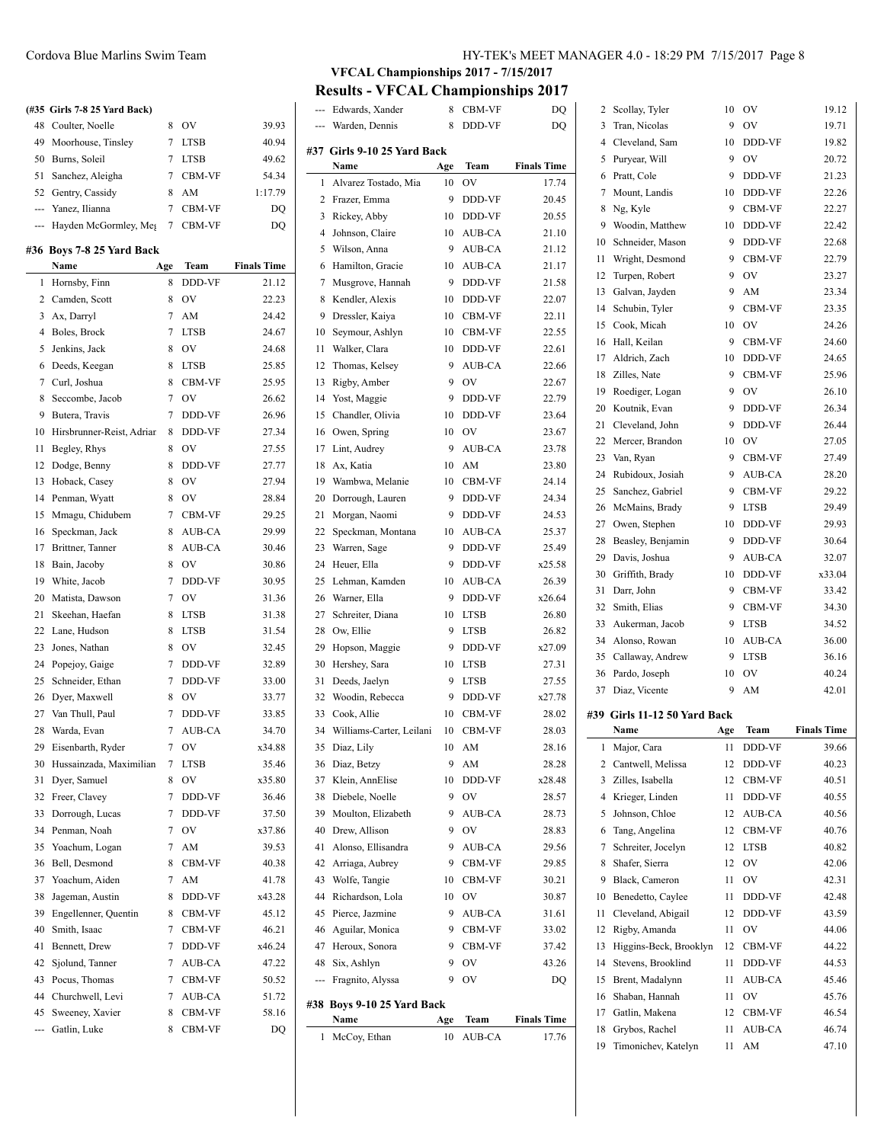# **(#35 Girls 7-8 25 Yard Back)** 48 Coulter, Noelle 8 OV 39.93 Moorhouse, Tinsley 7 LTSB 40.94 Burns, Soleil 7 LTSB 49.62 Sanchez, Aleigha 7 CBM-VF 54.34 52 Gentry, Cassidy 8 AM 1:17.79 --- Yanez, Ilianna 7 CBM-VF DQ --- Hayden McGormley, Me<sub>g</sub> 7 CBM-VF DQ

#### **#36 Boys 7-8 25 Yard Back**

 $\overline{\phantom{0}}$ 

|     | Name                      | Age | Team        | <b>Finals Time</b> |
|-----|---------------------------|-----|-------------|--------------------|
| 1   | Hornsby, Finn             | 8   | DDD-VF      | 21.12              |
| 2   | Camden, Scott             | 8   | OV          | 22.23              |
| 3   | Ax, Darryl                | 7   | AM          | 24.42              |
| 4   | Boles, Brock              | 7   | <b>LTSB</b> | 24.67              |
| 5   | Jenkins, Jack             | 8   | OV          | 24.68              |
| 6   | Deeds, Keegan             | 8   | <b>LTSB</b> | 25.85              |
| 7   | Curl, Joshua              | 8   | CBM-VF      | 25.95              |
| 8   | Seccombe, Jacob           | 7   | OV          | 26.62              |
| 9   | Butera, Travis            | 7   | DDD-VF      | 26.96              |
| 10  | Hirsbrunner-Reist, Adriar | 8   | DDD-VF      | 27.34              |
| 11  | Begley, Rhys              | 8   | OV          | 27.55              |
| 12  | Dodge, Benny              | 8   | DDD-VF      | 27.77              |
| 13  | Hoback, Casey             | 8   | OV          | 27.94              |
| 14  | Penman, Wyatt             | 8   | OV          | 28.84              |
| 15  | Mmagu, Chidubem           | 7   | CBM-VF      | 29.25              |
| 16  | Speckman, Jack            | 8   | AUB-CA      | 29.99              |
| 17  | Brittner, Tanner          | 8   | AUB-CA      | 30.46              |
| 18  | Bain, Jacoby              | 8   | OV          | 30.86              |
| 19  | White, Jacob              | 7   | DDD-VF      | 30.95              |
| 20  | Matista, Dawson           | 7   | OV          | 31.36              |
| 21  | Skeehan, Haefan           | 8   | <b>LTSB</b> | 31.38              |
| 22  | Lane, Hudson              | 8   | <b>LTSB</b> | 31.54              |
| 23  | Jones, Nathan             | 8   | OV          | 32.45              |
| 24  | Popejoy, Gaige            | 7   | DDD-VF      | 32.89              |
| 25  | Schneider, Ethan          | 7   | DDD-VF      | 33.00              |
| 26  | Dyer, Maxwell             | 8   | OV          | 33.77              |
| 27  | Van Thull, Paul           | 7   | DDD-VF      | 33.85              |
| 28  | Warda, Evan               | 7   | AUB-CA      | 34.70              |
| 29  | Eisenbarth, Ryder         | 7   | OV          | x34.88             |
| 30  | Hussainzada, Maximilian   | 7   | <b>LTSB</b> | 35.46              |
| 31  | Dyer, Samuel              | 8   | OV          | x35.80             |
| 32  | Freer, Clavey             | 7   | DDD-VF      | 36.46              |
| 33  | Dorrough, Lucas           | 7   | DDD-VF      | 37.50              |
| 34  | Penman, Noah              | 7   | OV          | x37.86             |
| 35  | Yoachum, Logan            | 7   | AM          | 39.53              |
| 36  | Bell, Desmond             | 8   | CBM-VF      | 40.38              |
| 37  | Yoachum, Aiden            | 7   | AM          | 41.78              |
| 38  | Jageman, Austin           | 8   | DDD-VF      | x43.28             |
| 39  | Engellenner, Quentin      | 8   | CBM-VF      | 45.12              |
| 40  | Smith, Isaac              | 7   | CBM-VF      | 46.21              |
| 41  | Bennett, Drew             | 7   | DDD-VF      | x46.24             |
| 42  | Sjolund, Tanner           | 7   | AUB-CA      | 47.22              |
| 43  | Pocus, Thomas             | 7   | CBM-VF      | 50.52              |
| 44  | Churchwell, Levi          | 7   | AUB-CA      | 51.72              |
| 45  | Sweeney, Xavier           | 8   | CBM-VF      | 58.16              |
| --- | Gatlin, Luke              | 8   | CBM-VF      | DQ                 |
|     |                           |     |             |                    |

# Cordova Blue Marlins Swim Team HY-TEK's MEET MANAGER 4.0 - 18:29 PM 7/15/2017 Page 8

# **VFCAL Championships 2017 - 7/15/2017**

**Results - VFCAL Championships 2017**

|     | Edwards, Xander             | 8   | CBM-VF        | DQ                 | 2     |
|-----|-----------------------------|-----|---------------|--------------------|-------|
|     | Warden, Dennis              | 8   | DDD-VF        | DQ                 | 3     |
|     |                             |     |               |                    | 4     |
|     | #37 Girls 9-10 25 Yard Back |     |               |                    | 5     |
|     | Name                        | Age | Team          | <b>Finals Time</b> | 6     |
| 1   | Alvarez Tostado, Mia        | 10  | OV            | 17.74              | 7     |
| 2   | Frazer, Emma                | 9   | DDD-VF        | 20.45              | 8     |
| 3   | Rickey, Abby                | 10  | DDD-VF        | 20.55              | 9     |
| 4   | Johnson, Claire             | 10  | AUB-CA        | 21.10              | 10    |
| 5   | Wilson, Anna                | 9   | AUB-CA        | 21.12              | 11    |
| 6   | Hamilton, Gracie            | 10  | AUB-CA        | 21.17              | 12    |
| 7   | Musgrove, Hannah            | 9   | DDD-VF        | 21.58              | 13    |
| 8   | Kendler, Alexis             | 10  | DDD-VF        | 22.07              | 14    |
| 9   | Dressler, Kaiya             | 10  | CBM-VF        | 22.11              | 15    |
| 10  | Seymour, Ashlyn             | 10  | CBM-VF        | 22.55              |       |
| 11  | Walker, Clara               | 10  | DDD-VF        | 22.61              | 16    |
| 12  | Thomas, Kelsey              | 9   | AUB-CA        | 22.66              | 17    |
| 13  | Rigby, Amber                | 9   | OV            | 22.67              | 18    |
| 14  | Yost, Maggie                | 9   | DDD-VF        | 22.79              | 19    |
| 15  | Chandler, Olivia            | 10  | DDD-VF        | 23.64              | 20    |
| 16  | Owen, Spring                | 10  | OV            | 23.67              | 21    |
| 17  | Lint, Audrey                | 9   | <b>AUB-CA</b> | 23.78              | 22    |
| 18  | Ax, Katia                   | 10  | AM            | 23.80              | 23    |
| 19  | Wambwa, Melanie             | 10  | CBM-VF        | 24.14              | 24    |
| 20  | Dorrough, Lauren            | 9   | DDD-VF        | 24.34              | 25    |
|     |                             | 9   |               |                    | 26    |
| 21  | Morgan, Naomi               |     | DDD-VF        | 24.53              | 27    |
| 22  | Speckman, Montana           | 10  | AUB-CA        | 25.37              | 28    |
| 23  | Warren, Sage                | 9   | DDD-VF        | 25.49              | 29    |
| 24  | Heuer, Ella                 | 9   | DDD-VF        | x25.58             | 30    |
| 25  | Lehman, Kamden              | 10  | AUB-CA        | 26.39              | 31    |
| 26  | Warner, Ella                | 9   | DDD-VF        | x26.64             | 32    |
| 27  | Schreiter, Diana            | 10  | <b>LTSB</b>   | 26.80              | 33    |
| 28  | Ow, Ellie                   | 9   | <b>LTSB</b>   | 26.82              | 34    |
| 29  | Hopson, Maggie              | 9   | DDD-VF        | x27.09             |       |
| 30  | Hershey, Sara               | 10  | <b>LTSB</b>   | 27.31              | 35    |
| 31  | Deeds, Jaelyn               | 9   | <b>LTSB</b>   | 27.55              | 36    |
| 32  | Woodin, Rebecca             | 9   | DDD-VF        | x27.78             | 37    |
| 33  | Cook, Allie                 | 10  | CBM-VF        | 28.02              | #39 ( |
| 34  | Williams-Carter, Leilani    | 10  | CBM-VF        | 28.03              |       |
| 35  | Diaz, Lily                  | 10  | AM            | 28.16              | 1     |
| 36  | Diaz, Betzy                 | 9   | AM            | 28.28              | 2     |
| 37  | Klein, AnnElise             | 10  | DDD-VF        | x28.48             | 3     |
| 38  | Diebele, Noelle             | 9   | OV            | 28.57              | 4     |
| 39  | Moulton, Elizabeth          | 9   | AUB-CA        | 28.73              | 5     |
| 40  | Drew, Allison               | 9   | OV            | 28.83              | 6     |
| 41  | Alonso, Ellisandra          | 9   | AUB-CA        | 29.56              | 7     |
|     |                             |     |               |                    |       |
| 42  | Arriaga, Aubrey             | 9   | CBM-VF        | 29.85              | 8     |
| 43  | Wolfe, Tangie               | 10  | CBM-VF        | 30.21              | 9     |
| 44  | Richardson, Lola            | 10  | OV            | 30.87              | 10    |
| 45  | Pierce, Jazmine             | 9   | AUB-CA        | 31.61              | 11    |
| 46  | Aguilar, Monica             | 9   | CBM-VF        | 33.02              | 12    |
| 47  | Heroux, Sonora              | 9   | CBM-VF        | 37.42              | 13    |
| 48  | Six, Ashlyn                 | 9   | OV            | 43.26              | 14    |
| --- | Fragnito, Alyssa            | 9   | OV            | DQ                 | 15    |
|     | #38 Boys 9-10 25 Yard Back  |     |               |                    | 16    |
|     | Name                        | Age | Team          | <b>Finals Time</b> | 17    |
| 1   | McCoy, Ethan                | 10  | AUB-CA        | 17.76              | 18    |
|     |                             |     |               |                    | 19    |

| 2        | Scollay, Tyler                        | 10       | OV           | 19.12              |
|----------|---------------------------------------|----------|--------------|--------------------|
| 3        | Tran, Nicolas                         | 9        | OV           | 19.71              |
| 4        | Cleveland, Sam                        | 10       | DDD-VF       | 19.82              |
| 5        | Puryear, Will                         | 9        | OV           | 20.72              |
| 6        | Pratt, Cole                           | 9        | DDD-VF       | 21.23              |
| 7        | Mount, Landis                         | 10       | DDD-VF       | 22.26              |
| 8        | Ng, Kyle                              | 9        | CBM-VF       | 22.27              |
| 9        | Woodin, Matthew                       | 10       | DDD-VF       | 22.42              |
| 10       | Schneider, Mason                      | 9        | DDD-VF       | 22.68              |
| 11       | Wright, Desmond                       | 9        | CBM-VF       | 22.79              |
| 12       | Turpen, Robert                        | 9        | OV           | 23.27              |
| 13       | Galvan, Jayden                        | 9        | AM           | 23.34              |
| 14       | Schubin, Tyler                        | 9        | CBM-VF       | 23.35              |
| 15       | Cook, Micah                           | 10       | OV           | 24.26              |
| 16       | Hall, Keilan                          | 9        | CBM-VF       | 24.60              |
| 17       | Aldrich, Zach                         | 10       | DDD-VF       | 24.65              |
| 18       | Zilles, Nate                          | 9        | CBM-VF       | 25.96              |
| 19       | Roediger, Logan                       | 9        | OV           | 26.10              |
| 20       | Koutnik, Evan                         | 9        | DDD-VF       | 26.34              |
| 21       | Cleveland, John                       | 9        | DDD-VF       | 26.44              |
| 22       | Mercer, Brandon                       | 10       | OV           | 27.05              |
| 23       | Van, Ryan                             | 9        | CBM-VF       | 27.49              |
| 24       | Rubidoux, Josiah                      | 9        | AUB-CA       | 28.20              |
| 25       | Sanchez, Gabriel                      | 9        | CBM-VF       | 29.22              |
| 26       | McMains, Brady                        | 9        | <b>LTSB</b>  | 29.49              |
| 27       | Owen, Stephen                         | 10       | DDD-VF       | 29.93              |
| 28       | Beasley, Benjamin                     | 9        | DDD-VF       | 30.64              |
| 29       | Davis, Joshua                         | 9        | AUB-CA       | 32.07              |
| 30       | Griffith, Brady                       | 10       | DDD-VF       | x33.04             |
| 31       | Darr, John                            | 9        | CBM-VF       | 33.42              |
|          |                                       |          |              |                    |
| 32       | Smith, Elias                          | 9        | CBM-VF       | 34.30              |
| 33       | Aukerman, Jacob                       | 9        | <b>LTSB</b>  | 34.52              |
| 34       | Alonso, Rowan                         | 10       | AUB-CA       | 36.00              |
| 35       | Callaway, Andrew                      | 9        | <b>LTSB</b>  | 36.16              |
| 36       | Pardo, Joseph                         | 10       | OV           | 40.24              |
| 37       | Diaz, Vicente                         | 9        | AM           | 42.01              |
|          |                                       |          |              |                    |
|          | #39 Girls 11-12 50 Yard Back          |          |              |                    |
|          | Name                                  | Age      | <b>Team</b>  | <b>Finals Time</b> |
| 1        | Major, Cara                           | 11       | DDD-VF       | 39.66              |
| 2<br>3   | Cantwell, Melissa<br>Zilles, Isabella | 12<br>12 | DDD-VF       | 40.23              |
| 4        | Krieger, Linden                       | 11       | CBM-VF       | 40.51              |
|          |                                       |          | DDD-VF       | 40.55              |
| 5        | Johnson, Chloe                        | 12       | AUB-CA       | 40.56              |
| 6        | Tang, Angelina                        | 12       | CBM-VF       | 40.76              |
| 7        | Schreiter, Jocelyn<br>Shafer, Sierra  | 12       | <b>LTSB</b>  | 40.82              |
| 8        |                                       | 12       | OV           | 42.06              |
| 9        | Black, Cameron                        | 11       | OV           | 42.31              |
| 10       | Benedetto, Caylee                     | 11<br>12 | DDD-VF       | 42.48              |
| 11       | Cleveland, Abigail                    |          | DDD-VF       | 43.59              |
| 12       | Rigby, Amanda                         | 11       | OV           | 44.06              |
| 13       | Higgins-Beck, Brooklyn                | 12       | CBM-VF       | 44.22              |
| 14       | Stevens, Brooklind                    | 11       | DDD-VF       | 44.53              |
| 15       | Brent, Madalynn                       | 11       | AUB-CA       | 45.46              |
| 16       | Shaban, Hannah                        | 11       | OV           | 45.76              |
| 17       | Gatlin, Makena                        | 12       | CBM-VF       | 46.54              |
| 18<br>19 | Grybos, Rachel<br>Timonichev, Katelyn | 11<br>11 | AUB-CA<br>AM | 46.74<br>47.10     |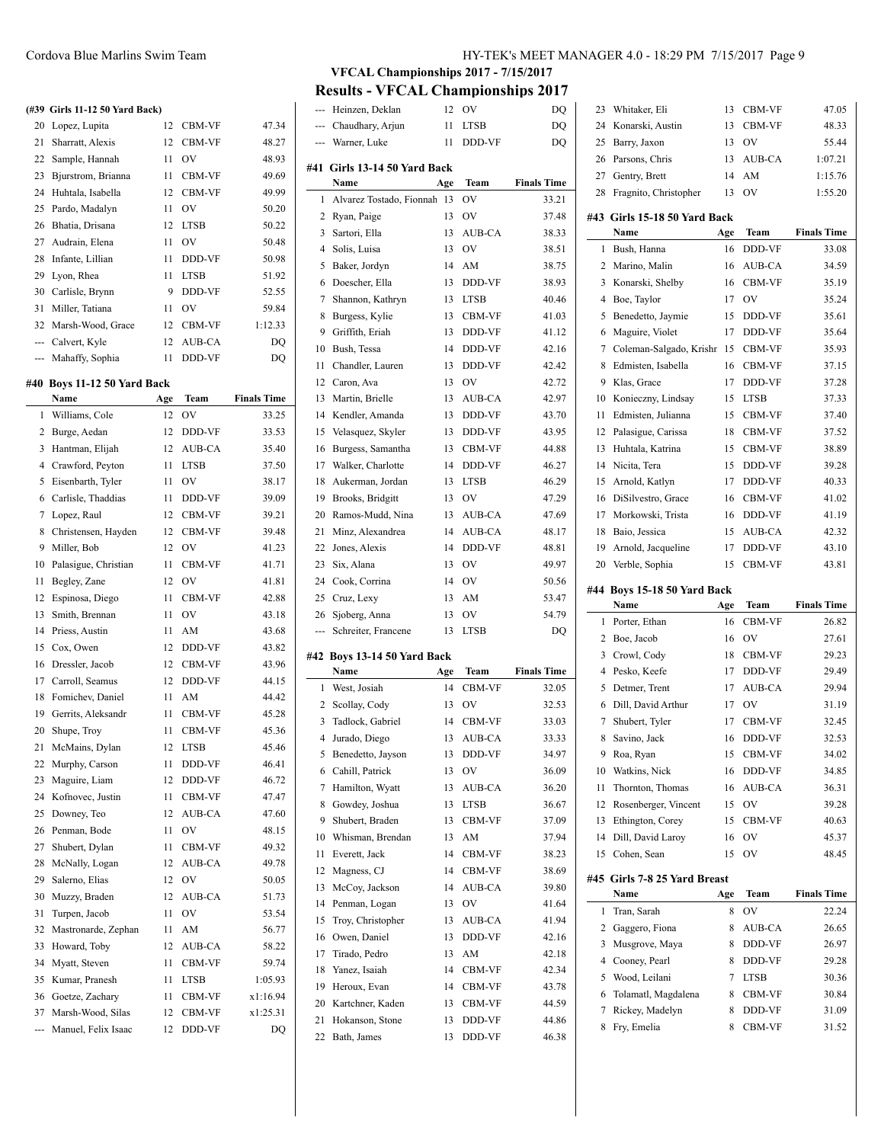#### **(#39 Girls 11-12 50 Yard Back)**

| 20 | Lopez, Lupita        | 12 | <b>CBM-VF</b> | 47.34   |
|----|----------------------|----|---------------|---------|
| 21 | Sharratt, Alexis     | 12 | CBM-VF        | 48.27   |
|    | 22 Sample, Hannah    | 11 | OV            | 48.93   |
| 23 | Bjurstrom, Brianna   | 11 | CBM-VF        | 49.69   |
|    | 24 Huhtala, Isabella | 12 | CBM-VF        | 49.99   |
|    | 25 Pardo, Madalyn    | 11 | OV            | 50.20   |
|    | 26 Bhatia, Drisana   | 12 | <b>LTSB</b>   | 50.22   |
| 27 | Audrain, Elena       | 11 | OV            | 50.48   |
| 28 | Infante, Lillian     | 11 | DDD-VF        | 50.98   |
| 29 | Lyon, Rhea           | 11 | <b>LTSB</b>   | 51.92   |
|    | 30 Carlisle, Brynn   | 9  | DDD-VF        | 52.55   |
| 31 | Miller, Tatiana      | 11 | OV            | 59.84   |
|    | 32 Marsh-Wood, Grace | 12 | CBM-VF        | 1:12.33 |
|    | --- Calvert, Kyle    | 12 | AUB-CA        | DQ      |
|    | --- Mahaffy, Sophia  | 11 | <b>DDD-VF</b> | DO      |

#### **#40 Boys 11-12 50 Yard Back**

|                | Name                 | Age | Team        | <b>Finals Time</b> |
|----------------|----------------------|-----|-------------|--------------------|
| 1              | Williams, Cole       | 12  | OV          | 33.25              |
| 2              | Burge, Aedan         | 12  | DDD-VF      | 33.53              |
| 3              | Hantman, Elijah      | 12  | AUB-CA      | 35.40              |
| $\overline{4}$ | Crawford, Peyton     | 11  | <b>LTSB</b> | 37.50              |
| 5              | Eisenbarth, Tyler    | 11  | OV          | 38.17              |
| 6              | Carlisle, Thaddias   | 11  | DDD-VF      | 39.09              |
| 7              | Lopez, Raul          | 12  | CBM-VF      | 39.21              |
| 8              | Christensen, Hayden  | 12  | CBM-VF      | 39.48              |
| 9              | Miller, Bob          | 12  | OV          | 41.23              |
| 10             | Palasigue, Christian | 11  | CBM-VF      | 41.71              |
| 11             | Begley, Zane         | 12  | OV          | 41.81              |
| 12             | Espinosa, Diego      | 11  | CBM-VF      | 42.88              |
| 13             | Smith, Brennan       | 11  | OV          | 43.18              |
| 14             | Priess, Austin       | 11  | AM          | 43.68              |
| 15             | Cox, Owen            | 12  | DDD-VF      | 43.82              |
| 16             | Dressler, Jacob      | 12  | CBM-VF      | 43.96              |
| 17             | Carroll, Seamus      | 12  | DDD-VF      | 44.15              |
| 18             | Fomichev, Daniel     | 11  | AM          | 44.42              |
| 19             | Gerrits, Aleksandr   | 11  | CBM-VF      | 45.28              |
| 20             | Shupe, Troy          | 11  | CBM-VF      | 45.36              |
| 21             | McMains, Dylan       | 12  | <b>LTSB</b> | 45.46              |
| 22             | Murphy, Carson       | 11  | DDD-VF      | 46.41              |
| 23             | Maguire, Liam        | 12  | DDD-VF      | 46.72              |
| 24             | Kofnovec, Justin     | 11  | CBM-VF      | 47.47              |
| 25             | Downey, Teo          | 12  | AUB-CA      | 47.60              |
| 26             | Penman, Bode         | 11  | OV          | 48.15              |
| 27             | Shubert, Dylan       | 11  | CBM-VF      | 49.32              |
| 28             | McNally, Logan       | 12  | AUB-CA      | 49.78              |
| 29             | Salerno, Elias       | 12  | OV          | 50.05              |
| 30             | Muzzy, Braden        | 12  | AUB-CA      | 51.73              |
| 31             | Turpen, Jacob        | 11  | OV          | 53.54              |
| 32             | Mastronarde, Zephan  | 11  | AM          | 56.77              |
| 33             | Howard, Toby         | 12  | AUB-CA      | 58.22              |
| 34             | Myatt, Steven        | 11  | CBM-VF      | 59.74              |
| 35             | Kumar, Pranesh       | 11  | <b>LTSB</b> | 1:05.93            |
| 36             | Goetze, Zachary      | 11  | CBM-VF      | x1:16.94           |
| 37             | Marsh-Wood, Silas    | 12  | CBM-VF      | x1:25.31           |
| ---            | Manuel, Felix Isaac  | 12  | DDD-VF      | DQ                 |

# Cordova Blue Marlins Swim Team HY-TEK's MEET MANAGER 4.0 - 18:29 PM 7/15/2017 Page 9

# **VFCAL Championships 2017 - 7/15/2017**

**Results - VFCAL Championships 2017**

 $\overline{a}$ 

 $\overline{a}$ 

| ---            | Heinzen, Deklan              | 12  | OV            | DQ                 |
|----------------|------------------------------|-----|---------------|--------------------|
|                | --- Chaudhary, Arjun         | 11  | <b>LTSB</b>   | DQ                 |
| ---            | Warner, Luke                 | 11  | DDD-VF        | DQ                 |
|                |                              |     |               |                    |
|                | #41 Girls 13-14 50 Yard Back |     |               |                    |
|                | Name                         | Age | Team          | <b>Finals Time</b> |
| 1              | Alvarez Tostado, Fionnah     | 13  | OV            | 33.21              |
| 2              | Ryan, Paige                  | 13  | OV            | 37.48              |
| 3              | Sartori, Ella                | 13  | AUB-CA        | 38.33              |
| $\overline{4}$ | Solis, Luisa                 | 13  | OV            | 38.51              |
| 5              | Baker, Jordyn                | 14  | AM            | 38.75              |
| 6              | Doescher, Ella               | 13  | DDD-VF        | 38.93              |
| 7              | Shannon, Kathryn             | 13  | <b>LTSB</b>   | 40.46              |
| 8              | Burgess, Kylie               | 13  | CBM-VF        | 41.03              |
| 9              | Griffith, Eriah              | 13  | DDD-VF        | 41.12              |
| 10             | Bush, Tessa                  | 14  | DDD-VF        | 42.16              |
| 11             | Chandler, Lauren             | 13  | DDD-VF        | 42.42              |
| 12             | Caron, Ava                   | 13  | OV            | 42.72              |
| 13             | Martin, Brielle              | 13  | AUB-CA        | 42.97              |
| 14             | Kendler, Amanda              | 13  | DDD-VF        | 43.70              |
| 15             | Velasquez, Skyler            | 13  | DDD-VF        | 43.95              |
| 16             | Burgess, Samantha            | 13  | CBM-VF        | 44.88              |
| 17             | Walker, Charlotte            | 14  | DDD-VF        | 46.27              |
| 18             | Aukerman, Jordan             | 13  | <b>LTSB</b>   | 46.29              |
| 19             | Brooks, Bridgitt             | 13  | OV            | 47.29              |
| 20             | Ramos-Mudd. Nina             | 13  | AUB-CA        | 47.69              |
| 21             | Minz, Alexandrea             | 14  | AUB-CA        | 48.17              |
| 22             | Jones, Alexis                | 14  | DDD-VF        | 48.81              |
| 23             | Six, Alana                   | 13  | <b>OV</b>     | 49.97              |
| 24             | Cook, Corrina                | 14  | <b>OV</b>     | 50.56              |
|                | 25 Cruz, Lexy                | 13  | AM            | 53.47              |
| 26             | Sjoberg, Anna                | 13  | OV            | 54.79              |
| ---            | Schreiter, Francene          | 13  | <b>LTSB</b>   | DQ                 |
|                |                              |     |               |                    |
| #42            | Boys 13-14 50 Yard Back      |     |               |                    |
|                | Name                         | Age | Team          | <b>Finals Time</b> |
| 1              | West, Josiah                 | 14  | <b>CBM-VF</b> | 32.05              |
| 2              | Scollay, Cody                | 13  | OV            | 32.53              |
| 3              | Tadlock, Gabriel             | 14  | CBM-VF        | 33.03              |
| 4              | Jurado, Diego                | 13  | <b>AUB-CA</b> | 33.33              |
| 5              | Benedetto, Jayson            | 13  | DDD-VF        | 34.97              |
| 6              | Cahill, Patrick              | 13  | OV            | 36.09              |
| 7              | Hamilton, Wyatt              | 13  | AUB-CA        | 36.20              |
| 8              | Gowdey, Joshua               | 13  | <b>LTSB</b>   | 36.67              |
| 9              | Shubert, Braden              | 13  | CBM-VF        | 37.09              |
| 10             | Whisman, Brendan             | 13  | AM            | 37.94              |
| 11             | Everett, Jack                | 14  | CBM-VF        | 38.23              |
| 12             | Magness, CJ                  | 14  | CBM-VF        | 38.69              |
| 13             | McCoy, Jackson               | 14  | AUB-CA        | 39.80              |
| 14             | Penman, Logan                | 13  | OV            | 41.64              |
| 15             | Troy, Christopher            | 13  | AUB-CA        | 41.94              |
| 16             | Owen, Daniel                 | 13  | DDD-VF        | 42.16              |
| 17             | Tirado, Pedro                | 13  | AM            | 42.18              |
|                |                              |     |               |                    |
| 18             | Yanez, Isaiah                | 14  | CBM-VF        | 42.34              |
| 19             | Heroux, Evan                 | 14  | CBM-VF        | 43.78              |
| 20             | Kartchner, Kaden             | 13  | CBM-VF        | 44.59              |
| 21             | Hokanson, Stone              | 13  | DDD-VF        | 44.86              |

| 23  | Whitaker, Eli                 | 13  | CBM-VF      | 47.05              |
|-----|-------------------------------|-----|-------------|--------------------|
| 24  | Konarski, Austin              | 13  | CBM-VF      | 48.33              |
| 25  | Barry, Jaxon                  | 13  | OV          | 55.44              |
| 26  | Parsons, Chris                | 13  | AUB-CA      | 1:07.21            |
| 27  | Gentry, Brett                 | 14  | AM          | 1:15.76            |
| 28  | Fragnito, Christopher         | 13  | OV          | 1:55.20            |
|     |                               |     |             |                    |
|     | #43  Girls 15-18 50 Yard Back |     |             |                    |
|     | Name                          | Age | Team        | <b>Finals Time</b> |
| 1   | Bush, Hanna                   | 16  | DDD-VF      | 33.08              |
| 2   | Marino, Malin                 | 16  | AUB-CA      | 34.59              |
| 3   | Konarski, Shelby              | 16  | CBM-VF      | 35.19              |
| 4   | Boe, Taylor                   | 17  | OV          | 35.24              |
| 5   | Benedetto, Jaymie             | 15  | DDD-VF      | 35.61              |
| 6   | Maguire, Violet               | 17  | DDD-VF      | 35.64              |
| 7   | Coleman-Salgado, Krishr       | 15  | CBM-VF      | 35.93              |
| 8   | Edmisten, Isabella            | 16  | CBM-VF      | 37.15              |
| 9   | Klas, Grace                   | 17  | DDD-VF      | 37.28              |
| 10  | Konieczny, Lindsay            | 15  | LTSB        | 37.33              |
| 11  | Edmisten, Julianna            | 15  | CBM-VF      | 37.40              |
| 12  | Palasigue, Carissa            | 18  | CBM-VF      | 37.52              |
| 13  | Huhtala, Katrina              | 15  | CBM-VF      | 38.89              |
| 14  | Nicita, Tera                  | 15  | DDD-VF      | 39.28              |
| 15  | Arnold, Katlyn                | 17  | DDD-VF      | 40.33              |
| 16  | DiSilvestro, Grace            | 16  | CBM-VF      | 41.02              |
| 17  | Morkowski, Trista             | 16  | DDD-VF      | 41.19              |
| 18  | Baio, Jessica                 | 15  | AUB-CA      | 42.32              |
| 19  |                               |     |             |                    |
|     | Arnold, Jacqueline            | 17  | DDD-VF      | 43.10              |
| 20  | Verble, Sophia                | 15  | CBM-VF      | 43.81              |
|     |                               |     |             |                    |
|     | #44 Boys 15-18 50 Yard Back   |     |             |                    |
|     | Name                          | Age | Team        | <b>Finals Time</b> |
| 1   | Porter, Ethan                 | 16  | CBM-VF      | 26.82              |
| 2   | Boe, Jacob                    | 16  | OV          | 27.61              |
| 3   | Crowl, Cody                   | 18  | CBM-VF      | 29.23              |
| 4   | Pesko, Keefe                  | 17  | DDD-VF      | 29.49              |
| 5   | Detmer, Trent                 | 17  | AUB-CA      | 29.94              |
| 6   | Dill, David Arthur            | 17  | OV          | 31.19              |
| 7   | Shubert, Tyler                | 17  | CBM-VF      | 32.45              |
| 8   |                               | 16  | DDD-VF      |                    |
|     | Savino, Jack                  |     |             | 32.53              |
| 9   | Roa, Ryan                     | 15  | CBM-VF      | 34.02              |
| 10  | Watkins, Nick                 | 16  | DDD-VF      | 34.85              |
| 11  | Thornton, Thomas              | 16  | AUB-CA      | 36.31              |
| 12  | Rosenberger, Vincent          | 15  | OV          | 39.28              |
| 13  | Ethington, Corey              | 15  | CBM-VF      | 40.63              |
| 14  | Dill, David Laroy             | 16  | OV          | 45.37              |
| 15  | Cohen, Sean                   | 15  | OV          | 48.45              |
|     | Girls 7-8 25 Yard Breast      |     |             |                    |
| #45 | Name                          | Age | Team        | <b>Finals Time</b> |
| 1   | Tran, Sarah                   | 8   | OV          | 22.24              |
| 2   | Gaggero, Fiona                | 8   | AUB-CA      | 26.65              |
| 3   | Musgrove, Maya                | 8   | DDD-VF      | 26.97              |
| 4   | Cooney, Pearl                 | 8   | DDD-VF      | 29.28              |
| 5   | Wood, Leilani                 | 7   | <b>LTSB</b> | 30.36              |
| 6   | Tolamatl, Magdalena           | 8   | CBM-VF      | 30.84              |
| 7   | Rickey, Madelyn               | 8   | DDD-VF      | 31.09              |
| 8   | Fry, Emelia                   | 8   | CBM-VF      | 31.52              |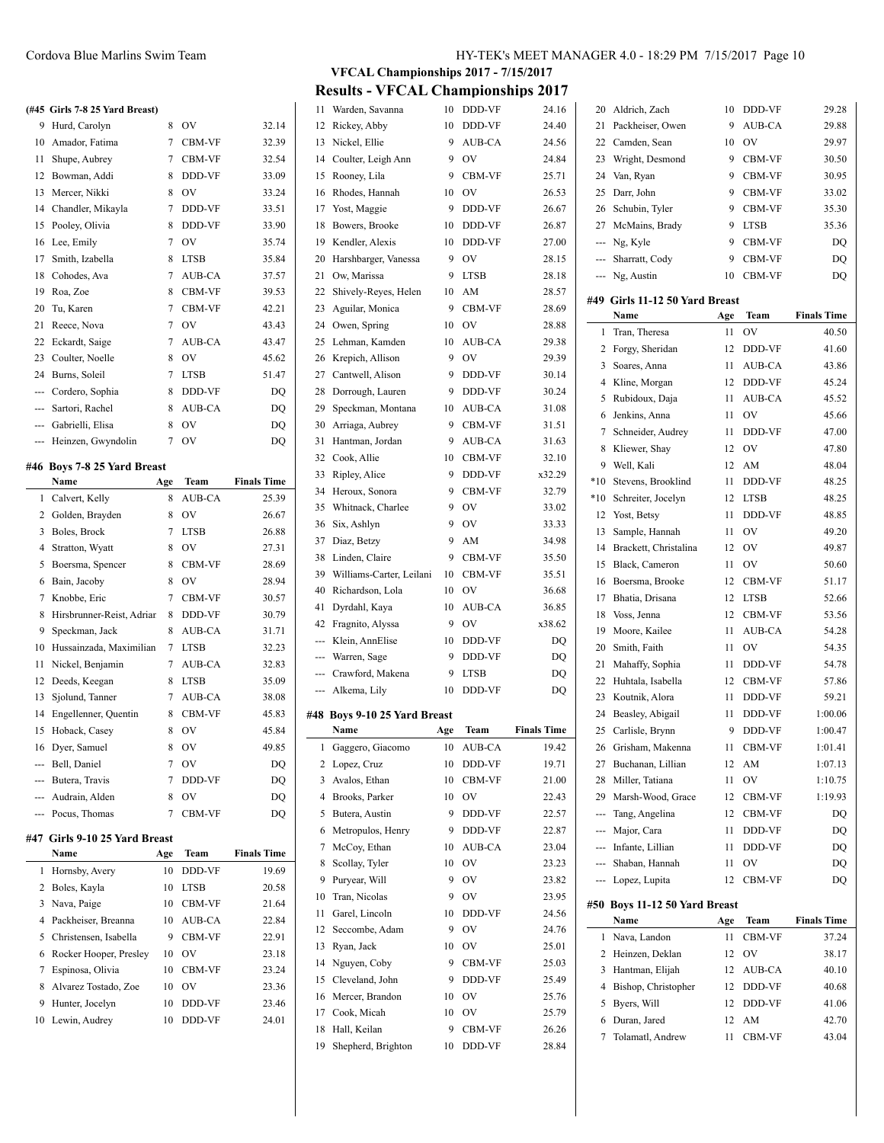# **(#45 Girls 7-8 25 Yard Breast)**

|               | (#45 Girls 7-8 25 Yard Breast) |                |               |                    |
|---------------|--------------------------------|----------------|---------------|--------------------|
| 9             | Hurd, Carolyn                  | 8              | OV            | 32.14              |
| 10            | Amador, Fatima                 | 7              | CBM-VF        | 32.39              |
| 11            | Shupe, Aubrey                  | $\overline{7}$ | CBM-VF        | 32.54              |
| 12            | Bowman, Addi                   | 8              | DDD-VF        | 33.09              |
| 13            | Mercer, Nikki                  | 8              | OV            | 33.24              |
| 14            | Chandler, Mikayla              | 7              | DDD-VF        | 33.51              |
| 15            | Pooley, Olivia                 | 8              | DDD-VF        | 33.90              |
| 16            | Lee, Emily                     | 7              | OV            | 35.74              |
| 17            | Smith, Izabella                | 8              | <b>LTSB</b>   | 35.84              |
| 18            | Cohodes, Ava                   | $\overline{7}$ | AUB-CA        | 37.57              |
| 19            | Roa, Zoe                       | 8              | CBM-VF        | 39.53              |
| 20            | Tu, Karen                      | 7              | CBM-VF        | 42.21              |
| 21            | Reece, Nova                    | 7              | <b>OV</b>     | 43.43              |
| 22            | Eckardt, Saige                 | 7              | AUB-CA        | 43.47              |
| 23            | Coulter, Noelle                | 8              | OV            | 45.62              |
| 24            | Burns, Soleil                  | 7              | <b>LTSB</b>   | 51.47              |
| ---           | Cordero, Sophia                | 8              | DDD-VF        | DQ                 |
| $\frac{1}{2}$ | Sartori, Rachel                | 8              | AUB-CA        | DQ                 |
|               | --- Gabrielli, Elisa           | 8              | OV            | DQ                 |
| ---           | Heinzen, Gwyndolin             | 7              | OV            | DQ                 |
|               | #46 Boys 7-8 25 Yard Breast    |                |               |                    |
|               | Name                           | Age            | Team          | <b>Finals Time</b> |
| 1             | Calvert, Kelly                 | 8              | <b>AUB-CA</b> | 25.39              |
| 2             | Golden, Brayden                | 8              | OV            | 26.67              |
| 3             | Boles, Brock                   | 7              | <b>LTSB</b>   | 26.88              |
| 4             | Stratton, Wyatt                | 8              | <b>OV</b>     | 27.31              |
| 5             | Boersma, Spencer               | 8              | CBM-VF        | 28.69              |
| 6             | Bain, Jacoby                   | 8              | OV            | 28.94              |
| 7             | Knobbe, Eric                   | 7              | CBM-VF        | 30.57              |
| 8             | Hirsbrunner-Reist, Adriar      | 8              | DDD-VF        | 30.79              |
| 9             |                                |                |               |                    |
|               | Speckman, Jack                 | 8              | AUB-CA        | 31.71              |
| 10            | Hussainzada, Maximilian        | 7              | <b>LTSB</b>   | 32.23              |
| 11            | Nickel, Benjamin               | 7              | <b>AUB-CA</b> | 32.83              |

| 5       | Boersma, Spencer          | 8 | <b>CBM-VF</b> | 28.69 |
|---------|---------------------------|---|---------------|-------|
| 6       | Bain, Jacoby              | 8 | OV            | 28.94 |
| 7       | Knobbe, Eric              | 7 | <b>CBM-VF</b> | 30.57 |
| 8       | Hirsbrunner-Reist, Adriar | 8 | <b>DDD-VF</b> | 30.79 |
| 9       | Speckman, Jack            | 8 | AUB-CA        | 31.71 |
| 10      | Hussainzada, Maximilian   | 7 | <b>LTSB</b>   | 32.23 |
| 11      | Nickel, Benjamin          | 7 | AUB-CA        | 32.83 |
| 12      | Deeds, Keegan             | 8 | <b>LTSB</b>   | 35.09 |
| 13      | Sjolund, Tanner           | 7 | <b>AUB-CA</b> | 38.08 |
| 14      | Engellenner, Quentin      | 8 | <b>CBM-VF</b> | 45.83 |
| 15      | Hoback, Casey             | 8 | OV            | 45.84 |
| 16      | Dyer, Samuel              | 8 | OV            | 49.85 |
| ---     | Bell, Daniel              | 7 | OV            | DO    |
| $- - -$ | Butera, Travis            | 7 | <b>DDD-VF</b> | DO    |
|         | --- Audrain, Alden        | 8 | OV            | DO    |
|         | --- Pocus, Thomas         | 7 | <b>CBM-VF</b> | DQ    |

#### **#47 Girls 9-10 25 Yard Breast**

|   | Name                     | Age | <b>Team</b>    | <b>Finals Time</b> |
|---|--------------------------|-----|----------------|--------------------|
|   | 1 Hornsby, Avery         | 10  | <b>DDD-VF</b>  | 19.69              |
|   | 2 Boles, Kayla           | 10  | <b>LTSB</b>    | 20.58              |
|   | 3 Nava, Paige            | 10  | <b>CBM-VF</b>  | 21.64              |
|   | 4 Packheiser, Breanna    | 10  | AUB-CA         | 22.84              |
|   | 5 Christensen, Isabella  | 9   | <b>CBM-VF</b>  | 22.91              |
|   | 6 Rocker Hooper, Presley | 10  | O <sub>V</sub> | 23.18              |
|   | 7 Espinosa, Olivia       | 10  | <b>CBM-VF</b>  | 23.24              |
|   | 8 Alvarez Tostado, Zoe   | 10  | O <sub>V</sub> | 23.36              |
| 9 | Hunter, Jocelyn          | 10  | <b>DDD-VF</b>  | 23.46              |
|   | 10 Lewin, Audrey         | 10  | DDD-VF         | 24.01              |

**VFCAL Championships 2017 - 7/15/2017 Results - VFCAL Championships 2017**

| 11            | Warden, Savanna              | 10     | DDD-VF           | 24.16              |                | 20 Aldrich, Zach     |
|---------------|------------------------------|--------|------------------|--------------------|----------------|----------------------|
| 12            | Rickey, Abby                 | 10     | DDD-VF           | 24.40              | 21             | Packheiser, Ower     |
| 13            | Nickel, Ellie                | 9      | AUB-CA           | 24.56              | 22             | Camden, Sean         |
| 14            | Coulter, Leigh Ann           | 9      | OV               | 24.84              | 23             | Wright, Desmond      |
| 15            | Rooney, Lila                 | 9      | CBM-VF           | 25.71              | 24             | Van, Ryan            |
| 16            | Rhodes, Hannah               | 10     | OV               | 26.53              | 25             | Darr, John           |
| 17            | Yost, Maggie                 | 9      | DDD-VF           | 26.67              | 26             | Schubin, Tyler       |
| 18            | Bowers, Brooke               | 10     | DDD-VF           | 26.87              | 27             | McMains, Brady       |
| 19            | Kendler, Alexis              | 10     | DDD-VF           | 27.00              | ---            | Ng, Kyle             |
| 20            | Harshbarger, Vanessa         | 9      | OV               | 28.15              |                | Sharratt, Cody       |
| 21            | Ow, Marissa                  | 9      | <b>LTSB</b>      | 28.18              | ---            | Ng, Austin           |
| 22            | Shively-Reyes, Helen         | 10     | AM               | 28.57              |                |                      |
| 23            | Aguilar, Monica              | 9      | CBM-VF           | 28.69              |                | #49 Girls 11-12 50 ! |
| 24            | Owen, Spring                 | 10     | OV               | 28.88              |                | Name                 |
| 25            | Lehman, Kamden               | 10     | AUB-CA           | 29.38              | $\mathbf{1}$   | Tran, Theresa        |
| 26            | Krepich, Allison             | 9      | OV               | 29.39              | $\overline{2}$ | Forgy, Sheridan      |
| 27            | Cantwell, Alison             | 9      | DDD-VF           | 30.14              | 3              | Soares, Anna         |
| 28            | Dorrough, Lauren             | 9      | DDD-VF           | 30.24              | 4              | Kline, Morgan        |
| 29            | Speckman, Montana            | 10     | AUB-CA           | 31.08              | 5              | Rubidoux, Daja       |
| 30            | Arriaga, Aubrey              | 9      | CBM-VF           | 31.51              | 6              | Jenkins, Anna        |
| 31            | Hantman, Jordan              | 9      | AUB-CA           | 31.63              | 7              | Schneider, Audre     |
|               | 32 Cook, Allie               | 10     | CBM-VF           |                    | 8              | Kliewer, Shay        |
| 33            |                              | 9      |                  | 32.10              | 9              | Well, Kali           |
|               | Ripley, Alice                | 9      | DDD-VF<br>CBM-VF | x32.29             | $*10$          | Stevens, Brooklin    |
|               | 34 Heroux, Sonora            |        |                  | 32.79              | $*10$          | Schreiter, Jocelyr   |
| 35            | Whitnack, Charlee            | 9<br>9 | OV               | 33.02              | 12             | Yost, Betsy          |
| 36            | Six, Ashlyn                  |        | OV               | 33.33              | 13             | Sample, Hannah       |
| 37            | Diaz, Betzy                  | 9      | AM               | 34.98              | 14             | Brackett, Christal   |
| 38            | Linden, Claire               | 9      | CBM-VF           | 35.50              | 15             | Black, Cameron       |
| 39            | Williams-Carter, Leilani     | 10     | CBM-VF           | 35.51              | 16             | Boersma, Brooke      |
| 40            | Richardson, Lola             | 10     | OV               | 36.68              | 17             | Bhatia, Drisana      |
| 41            | Dyrdahl, Kaya                | 10     | AUB-CA           | 36.85              | 18             | Voss, Jenna          |
| 42            | Fragnito, Alyssa             | 9      | OV               | x38.62             | 19             | Moore, Kailee        |
| ---           | Klein, AnnElise              | 10     | DDD-VF           | DQ                 | 20             | Smith, Faith         |
| $\frac{1}{2}$ | Warren, Sage                 | 9      | DDD-VF           | DQ                 | 21             | Mahaffy, Sophia      |
|               | Crawford, Makena             | 9      | <b>LTSB</b>      | DQ                 | 22             | Huhtala, Isabella    |
| ---           | Alkema, Lily                 | 10     | DDD-VF           | DQ                 | 23             | Koutnik, Alora       |
|               | #48 Boys 9-10 25 Yard Breast |        |                  |                    | 24             | Beasley, Abigail     |
|               | Name                         | Age    | Team             | <b>Finals Time</b> | 25             | Carlisle, Brynn      |
| $\mathbf{1}$  | Gaggero, Giacomo             | 10     | AUB-CA           | 19.42              | 26             | Grisham, Makenr      |
| 2             | Lopez, Cruz                  | 10     | DDD-VF           | 19.71              | 27             | Buchanan, Lilliar    |
| 3             | Avalos, Ethan                | 10     | CBM-VF           | 21.00              | 28             | Miller, Tatiana      |
| 4             | Brooks, Parker               | 10     | OV               | 22.43              | 29             | Marsh-Wood, Gra      |
| 5             | Butera, Austin               | 9      | DDD-VF           | 22.57              | ---            | Tang, Angelina       |
| 6             | Metropulos, Henry            | 9      | DDD-VF           | 22.87              | ---            | Major, Cara          |
| 7             | McCoy, Ethan                 | 10     | AUB-CA           | 23.04              | ---            | Infante, Lillian     |
| 8             | Scollay, Tyler               | 10     | OV               | 23.23              |                | Shaban, Hannah       |
| 9             | Puryear, Will                | 9      | OV               | 23.82              | ---            | Lopez, Lupita        |
| 10            | Tran, Nicolas                | 9      | OV               | 23.95              |                |                      |
| 11            | Garel, Lincoln               | 10     | DDD-VF           | 24.56              |                | #50 Boys 11-12 50 Y  |
| 12            | Seccombe, Adam               | 9      | OV               | 24.76              |                | Name                 |
| 13            | Ryan, Jack                   | 10     | OV               | 25.01              | $\mathbf{1}$   | Nava, Landon         |
| 14            | Nguyen, Coby                 | 9      | CBM-VF           | 25.03              | 2              | Heinzen, Deklan      |
| 15            | Cleveland, John              | 9      | DDD-VF           | 25.49              | 3              | Hantman, Elijah      |
| 16            | Mercer, Brandon              | 10     | OV               | 25.76              | 4              | Bishop, Christopl    |
| 17            | Cook, Micah                  | 10     | OV               | 25.79              | 5              | Byers, Will          |
| 18            | Hall, Keilan                 | 9      |                  |                    | 6              | Duran, Jared         |
|               |                              | 10     | CBM-VF           | 26.26              | 7              | Tolamatl, Andrew     |
| 19            | Shepherd, Brighton           |        | DDD-VF           | 28.84              |                |                      |

| 20    | Aldrich, Zach                         | 10  | DDD-VF      | 29.28              |
|-------|---------------------------------------|-----|-------------|--------------------|
| 21    | Packheiser, Owen                      | 9   | AUB-CA      | 29.88              |
| 22    | Camden, Sean                          | 10  | OV          | 29.97              |
| 23    | Wright, Desmond                       | 9   | CBM-VF      | 30.50              |
| 24    | Van, Ryan                             | 9   | CBM-VF      | 30.95              |
| 25    | Darr, John                            | 9   | CBM-VF      | 33.02              |
| 26    | Schubin, Tyler                        | 9   | CBM-VF      | 35.30              |
| 27    | McMains, Brady                        | 9   | <b>LTSB</b> | 35.36              |
| ---   | Ng, Kyle                              | 9   | CBM-VF      | DQ                 |
|       | --- Sharratt, Cody                    | 9   | CBM-VF      | DQ                 |
|       | --- Ng, Austin                        | 10  | CBM-VF      | DQ                 |
|       | #49 Girls 11-12 50 Yard Breast        |     |             |                    |
|       | Name                                  | Age | Team        | <b>Finals Time</b> |
| 1     | Tran, Theresa                         | 11  | OV          | 40.50              |
| 2     | Forgy, Sheridan                       | 12  | DDD-VF      | 41.60              |
| 3     | Soares, Anna                          | 11  | AUB-CA      | 43.86              |
| 4     | Kline, Morgan                         | 12  | DDD-VF      | 45.24              |
| 5     | Rubidoux, Daja                        | 11  | AUB-CA      | 45.52              |
| 6     | Jenkins, Anna                         | 11  | OV          | 45.66              |
| 7     | Schneider, Audrey                     | 11  | DDD-VF      | 47.00              |
| 8     | Kliewer, Shay                         | 12  | <b>OV</b>   | 47.80              |
| 9     | Well, Kali                            | 12  | AM          | 48.04              |
| $*10$ | Stevens, Brooklind                    | 11  | DDD-VF      | 48.25              |
| $*10$ | Schreiter, Jocelyn                    | 12  | LTSB        | 48.25              |
| 12    | Yost, Betsy                           | 11  | DDD-VF      | 48.85              |
| 13    | Sample, Hannah                        | 11  | OV          | 49.20              |
| 14    | Brackett, Christalina                 | 12  | OV          | 49.87              |
| 15    | Black, Cameron                        | 11  | OV          | 50.60              |
| 16    | Boersma, Brooke                       | 12  | CBM-VF      | 51.17              |
| 17    | Bhatia, Drisana                       | 12  | LTSB        | 52.66              |
| 18    | Voss, Jenna                           | 12  | CBM-VF      | 53.56              |
| 19    | Moore, Kailee                         | 11  | AUB-CA      | 54.28              |
| 20    | Smith, Faith                          | 11  | OV          | 54.35              |
| 21    | Mahaffy, Sophia                       | 11  | DDD-VF      | 54.78              |
| 22    | Huhtala, Isabella                     | 12  | CBM-VF      | 57.86              |
| 23    | Koutnik, Alora                        | 11  | DDD-VF      | 59.21              |
| 24    | Beasley, Abigail                      | 11  | DDD-VF      | 1:00.06            |
| 25    | Carlisle, Brynn                       | 9   | DDD-VF      | 1:00.47            |
| 26    | Grisham, Makenna                      |     | 11 CBM-VF   | 1:01.41            |
| 27    | Buchanan, Lillian                     | 12  | AM          | 1:07.13            |
| 28    | Miller, Tatiana                       | 11  | OV          | 1:10.75            |
| 29    | Marsh-Wood, Grace                     | 12  | CBM-VF      | 1:19.93            |
| ---   | Tang, Angelina                        | 12  | CBM-VF      | DQ                 |
| ---   | Major, Cara                           | 11  | DDD-VF      | DQ                 |
| ---   | Infante, Lillian                      | 11  | DDD-VF      | DQ                 |
| ---   | Shaban, Hannah                        | 11  | OV          | DQ                 |
| ---   | Lopez, Lupita                         | 12  | CBM-VF      | DQ                 |
|       |                                       |     |             |                    |
|       | #50 Boys 11-12 50 Yard Breast<br>Name | Age | Team        | <b>Finals Time</b> |
| 1     | Nava, Landon                          | 11  | CBM-VF      | 37.24              |
| 2     | Heinzen, Deklan                       | 12  | OV          | 38.17              |
| 3     | Hantman, Elijah                       | 12  | AUB-CA      | 40.10              |
| 4     | Bishop, Christopher                   | 12  | DDD-VF      | 40.68              |
| 5     | Byers, Will                           | 12  | DDD-VF      | 41.06              |
| 6     | Duran, Jared                          | 12  | AM          | 42.70              |
| 7     | Tolamatl, Andrew                      | 11  | CBM-VF      | 43.04              |
|       |                                       |     |             |                    |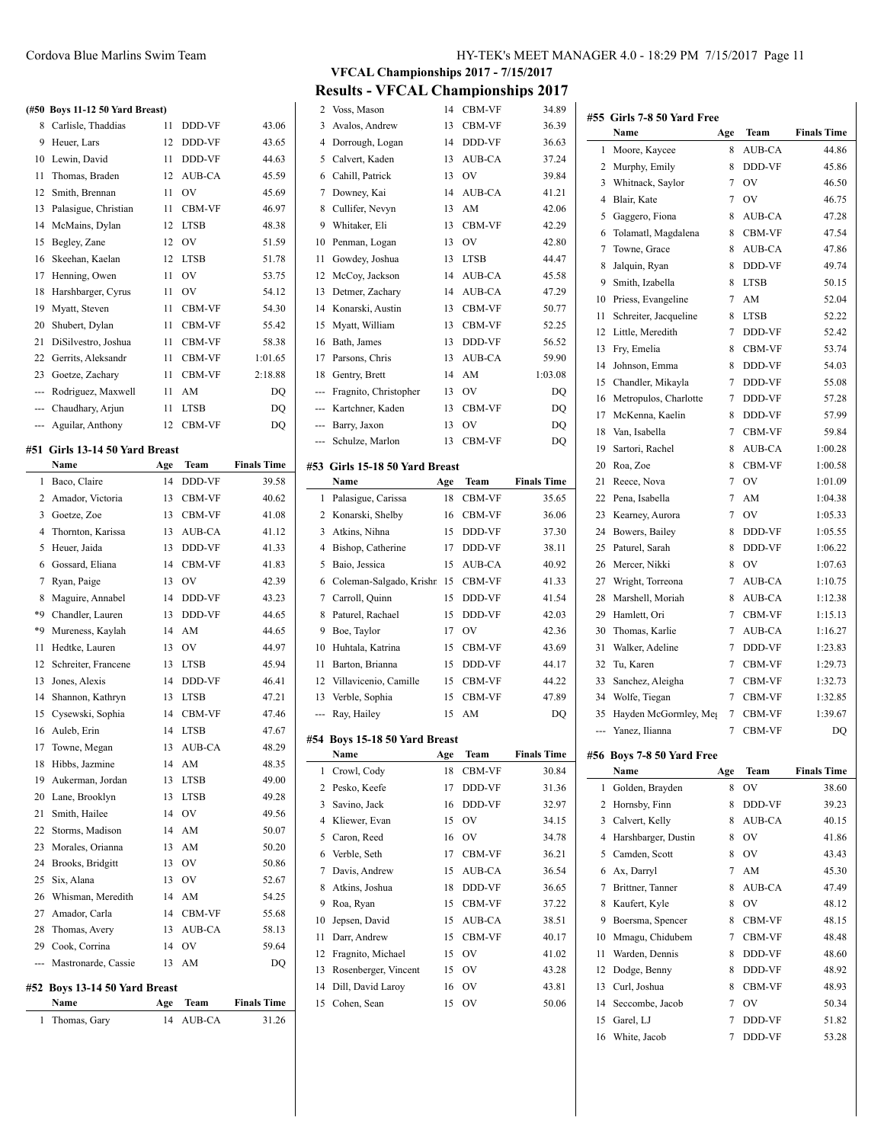#### **(#50 Boys 11-12 50 Yard Breast)**

| (#50           | Boys 11-12 50 Yard Breast)        |     |               |                    |
|----------------|-----------------------------------|-----|---------------|--------------------|
| 8              | Carlisle, Thaddias                | 11  | DDD-VF        | 43.06              |
| 9              | Heuer, Lars                       | 12  | DDD-VF        | 43.65              |
| 10             | Lewin, David                      | 11  | DDD-VF        | 44.63              |
| 11             | Thomas, Braden                    | 12  | AUB-CA        | 45.59              |
| 12             | Smith, Brennan                    | 11  | OV            | 45.69              |
| 13             | Palasigue, Christian              | 11  | CBM-VF        | 46.97              |
| 14             | McMains, Dylan                    | 12  | <b>LTSB</b>   | 48.38              |
| 15             | Begley, Zane                      | 12  | <b>OV</b>     | 51.59              |
| 16             | Skeehan, Kaelan                   | 12  | <b>LTSB</b>   | 51.78              |
| 17             | Henning, Owen                     | 11  | OV            | 53.75              |
| 18             | Harshbarger, Cyrus                | 11  | OV            | 54.12              |
| 19             | Myatt, Steven                     | 11  | CBM-VF        | 54.30              |
| 20             | Shubert, Dylan                    | 11  | CBM-VF        | 55.42              |
| 21             | DiSilvestro, Joshua               | 11  | CBM-VF        | 58.38              |
| 22             | Gerrits, Aleksandr                | 11  | CBM-VF        | 1:01.65            |
| 23             | Goetze, Zachary                   | 11  | CBM-VF        | 2:18.88            |
| $\overline{a}$ | Rodriguez, Maxwell                | 11  | AM            | DQ                 |
| ---            | Chaudhary, Arjun                  | 11  | <b>LTSB</b>   | DQ                 |
| ---            | Aguilar, Anthony                  | 12  | CBM-VF        | DO                 |
| #51            | Girls 13-14 50 Yard Breast        |     |               |                    |
|                | Name                              | Age | Team          | <b>Finals Time</b> |
| 1              | Baco, Claire                      | 14  | DDD-VF        | 39.58              |
| 2              | Amador, Victoria                  | 13  | CBM-VF        | 40.62              |
| 3              | Goetze, Zoe                       | 13  | <b>CBM-VF</b> | 41.08              |
| 4              | Thornton, Karissa                 | 13  | AUB-CA        | 41.12              |
| 5              | Heuer, Jaida                      | 13  | DDD-VF        | 41.33              |
| 6              | Gossard, Eliana                   | 14  | CBM-VF        | 41.83              |
| 7              | Ryan, Paige                       | 13  | OV            | 42.39              |
| 8              | Maguire, Annabel                  | 14  | DDD-VF        | 43.23              |
| *9             | Chandler, Lauren                  | 13  | DDD-VF        | 44.65              |
| *9             | Mureness, Kaylah                  | 14  | AM            | 44.65              |
| 11             | Hedtke, Lauren                    | 13  | OV            | 44.97              |
| 12             | Schreiter, Francene               | 13  | <b>LTSB</b>   | 45.94              |
| 13             | Jones, Alexis                     | 14  | DDD-VF        | 46.41              |
| 14             | Shannon, Kathryn                  | 13  | <b>LTSB</b>   | 47.21              |
| 15             | Cysewski, Sophia                  | 14  | CBM-VF        | 47.46              |
| 16             | Auleb, Erin                       | 14  | <b>LTSB</b>   | 47.67              |
| 17             | Towne, Megan                      | 13  | <b>AUB-CA</b> | 48.29              |
| 18             | Hibbs, Jazmine                    | 14  | AM            | 48.35              |
| 19             | Aukerman, Jordan                  | 13  | <b>LTSB</b>   | 49.00              |
| 20             | Lane, Brooklyn                    | 13  | <b>LTSB</b>   | 49.28              |
| 21             | Smith, Hailee                     | 14  | OV            | 49.56              |
| 22             | Storms, Madison                   | 14  | AM            | 50.07              |
| 23             | Morales, Orianna                  | 13  | AM            | 50.20              |
| 24             | Brooks, Bridgitt                  | 13  | OV            | 50.86              |
| 25             | Six, Alana                        | 13  | OV            | 52.67              |
| 26             | Whisman, Meredith                 | 14  | AM            | 54.25              |
| 27             | Amador, Carla                     | 14  | CBM-VF        | 55.68              |
| 28             | Thomas, Avery                     | 13  | AUB-CA        | 58.13              |
| 29             | Cook, Corrina                     | 14  | OV            | 59.64              |
| ---            | Mastronarde, Cassie               | 13  | AM            | DQ                 |
|                |                                   |     |               |                    |
| #52            | Boys 13-14 50 Yard Breast<br>Name | Age | Team          | <b>Finals Time</b> |
| 1              | Thomas, Gary                      | 14  | AUB-CA        | 31.26              |
|                |                                   |     |               |                    |

**VFCAL Championships 2017 - 7/15/2017**

# **Results - VFCAL Championships 2017**<br>2. Voss Mason 14 CBM-VF 34.89

| 2        | Voss, Mason                      | 14       | CBM-VF      | 34.89              |
|----------|----------------------------------|----------|-------------|--------------------|
| 3        | Avalos, Andrew                   | 13       | CBM-VF      | 36.39              |
| 4        | Dorrough, Logan                  | 14       | DDD-VF      | 36.63              |
| 5        | Calvert, Kaden                   | 13       | AUB-CA      | 37.24              |
| 6        | Cahill, Patrick                  | 13       | OV          | 39.84              |
| 7        | Downey, Kai                      | 14       | AUB-CA      | 41.21              |
| 8        | Cullifer, Nevyn                  | 13       | AM          | 42.06              |
| 9        | Whitaker, Eli                    | 13       | CBM-VF      | 42.29              |
| 10       | Penman, Logan                    | 13       | OV          | 42.80              |
| 11       | Gowdey, Joshua                   | 13       | <b>LTSB</b> | 44.47              |
| 12       | McCoy, Jackson                   | 14       | AUB-CA      | 45.58              |
| 13       | Detmer, Zachary                  | 14       | AUB-CA      | 47.29              |
| 14       | Konarski, Austin                 | 13       | CBM-VF      | 50.77              |
| 15       | Myatt, William                   | 13       | CBM-VF      | 52.25              |
| 16       | Bath, James                      | 13       | DDD-VF      | 56.52              |
| 17       | Parsons, Chris                   | 13       | AUB-CA      | 59.90              |
| 18       | Gentry, Brett                    | 14       | AM          | 1:03.08            |
| ---      | Fragnito, Christopher            | 13       | <b>OV</b>   | DQ                 |
| ---      | Kartchner, Kaden                 | 13       | CBM-VF      | DO                 |
| ---      | Barry, Jaxon                     | 13       | OV          | DQ                 |
| ---      | Schulze, Marlon                  | 13       | CBM-VF      | DQ                 |
|          |                                  |          |             |                    |
|          | #53 Girls 15-18 50 Yard Breast   |          |             |                    |
|          | Name                             | Age      | Team        | <b>Finals Time</b> |
| 1        | Palasigue, Carissa               | 18       | CBM-VF      | 35.65              |
| 2        | Konarski, Shelby                 | 16       | CBM-VF      | 36.06              |
| 3        | Atkins, Nihna                    | 15       | DDD-VF      | 37.30              |
| 4        | Bishop, Catherine                | 17       | DDD-VF      | 38.11              |
|          |                                  |          |             |                    |
| 5        | Baio, Jessica                    | 15       | AUB-CA      | 40.92              |
| 6        | Coleman-Salgado, Krishn          | 15       | CBM-VF      | 41.33              |
| 7        | Carroll, Quinn                   | 15       | DDD-VF      | 41.54              |
| 8        | Paturel, Rachael                 | 15       | DDD-VF      | 42.03              |
| 9        | Boe, Taylor                      | 17       | OV          | 42.36              |
| 10       | Huhtala, Katrina                 | 15       | CBM-VF      | 43.69              |
| 11       | Barton, Brianna                  | 15       | DDD-VF      | 44.17              |
| 12       | Villavicenio, Camille            | 15       | CBM-VF      | 44.22              |
| 13       | Verble, Sophia                   | 15       | CBM-VF      | 47.89              |
| ---      | Ray, Hailey                      | 15       | AM          | DQ                 |
|          |                                  |          |             |                    |
|          | #54 Boys 15-18 50 Yard Breast    |          |             |                    |
|          | Name                             | Age      | Team        | <b>Finals Time</b> |
| 1        | Crowl, Cody                      | 18       | CBM-VF      | 30.84              |
| 2        | Pesko, Keefe                     | 17       | DDD-VF      | 31.36              |
| 3        | Savino, Jack                     | 16       | DDD-VF      | 32.97              |
| 4        | Kliewer, Evan                    | 15       | OV          | 34.15              |
| 5        | Caron, Reed                      | 16       | OV          | 34.78              |
| 6        | Verble, Seth                     | 17       | CBM-VF      | 36.21              |
| 7        | Davis, Andrew                    | 15       | AUB-CA      | 36.54              |
| 8        | Atkins, Joshua                   | 18       | DDD-VF      | 36.65              |
| 9        | Roa, Ryan                        | 15       | CBM-VF      | 37.22              |
| 10       | Jepsen, David                    | 15       | AUB-CA      | 38.51              |
| 11       | Darr, Andrew                     | 15       | CBM-VF      | 40.17              |
| 12       | Fragnito, Michael                | 15       | OV          | 41.02              |
| 13       | Rosenberger, Vincent             | 15       | OV          | 43.28              |
| 14<br>15 | Dill, David Laroy<br>Cohen, Sean | 16<br>15 | OV<br>OV    | 43.81<br>50.06     |

|     | #55 Girls 7-8 50 Yard Free |     |             |                    |
|-----|----------------------------|-----|-------------|--------------------|
|     | <b>Name</b>                | Age | Team        | <b>Finals Time</b> |
| 1   | Moore, Kaycee              | 8   | AUB-CA      | 44.86              |
| 2   | Murphy, Emily              | 8   | DDD-VF      | 45.86              |
| 3   | Whitnack, Saylor           | 7   | OV          | 46.50              |
| 4   | Blair, Kate                | 7   | OV          | 46.75              |
| 5   | Gaggero, Fiona             | 8   | AUB-CA      | 47.28              |
| 6   | Tolamatl, Magdalena        | 8   | CBM-VF      | 47.54              |
| 7   | Towne, Grace               | 8   | AUB-CA      | 47.86              |
| 8   | Jalquin, Ryan              | 8   | DDD-VF      | 49.74              |
| 9   | Smith, Izabella            | 8   | <b>LTSB</b> | 50.15              |
| 10  | Priess, Evangeline         | 7   | AM          | 52.04              |
| 11  | Schreiter, Jacqueline      | 8   | <b>LTSB</b> | 52.22              |
| 12  | Little, Meredith           | 7   | DDD-VF      | 52.42              |
| 13  | Fry, Emelia                | 8   | CBM-VF      | 53.74              |
| 14  | Johnson, Emma              | 8   | DDD-VF      | 54.03              |
| 15  | Chandler, Mikayla          | 7   | DDD-VF      | 55.08              |
| 16  | Metropulos, Charlotte      | 7   | DDD-VF      | 57.28              |
| 17  | McKenna, Kaelin            | 8   | DDD-VF      | 57.99              |
| 18  | Van, Isabella              | 7   | CBM-VF      | 59.84              |
| 19  | Sartori, Rachel            | 8   | AUB-CA      | 1:00.28            |
| 20  | Roa, Zoe                   | 8   | CBM-VF      | 1:00.58            |
| 21  | Reece, Nova                | 7   | OV          | 1:01.09            |
| 22  | Pena, Isabella             | 7   | AM          | 1:04.38            |
| 23  | Kearney, Aurora            | 7   | OV          | 1:05.33            |
| 24  | Bowers, Bailey             | 8   | DDD-VF      | 1:05.55            |
| 25  | Paturel, Sarah             | 8   | DDD-VF      | 1:06.22            |
| 26  | Mercer, Nikki              | 8   | OV          | 1:07.63            |
| 27  | Wright, Torreona           | 7   | AUB-CA      | 1:10.75            |
| 28  | Marshell, Moriah           | 8   | AUB-CA      | 1:12.38            |
| 29  | Hamlett, Ori               | 7   | CBM-VF      | 1:15.13            |
| 30  | Thomas, Karlie             | 7   | AUB-CA      | 1:16.27            |
| 31  | Walker, Adeline            | 7   | DDD-VF      | 1:23.83            |
| 32  | Tu, Karen                  | 7   | CBM-VF      | 1:29.73            |
| 33  |                            | 7   | CBM-VF      | 1:32.73            |
|     | Sanchez, Aleigha           | 7   | CBM-VF      |                    |
| 34  | Wolfe, Tiegan              |     |             | 1:32.85            |
| 35  | Hayden McGormley, Meg      | 7   | CBM-VF      | 1:39.67            |
| --- | Yanez, Ilianna             | 7   | CBM-VF      | DQ                 |
| #56 | Boys 7-8 50 Yard Free      |     |             |                    |
|     | Name                       | Age | Team        | <b>Finals Time</b> |
| 1   | Golden, Brayden            | 8   | OV          | 38.60              |
| 2   | Hornsby, Finn              | 8   | DDD-VF      | 39.23              |
| 3   | Calvert, Kelly             | 8   | AUB-CA      | 40.15              |
| 4   | Harshbarger, Dustin        | 8   | OV          | 41.86              |
| 5   | Camden, Scott              | 8   | OV          | 43.43              |
| 6   | Ax, Darryl                 | 7   | AM          | 45.30              |
| 7   | Brittner, Tanner           | 8   | AUB-CA      | 47.49              |
| 8   | Kaufert, Kyle              | 8   | OV          | 48.12              |
| 9   | Boersma, Spencer           | 8   | CBM-VF      | 48.15              |
| 10  | Mmagu, Chidubem            | 7   | CBM-VF      | 48.48              |
| 11  | Warden, Dennis             | 8   | DDD-VF      | 48.60              |
| 12  | Dodge, Benny               | 8   | DDD-VF      | 48.92              |
| 13  | Curl, Joshua               | 8   | CBM-VF      | 48.93              |
| 14  | Seccombe, Jacob            | 7   | OV          | 50.34              |
| 15  | Garel, LJ                  | 7   | DDD-VF      | 51.82              |

White, Jacob 7 DDD-VF 53.28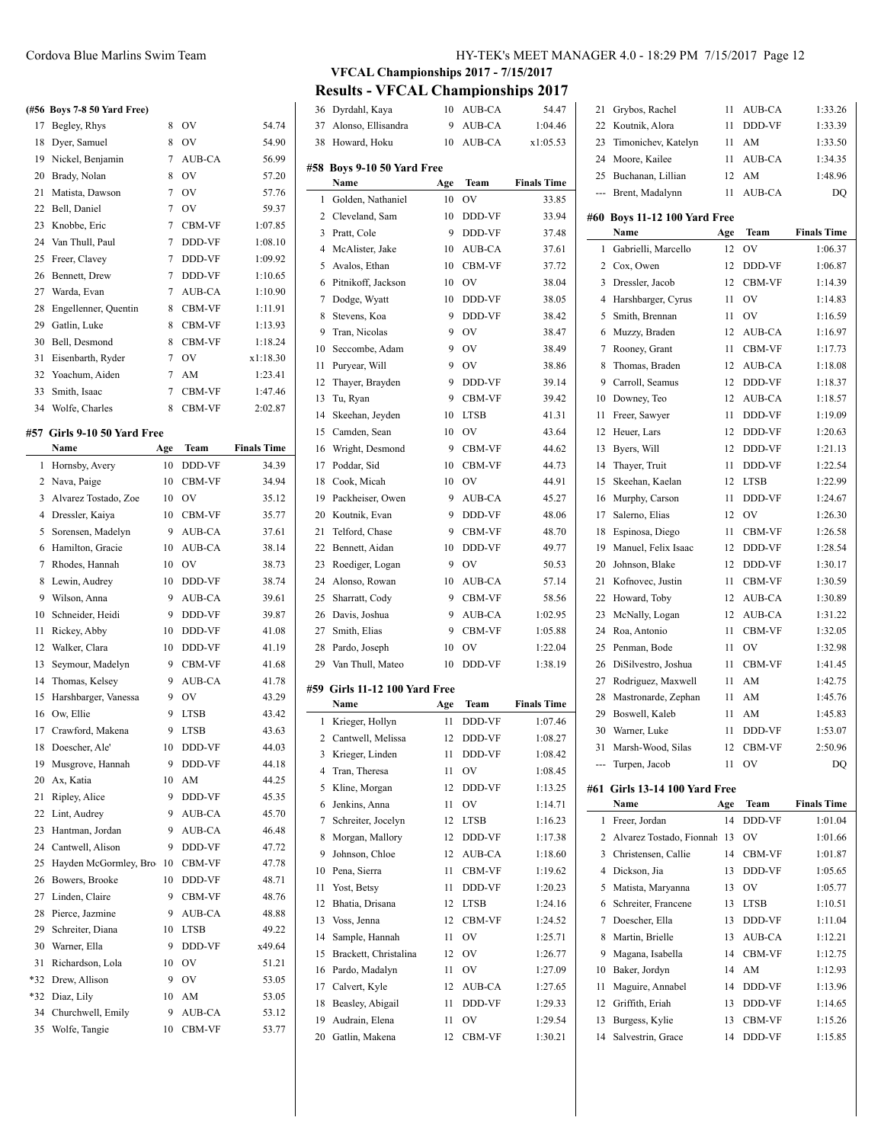#### **(#56 Boys 7-8 50 Yard Free)**

| 17 | Begley, Rhys         | 8 | OV            | 54.74    |
|----|----------------------|---|---------------|----------|
| 18 | Dyer, Samuel         | 8 | OV            | 54.90    |
| 19 | Nickel, Benjamin     | 7 | <b>AUB-CA</b> | 56.99    |
| 20 | Brady, Nolan         | 8 | OV            | 57.20    |
| 21 | Matista, Dawson      | 7 | OV            | 57.76    |
| 22 | Bell, Daniel         | 7 | OV            | 59.37    |
| 23 | Knobbe, Eric         | 7 | CBM-VF        | 1:07.85  |
| 24 | Van Thull, Paul      | 7 | DDD-VF        | 1:08.10  |
| 25 | Freer, Clavey        | 7 | DDD-VF        | 1:09.92  |
| 26 | Bennett, Drew        | 7 | DDD-VF        | 1:10.65  |
| 27 | Warda, Evan          | 7 | AUB-CA        | 1:10.90  |
| 28 | Engellenner, Quentin | 8 | CBM-VF        | 1:11.91  |
| 29 | Gatlin, Luke         | 8 | CBM-VF        | 1:13.93  |
| 30 | Bell, Desmond        | 8 | CBM-VF        | 1:18.24  |
| 31 | Eisenbarth, Ryder    | 7 | OV            | x1:18.30 |
| 32 | Yoachum, Aiden       | 7 | AM            | 1:23.41  |
| 33 | Smith, Isaac         | 7 | CBM-VF        | 1:47.46  |
| 34 | Wolfe, Charles       | 8 | <b>CBM-VF</b> | 2:02.87  |

#### **#57 Girls 9-10 50 Yard Free**

|                | Name                  | Age | Team          | <b>Finals Time</b> |
|----------------|-----------------------|-----|---------------|--------------------|
| 1              | Hornsby, Avery        | 10  | DDD-VF        | 34.39              |
| 2              | Nava, Paige           | 10  | CBM-VF        | 34.94              |
| 3              | Alvarez Tostado, Zoe  | 10  | OV            | 35.12              |
| $\overline{4}$ | Dressler, Kaiya       | 10  | CBM-VF        | 35.77              |
| 5              | Sorensen, Madelyn     | 9   | AUB-CA        | 37.61              |
| 6              | Hamilton, Gracie      | 10  | AUB-CA        | 38.14              |
| 7              | Rhodes, Hannah        | 10  | OV            | 38.73              |
| 8              | Lewin, Audrey         | 10  | DDD-VF        | 38.74              |
| 9              | Wilson, Anna          | 9   | AUB-CA        | 39.61              |
| 10             | Schneider, Heidi      | 9   | DDD-VF        | 39.87              |
| 11             | Rickey, Abby          | 10  | DDD-VF        | 41.08              |
| 12             | Walker, Clara         | 10  | DDD-VF        | 41.19              |
| 13             | Seymour, Madelyn      | 9   | CBM-VF        | 41.68              |
| 14             | Thomas, Kelsey        | 9   | <b>AUB-CA</b> | 41.78              |
| 15             | Harshbarger, Vanessa  | 9   | OV            | 43.29              |
| 16             | Ow, Ellie             | 9   | <b>LTSB</b>   | 43.42              |
| 17             | Crawford, Makena      | 9   | <b>LTSB</b>   | 43.63              |
| 18             | Doescher, Ale'        | 10  | DDD-VF        | 44.03              |
| 19             | Musgrove, Hannah      | 9   | DDD-VF        | 44.18              |
| 20             | Ax, Katia             | 10  | AM            | 44.25              |
| 21             | Ripley, Alice         | 9   | DDD-VF        | 45.35              |
| 22             | Lint, Audrey          | 9   | AUB-CA        | 45.70              |
| 23             | Hantman, Jordan       | 9   | AUB-CA        | 46.48              |
| 24             | Cantwell, Alison      | 9   | DDD-VF        | 47.72              |
| 25             | Hayden McGormley, Bro | 10  | CBM-VF        | 47.78              |
| 26             | Bowers, Brooke        | 10  | DDD-VF        | 48.71              |
| 27             | Linden, Claire        | 9   | <b>CBM-VF</b> | 48.76              |
| 28             | Pierce, Jazmine       | 9   | AUB-CA        | 48.88              |
| 29             | Schreiter, Diana      | 10  | <b>LTSB</b>   | 49.22              |
| 30             | Warner, Ella          | 9   | DDD-VF        | x49.64             |
| 31             | Richardson, Lola      | 10  | OV            | 51.21              |
| *32            | Drew, Allison         | 9   | OV            | 53.05              |
| *32            | Diaz, Lily            | 10  | AM            | 53.05              |
| 34             | Churchwell, Emily     | 9   | AUB-CA        | 53.12              |
| 35             | Wolfe, Tangie         | 10  | CBM-VF        | 53.77              |

# Cordova Blue Marlins Swim Team HY-TEK's MEET MANAGER 4.0 - 18:29 PM 7/15/2017 Page 12

# **VFCAL Championships 2017 - 7/15/2017**

**Results - VFCAL Championships 2017**

| 36       | Dyrdahl, Kaya                       | 10       | AUB-CA        | 54.47              |
|----------|-------------------------------------|----------|---------------|--------------------|
| 37       | Alonso, Ellisandra                  | 9        | AUB-CA        | 1:04.46            |
| 38       | Howard, Hoku                        | 10       | AUB-CA        | x1:05.53           |
|          |                                     |          |               |                    |
| #58      | Boys 9-10 50 Yard Free              |          |               |                    |
|          | Name                                | Age      | Team          | <b>Finals Time</b> |
| 1        | Golden, Nathaniel                   | 10       | OV            | 33.85              |
| 2        | Cleveland, Sam                      | 10       | DDD-VF        | 33.94              |
| 3        | Pratt, Cole                         | 9        | DDD-VF        | 37.48              |
| 4        | McAlister, Jake                     | 10       | AUB-CA        | 37.61              |
| 5        | Avalos, Ethan                       | 10       | CBM-VF        | 37.72              |
| 6        | Pitnikoff, Jackson                  | 10       | OV            | 38.04              |
| 7        | Dodge, Wyatt                        | 10       | DDD-VF        | 38.05              |
| 8        | Stevens, Koa                        | 9        | DDD-VF        | 38.42              |
| 9        | Tran, Nicolas                       | 9        | OV            | 38.47              |
| 10       | Seccombe, Adam                      | 9        | OV            | 38.49              |
| 11       | Puryear, Will                       | 9        | OV            | 38.86              |
| 12       | Thayer, Brayden                     | 9        | DDD-VF        | 39.14              |
| 13       | Tu, Ryan                            | 9        | CBM-VF        | 39.42              |
|          |                                     |          |               |                    |
| 14       | Skeehan, Jeyden                     | 10       | <b>LTSB</b>   | 41.31              |
| 15       | Camden, Sean                        | 10       | OV            | 43.64              |
| 16       | Wright, Desmond                     | 9        | CBM-VF        | 44.62              |
| 17       | Poddar, Sid                         | 10       | CBM-VF        | 44.73              |
| 18       | Cook, Micah                         | 10       | OV            | 44.91              |
| 19       | Packheiser, Owen                    | 9        | AUB-CA        | 45.27              |
| 20       | Koutnik, Evan                       | 9        | DDD-VF        | 48.06              |
| 21       | Telford, Chase                      | 9        | <b>CBM-VF</b> | 48.70              |
| 22       | Bennett, Aidan                      | 10       | DDD-VF        | 49.77              |
| 23       | Roediger, Logan                     | 9        | OV            | 50.53              |
| 24       | Alonso, Rowan                       | 10       | AUB-CA        | 57.14              |
| 25       | Sharratt, Cody                      | 9        | CBM-VF        | 58.56              |
| 26       | Davis, Joshua                       | 9        | AUB-CA        | 1:02.95            |
| 27       | Smith, Elias                        | 9        | CBM-VF        | 1:05.88            |
| 28       | Pardo, Joseph                       | 10       | OV            | 1:22.04            |
| 29       | Van Thull, Mateo                    | 10       | DDD-VF        | 1:38.19            |
|          |                                     |          |               |                    |
|          | #59 Girls 11-12 100 Yard Free       |          |               |                    |
|          | Name                                | Age      | Team          | <b>Finals Time</b> |
| 1        | Krieger, Hollyn                     | 11       | <b>DDD-VF</b> | 1:07.46            |
| 2        | Cantwell, Melissa                   | 12       | <b>DDD-VF</b> | 1:08.27            |
| 3        | Krieger, Linden                     | 11       | DDD-VF        | 1:08.42            |
| 4        | Tran, Theresa                       | 11       |               | 1:08.45            |
| 5        |                                     |          | OV            |                    |
| 6        | Kline, Morgan                       | 12       | DDD-VF        | 1:13.25            |
|          | Jenkins, Anna                       | 11       | OV            | 1:14.71            |
| 7        | Schreiter, Jocelyn                  | 12       | <b>LTSB</b>   | 1:16.23            |
| 8        | Morgan, Mallory                     | 12       | DDD-VF        | 1:17.38            |
| 9        | Johnson, Chloe                      | 12       | AUB-CA        | 1:18.60            |
| 10       | Pena, Sierra                        | 11       | CBM-VF        | 1:19.62            |
|          |                                     | 11       |               |                    |
| 11<br>12 | Yost, Betsy<br>Bhatia, Drisana      | 12       | DDD-VF        | 1:20.23            |
|          |                                     |          | <b>LTSB</b>   | 1:24.16            |
| 13       | Voss, Jenna                         | 12       | CBM-VF        | 1:24.52            |
| 14       | Sample, Hannah                      | 11       | OV            | 1:25.71            |
| 15       | Brackett, Christalina               | 12       | OV            | 1:26.77            |
| 16       | Pardo, Madalyn                      | 11       | OV            | 1:27.09            |
| 17       | Calvert, Kyle                       | 12       | AUB-CA        | 1:27.65            |
| 18       | Beasley, Abigail                    | 11       | DDD-VF        | 1:29.33            |
| 19       | Audrain, Elena<br>20 Gatlin, Makena | 11<br>12 | OV<br>CBM-VF  | 1:29.54<br>1:30.21 |

| 21  | Grybos, Rachel                   | 11  | AUB-CA      | 1:33.26            |
|-----|----------------------------------|-----|-------------|--------------------|
| 22  | Koutnik, Alora                   | 11  | DDD-VF      | 1:33.39            |
| 23  | Timonichev, Katelyn              | 11  | AM          | 1:33.50            |
| 24  | Moore, Kailee                    | 11  | AUB-CA      | 1:34.35            |
| 25  | Buchanan, Lillian                | 12  | AM          | 1:48.96            |
|     | --- Brent, Madalynn              | 11  | AUB-CA      | DQ                 |
|     |                                  |     |             |                    |
|     | #60 Boys 11-12 100 Yard Free     |     |             |                    |
|     | Name                             | Age | <b>Team</b> | <b>Finals Time</b> |
| 1   | Gabrielli, Marcello              | 12  | OV          | 1:06.37            |
| 2   | Cox, Owen                        | 12  | DDD-VF      | 1:06.87            |
| 3   | Dressler, Jacob                  | 12  | CBM-VF      | 1:14.39            |
| 4   | Harshbarger, Cyrus               | 11  | OV          | 1:14.83            |
| 5   | Smith, Brennan                   | 11  | OV          | 1:16.59            |
| 6   | Muzzy, Braden                    | 12  | AUB-CA      | 1:16.97            |
| 7   | Rooney, Grant                    | 11  | CBM-VF      | 1:17.73            |
| 8   | Thomas, Braden                   | 12  | AUB-CA      | 1:18.08            |
| 9   | Carroll, Seamus                  | 12  | DDD-VF      | 1:18.37            |
| 10  | Downey, Teo                      | 12  | AUB-CA      | 1:18.57            |
| 11  | Freer, Sawyer                    | 11  | DDD-VF      | 1:19.09            |
| 12  | Heuer, Lars                      | 12  | DDD-VF      | 1:20.63            |
| 13  | Byers, Will                      | 12  | DDD-VF      | 1:21.13            |
| 14  | Thaver, Truit                    | 11  | DDD-VF      | 1:22.54            |
| 15  | Skeehan, Kaelan                  | 12  | <b>LTSB</b> | 1:22.99            |
| 16  | Murphy, Carson                   | 11  | DDD-VF      | 1:24.67            |
| 17  | Salerno, Elias                   | 12  | OV          | 1:26.30            |
| 18  | Espinosa, Diego                  | 11  | CBM-VF      | 1:26.58            |
| 19  | Manuel, Felix Isaac              | 12  | DDD-VF      | 1:28.54            |
| 20  | Johnson, Blake                   | 12  | DDD-VF      | 1:30.17            |
| 21  | Kofnovec, Justin                 | 11  | CBM-VF      | 1:30.59            |
| 22  | Howard, Toby                     | 12  | AUB-CA      | 1:30.89            |
| 23  | McNally, Logan                   | 12  | AUB-CA      | 1:31.22            |
| 24  | Roa, Antonio                     | 11  | CBM-VF      | 1:32.05            |
| 25  | Penman, Bode                     | 11  | OV          | 1:32.98            |
| 26  | DiSilvestro, Joshua              | 11  | CBM-VF      | 1:41.45            |
| 27  | Rodriguez, Maxwell               | 11  | AM          | 1:42.75            |
| 28  | Mastronarde, Zephan              | 11  | AM          | 1:45.76            |
| 29  | Boswell, Kaleb                   | 11  | AM          | 1:45.83            |
| 30  | Warner, Luke                     | 11  | DDD-VF      | 1:53.07            |
|     | 31 Marsh-Wood, Silas             |     | 12 CBM-VF   | 2:50.96            |
| --- | Turpen, Jacob                    | 11  | OV          | DQ                 |
| #61 | <b>Girls 13-14 100 Yard Free</b> |     |             |                    |
|     | Name                             | Age | Team        | <b>Finals Time</b> |
| 1   | Freer, Jordan                    | 14  | DDD-VF      | 1:01.04            |
| 2   | Alvarez Tostado, Fionnah         | 13  | OV          | 1:01.66            |
| 3   | Christensen, Callie              | 14  | CBM-VF      | 1:01.87            |
| 4   | Dickson, Jia                     | 13  | DDD-VF      | 1:05.65            |
| 5   | Matista, Maryanna                | 13  | OV          | 1:05.77            |
| 6   | Schreiter, Francene              | 13  | LTSB        | 1:10.51            |
| 7   | Doescher, Ella                   | 13  | DDD-VF      | 1:11.04            |
| 8   | Martin, Brielle                  | 13  | AUB-CA      | 1:12.21            |
| 9   | Magana, Isabella                 | 14  | CBM-VF      | 1:12.75            |
| 10  | Baker, Jordyn                    | 14  | AM          | 1:12.93            |
| 11  | Maguire, Annabel                 | 14  | DDD-VF      | 1:13.96            |
| 12  | Griffith, Eriah                  | 13  | DDD-VF      | 1:14.65            |
| 13  | Burgess, Kylie                   | 13  | CBM-VF      | 1:15.26            |
| 14  | Salvestrin, Grace                | 14  | DDD-VF      | 1:15.85            |
|     |                                  |     |             |                    |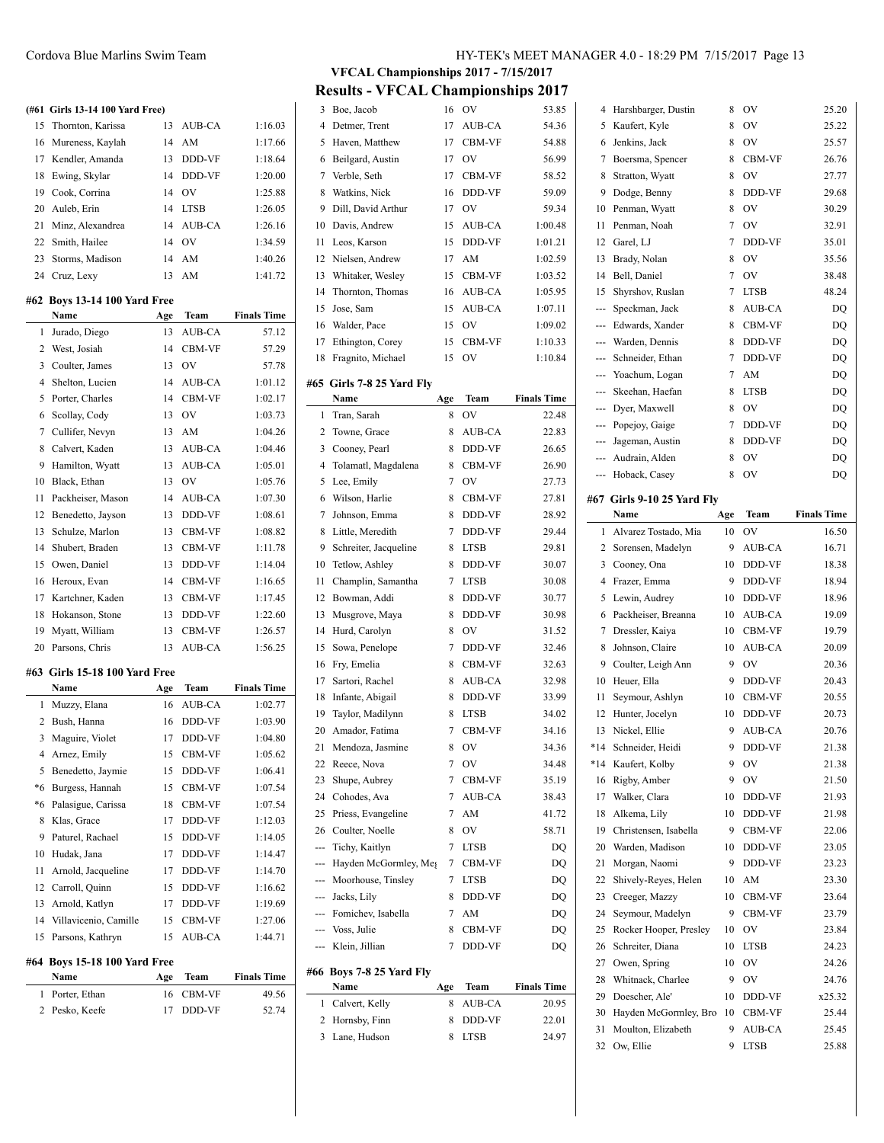#### **(#61 Girls 13-14 100 Yard Free)**

|    | 15 Thornton, Karissa |     | 13 AUB-CA      | 1:16.03 |
|----|----------------------|-----|----------------|---------|
|    | 16 Mureness, Kaylah  |     | 14 AM          | 1:17.66 |
|    | 17 Kendler, Amanda   | 13  | <b>DDD-VF</b>  | 1:18.64 |
|    | 18 Ewing, Skylar     | 14  | DDD-VF         | 1:20.00 |
|    | 19 Cook, Corrina     | 14  | O <sub>V</sub> | 1:25.88 |
|    | 20 Auleb, Erin       | 14  | <b>LTSB</b>    | 1:26.05 |
|    | 21 Minz, Alexandrea  |     | 14 AUB-CA      | 1:26.16 |
|    | 22 Smith, Hailee     | 14  | - OV           | 1:34.59 |
| 23 | Storms, Madison      |     | 14 AM          | 1:40.26 |
|    | 24 Cruz, Lexy        | 13. | AM             | 1:41.72 |

#### **#62 Boys 13-14 100 Yard Free**

 $\overline{a}$ 

|                | Name                           | Age | Team          | <b>Finals Time</b> |
|----------------|--------------------------------|-----|---------------|--------------------|
| $\mathbf{1}$   | Jurado, Diego                  | 13  | <b>AUB-CA</b> | 57.12              |
| $\overline{c}$ | West, Josiah                   | 14  | CBM-VF        | 57.29              |
| 3              | Coulter, James                 | 13  | OV            | 57.78              |
| 4              | Shelton, Lucien                | 14  | AUB-CA        | 1:01.12            |
| 5              | Porter, Charles                | 14  | CBM-VF        | 1:02.17            |
| 6              | Scollay, Cody                  | 13  | OV            | 1:03.73            |
| 7              | Cullifer, Nevyn                | 13  | AM            | 1:04.26            |
| 8              | Calvert, Kaden                 | 13  | AUB-CA        | 1:04.46            |
| 9              | Hamilton, Wyatt                | 13  | AUB-CA        | 1:05.01            |
| 10             | Black, Ethan                   | 13  | OV            | 1:05.76            |
| 11             | Packheiser, Mason              | 14  | AUB-CA        | 1:07.30            |
| 12             | Benedetto, Jayson              | 13  | DDD-VF        | 1:08.61            |
| 13             | Schulze, Marlon                | 13  | CBM-VF        | 1:08.82            |
| 14             | Shubert, Braden                | 13  | CBM-VF        | 1:11.78            |
| 15             | Owen, Daniel                   | 13  | DDD-VF        | 1:14.04            |
| 16             | Heroux, Evan                   | 14  | CBM-VF        | 1:16.65            |
| 17             | Kartchner, Kaden               | 13  | CBM-VF        | 1:17.45            |
| 18             | Hokanson, Stone                | 13  | DDD-VF        | 1:22.60            |
| 19             | Myatt, William                 | 13  | CBM-VF        | 1:26.57            |
| 20             | Parsons, Chris                 | 13  | AUB-CA        | 1:56.25            |
|                | #63  Girls 15-18 100 Yard Free |     |               |                    |
|                | Name                           | Age | Team          | <b>Finals Time</b> |
| 1              | Muzzy, Elana                   | 16  | <b>AUB-CA</b> | 1:02.77            |
| $\overline{c}$ | Bush, Hanna                    | 16  | DDD-VF        | 1:03.90            |
| 3              | Maguire, Violet                | 17  | DDD-VF        | 1:04.80            |
| $\overline{4}$ | Arnez, Emily                   | 15  | CBM-VF        | 1:05.62            |
| 5              | Benedetto, Jaymie              | 15  | DDD-VF        | 1:06.41            |
| *6             | Burgess, Hannah                | 15  | CBM-VF        | 1:07.54            |
| $*_{6}$        | Palasigue, Carissa             | 18  | CBM-VF        | 1:07.54            |
| 8              | Klas, Grace                    | 17  | DDD-VF        | 1:12.03            |
| 9              | Paturel, Rachael               | 15  | DDD-VF        | 1:14.05            |
| 10             | Hudak, Jana                    | 17  | DDD-VF        | 1:14.47            |
| 11             | Arnold, Jacqueline             | 17  | DDD-VF        | 1:14.70            |
| 12             | Carroll, Quinn                 | 15  | DDD-VF        | 1:16.62            |
| 13             | Arnold, Katlyn                 | 17  | DDD-VF        | 1:19.69            |
| 14             | Villavicenio, Camille          | 15  | CBM-VF        | 1:27.06            |
| 15             | Parsons, Kathryn               | 15  | AUB-CA        | 1:44.71            |
|                |                                |     |               |                    |
|                | #64 Boys 15-18 100 Yard Free   |     |               |                    |

| Name            | Age Team  | <b>Finals Time</b> |
|-----------------|-----------|--------------------|
| 1 Porter, Ethan | 16 CBM-VF | 49.56              |
| 2 Pesko, Keefe  | 17 DDD-VF | 52.74              |

**VFCAL Championships 2017 - 7/15/2017 Results - VFCAL Championships 2017**

|                | Results - V PUALI UNAMPHONSMIPS 2017 |        |                |                    |     |                            |     |               |                    |
|----------------|--------------------------------------|--------|----------------|--------------------|-----|----------------------------|-----|---------------|--------------------|
|                | 3 Boe, Jacob                         | 16     | OV             | 53.85              |     | 4 Harshbarger, Dustin      | 8   | 0V            | 25.20              |
|                | 4 Detmer, Trent                      | 17     | AUB-CA         | 54.36              | 5   | Kaufert, Kyle              | 8   | <b>OV</b>     | 25.22              |
| 5              | Haven, Matthew                       | 17     | <b>CBM-VF</b>  | 54.88              | 6   | Jenkins, Jack              | 8   | 0V            | 25.57              |
| 6              | Beilgard, Austin                     | 17     | OV             | 56.99              | 7   | Boersma, Spencer           | 8   | <b>CBM-VF</b> | 26.76              |
| 7              | Verble, Seth                         | 17     | CBM-VF         | 58.52              | 8   | Stratton, Wyatt            | 8   | <b>OV</b>     | 27.77              |
| 8              | Watkins, Nick                        | 16     | DDD-VF         | 59.09              | 9   | Dodge, Benny               | 8   | DDD-VF        | 29.68              |
| 9              | Dill, David Arthur                   | 17     | OV             | 59.34              | 10  | Penman, Wyatt              | 8   | <b>OV</b>     | 30.29              |
| 10             | Davis, Andrew                        | 15     | AUB-CA         | 1:00.48            | 11  | Penman, Noah               | 7   | <b>OV</b>     | 32.91              |
| 11             | Leos, Karson                         | 15     | DDD-VF         | 1:01.21            | 12  | Garel, LJ                  | 7   | DDD-VF        | 35.01              |
| 12             | Nielsen, Andrew                      | 17     | AM             | 1:02.59            | 13  | Brady, Nolan               | 8   | <b>OV</b>     | 35.56              |
| 13             | Whitaker, Wesley                     | 15     | <b>CBM-VF</b>  | 1:03.52            | 14  | Bell, Daniel               | 7   | <b>OV</b>     | 38.48              |
| 14             | Thornton, Thomas                     | 16     | AUB-CA         | 1:05.95            | 15  | Shyrshov, Ruslan           | 7   | <b>LTSB</b>   | 48.24              |
| 15             | Jose, Sam                            | 15     | <b>AUB-CA</b>  | 1:07.11            | --- | Speckman, Jack             | 8   | AUB-CA        | DQ                 |
| 16             | Walder, Pace                         | 15     | OV             | 1:09.02            | --- | Edwards, Xander            | 8   | <b>CBM-VF</b> | DQ                 |
| 17             | Ethington, Corey                     | 15     | <b>CBM-VF</b>  | 1:10.33            | --- | Warden, Dennis             | 8   | DDD-VF        | DQ                 |
| 18             | Fragnito, Michael                    | 15     | OV             | 1:10.84            | --- | Schneider, Ethan           | 7   | <b>DDD-VF</b> | DQ                 |
|                |                                      |        |                |                    |     | Yoachum, Logan             | 7   | AM            | DQ                 |
|                | #65 Girls 7-8 25 Yard Fly            |        |                |                    | --- | Skeehan, Haefan            | 8   | <b>LTSB</b>   | DQ                 |
|                | Name                                 | Age    | Team           | <b>Finals Time</b> | --- | Dyer, Maxwell              | 8   | <b>OV</b>     | DQ                 |
|                | 1 Tran, Sarah                        | 8      | OV             | 22.48              | --- | Popejoy, Gaige             | 7   | DDD-VF        | DQ                 |
| 2              | Towne, Grace                         | 8      | AUB-CA         | 22.83              | --- | Jageman, Austin            | 8   | DDD-VF        | DQ                 |
| 3              | Cooney, Pearl                        | 8      | DDD-VF         | 26.65              | --- | Audrain, Alden             | 8   | OV            | DQ                 |
| 4              | Tolamatl, Magdalena                  | 8      | CBM-VF         | 26.90              |     | Hoback, Casey              | 8   | <b>OV</b>     | DQ                 |
| 5              | Lee, Emily                           | 7      | OV             | 27.73              |     |                            |     |               |                    |
| 6              | Wilson, Harlie                       | 8      | CBM-VF         | 27.81              |     | #67 Girls 9-10 25 Yard Fly |     |               |                    |
| 7              | Johnson, Emma                        | 8      | DDD-VF         | 28.92              |     | Name                       | Age | Team          | <b>Finals Time</b> |
| 8              | Little, Meredith                     | 7      | DDD-VF         | 29.44              | 1   | Alvarez Tostado, Mia       | 10  | OV            | 16.50              |
| 9              | Schreiter, Jacqueline                | 8      | <b>LTSB</b>    | 29.81              | 2   | Sorensen, Madelyn          | 9   | AUB-CA        | 16.71              |
| 10             | Tetlow, Ashley                       | 8      | DDD-VF         | 30.07              | 3   | Cooney, Ona                | 10  | DDD-VF        | 18.38              |
| 11             | Champlin, Samantha                   | 7      | <b>LTSB</b>    | 30.08              | 4   | Frazer, Emma               | 9   | <b>DDD-VF</b> | 18.94              |
| 12             | Bowman, Addi                         | 8      | DDD-VF         | 30.77              | 5   | Lewin, Audrey              | 10  | DDD-VF        | 18.96              |
| 13             | Musgrove, Maya                       | 8      | DDD-VF         | 30.98              | 6   | Packheiser, Breanna        | 10  | AUB-CA        | 19.09              |
| 14             | Hurd, Carolyn                        | 8      | OV             | 31.52              | 7   | Dressler, Kaiya            | 10  | <b>CBM-VF</b> | 19.79              |
|                |                                      |        |                |                    |     |                            |     |               | 20.09              |
| 15             | Sowa, Penelope                       | 7      | DDD-VF         | 32.46              | 8   | Johnson, Claire            | 10  | AUB-CA        |                    |
| 16             | Fry, Emelia                          | 8      | CBM-VF         | 32.63              | 9   | Coulter, Leigh Ann         | 9   | <b>OV</b>     | 20.36              |
| 17             | Sartori, Rachel                      | 8      | <b>AUB-CA</b>  | 32.98              | 10  | Heuer, Ella                | 9   | DDD-VF        | 20.43              |
| 18             | Infante, Abigail                     | 8      | DDD-VF         | 33.99              | 11  | Seymour, Ashlyn            | 10  | CBM-VF        | 20.55              |
| 19             | Taylor, Madilynn                     | 8      | <b>LTSB</b>    | 34.02              | 12  | Hunter, Jocelyn            | 10  | DDD-VF        | 20.73              |
| 20             | Amador, Fatima                       | 7      | <b>CBM-VF</b>  | 34.16              | 13  | Nickel, Ellie              | 9   | AUB-CA        | 20.76              |
| 21             | Mendoza, Jasmine                     | 8      | OV             | 34.36              |     | *14 Schneider, Heidi       | 9   | DDD-VF        | 21.38              |
| 22             | Reece, Nova                          | 7      | OV             | 34.48              | *14 | Kaufert, Kolby             | 9   | OV            | 21.38              |
| 23             | Shupe, Aubrey                        | 7      | CBM-VF         | 35.19              | 16  | Rigby, Amber               | 9   | OV            | 21.50              |
| 24             | Cohodes, Ava                         | 7      | AUB-CA         | 38.43              | 17  | Walker, Clara              | 10  | DDD-VF        | 21.93              |
| 25             | Priess, Evangeline                   | 7      | AM             | 41.72              | 18  | Alkema, Lily               | 10  | DDD-VF        | 21.98              |
| 26             | Coulter, Noelle                      | 8      | OV             | 58.71              | 19  | Christensen, Isabella      | 9   | CBM-VF        | 22.06              |
| ---            | Tichy, Kaitlyn                       |        | 7 LTSB         | DQ                 | 20  | Warden, Madison            | 10  | DDD-VF        | 23.05              |
| ---            | Hayden McGormley, Meg                | 7      | CBM-VF         | DQ                 | 21  | Morgan, Naomi              | 9   | DDD-VF        | 23.23              |
| ---            | Moorhouse, Tinsley                   | 7      | <b>LTSB</b>    | DQ                 | 22  | Shively-Reyes, Helen       | 10  | AM            | 23.30              |
| ---            | Jacks, Lily                          | 8      | DDD-VF         | DQ                 | 23  | Creeger, Mazzy             | 10  | CBM-VF        | 23.64              |
| ---            | Fomichev, Isabella                   | 7      | AM             | DQ                 | 24  | Seymour, Madelyn           | 9   | CBM-VF        | 23.79              |
| ---            | Voss, Julie                          | 8      | CBM-VF         | DQ                 | 25  | Rocker Hooper, Presley     | 10  | <b>OV</b>     | 23.84              |
| ---            | Klein, Jillian                       | 7      | DDD-VF         | DQ                 | 26  | Schreiter, Diana           | 10  | <b>LTSB</b>   | 24.23              |
|                |                                      |        |                |                    | 27  | Owen, Spring               | 10  | OV            | 24.26              |
|                | #66 Boys 7-8 25 Yard Fly             |        |                |                    | 28  | Whitnack, Charlee          | 9   | OV            | 24.76              |
|                | Name                                 | Age    | Team           | <b>Finals Time</b> | 29  | Doescher, Ale'             | 10  | DDD-VF        | x25.32             |
| $\mathbf{1}$   | Calvert, Kelly                       | 8      | AUB-CA         | 20.95              | 30  | Hayden McGormley, Bro      | 10  | CBM-VF        | 25.44              |
| $\overline{2}$ | Hornsby, Finn<br>3 Lane, Hudson      | 8<br>8 | DDD-VF<br>LTSB | 22.01<br>24.97     | 31  | Moulton, Elizabeth         | 9   | AUB-CA        | 25.45              |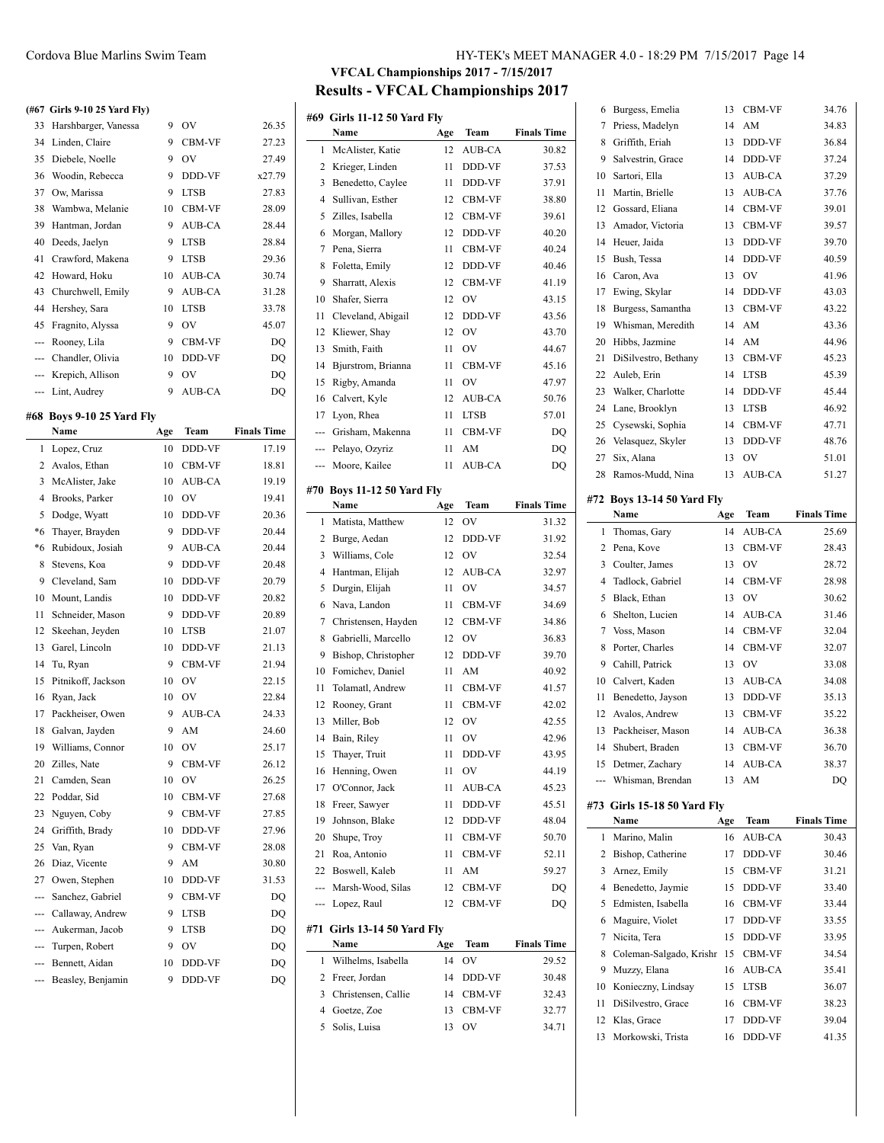#### **(#67 Girls 9-10 25 Yard Fly)**

| 33  | Harshbarger, Vanessa | 9  | OV            | 26.35  |
|-----|----------------------|----|---------------|--------|
| 34  | Linden, Claire       | 9  | <b>CBM-VF</b> | 27.23  |
| 35  | Diebele, Noelle      | 9  | OV            | 27.49  |
| 36  | Woodin, Rebecca      | 9  | <b>DDD-VF</b> | x27.79 |
| 37  | Ow, Marissa          | 9  | <b>LTSB</b>   | 27.83  |
| 38  | Wambwa, Melanie      | 10 | <b>CBM-VF</b> | 28.09  |
| 39  | Hantman, Jordan      | 9  | <b>AUB-CA</b> | 28.44  |
| 40  | Deeds, Jaelyn        | 9  | <b>LTSB</b>   | 28.84  |
| 41  | Crawford, Makena     | 9  | <b>LTSB</b>   | 29.36  |
| 42  | Howard, Hoku         | 10 | <b>AUB-CA</b> | 30.74  |
| 43  | Churchwell, Emily    | 9  | <b>AUB-CA</b> | 31.28  |
| 44  | Hershey, Sara        | 10 | <b>LTSB</b>   | 33.78  |
| 45  | Fragnito, Alyssa     | 9  | OV            | 45.07  |
| --- | Rooney, Lila         | 9  | <b>CBM-VF</b> | DQ     |
| --- | Chandler, Olivia     | 10 | <b>DDD-VF</b> | DQ     |
| --- | Krepich, Allison     | 9  | OV            | DQ     |
|     | --- Lint, Audrey     | 9  | <b>AUB-CA</b> | DQ     |

# **#68 Boys 9-10 25 Yard Fly**

|          | Name               | Age | Team          | <b>Finals Time</b> |
|----------|--------------------|-----|---------------|--------------------|
| 1        | Lopez, Cruz        | 10  | DDD-VF        | 17.19              |
| 2        | Avalos, Ethan      | 10  | CBM-VF        | 18.81              |
| 3        | McAlister, Jake    | 10  | AUB-CA        | 19.19              |
| 4        | Brooks, Parker     | 10  | OV            | 19.41              |
| 5        | Dodge, Wyatt       | 10  | DDD-VF        | 20.36              |
| *6       | Thaver, Brayden    | 9   | DDD-VF        | 20.44              |
| *6       | Rubidoux, Josiah   | 9   | AUB-CA        | 20.44              |
| 8        | Stevens, Koa       | 9   | DDD-VF        | 20.48              |
| 9        | Cleveland, Sam     | 10  | DDD-VF        | 20.79              |
| 10       | Mount, Landis      | 10  | DDD-VF        | 20.82              |
| 11       | Schneider, Mason   | 9   | DDD-VF        | 20.89              |
| 12       | Skeehan, Jeyden    | 10  | LTSB          | 21.07              |
| 13       | Garel, Lincoln     | 10  | DDD-VF        | 21.13              |
| 14       | Tu, Ryan           | 9   | CBM-VF        | 21.94              |
| 15       | Pitnikoff, Jackson | 10  | OV            | 22.15              |
| 16       | Ryan, Jack         | 10  | OV            | 22.84              |
| 17       | Packheiser, Owen   | 9   | AUB-CA        | 24.33              |
| 18       | Galvan, Jayden     | 9   | AM            | 24.60              |
| 19       | Williams, Connor   | 10  | OV            | 25.17              |
| 20       | Zilles, Nate       | 9   | CBM-VF        | 26.12              |
| 21       | Camden, Sean       | 10  | OV            | 26.25              |
| 22       | Poddar, Sid        | 10  | CBM-VF        | 27.68              |
| 23       | Nguyen, Coby       | 9   | CBM-VF        | 27.85              |
| 24       | Griffith, Brady    | 10  | DDD-VF        | 27.96              |
| 25       | Van, Ryan          | 9   | CBM-VF        | 28.08              |
| 26       | Diaz, Vicente      | 9   | AM            | 30.80              |
| 27       | Owen, Stephen      | 10  | DDD-VF        | 31.53              |
| ---      | Sanchez, Gabriel   | 9   | CBM-VF        | DQ                 |
| $\cdots$ | Callaway, Andrew   | 9   | <b>LTSB</b>   | DQ                 |
| ---      | Aukerman, Jacob    | 9   | <b>LTSB</b>   | DQ                 |
| ---      | Turpen, Robert     | 9   | OV            | DQ                 |
| ---      | Bennett, Aidan     | 10  | DDD-VF        | DQ                 |
| ---      | Beasley, Benjamin  | 9   | <b>DDD-VF</b> | DQ                 |

# **VFCAL Championships 2017 - 7/15/2017 Results - VFCAL Championships 2017**

 $\overline{a}$ 

 $\overline{a}$ 

 $\overline{a}$ 

|                | #69 Girls 11-12 50 Yard Fly    |          |                         |                    |
|----------------|--------------------------------|----------|-------------------------|--------------------|
|                | Name                           | Age      | Team                    | <b>Finals Time</b> |
| 1              | McAlister, Katie               | 12       | AUB-CA                  | 30.82              |
| 2              | Krieger, Linden                | 11       | DDD-VF                  | 37.53              |
| 3              | Benedetto, Caylee              | 11       | DDD-VF                  | 37.91              |
| $\overline{4}$ | Sullivan, Esther               | 12       | CBM-VF                  | 38.80              |
| 5              | Zilles, Isabella               | 12       | CBM-VF                  | 39.61              |
| 6              | Morgan, Mallory                | 12       | DDD-VF                  | 40.20              |
| 7              | Pena, Sierra                   | 11       | CBM-VF                  | 40.24              |
| 8              | Foletta, Emily                 | 12       | DDD-VF                  | 40.46              |
| 9              | Sharratt, Alexis               | 12       | CBM-VF                  | 41.19              |
| 10             | Shafer, Sierra                 | 12       | OV                      | 43.15              |
| 11             | Cleveland, Abigail             | 12       | DDD-VF                  | 43.56              |
| 12             | Kliewer, Shay                  | 12       | OV                      | 43.70              |
| 13             | Smith, Faith                   | 11       | OV                      | 44.67              |
| 14             | Bjurstrom, Brianna             | 11       | CBM-VF                  | 45.16              |
| 15             | Rigby, Amanda                  | 11       | OV                      | 47.97              |
| 16             | Calvert, Kyle                  | 12       | AUB-CA                  | 50.76              |
| 17             | Lyon, Rhea                     | 11       | <b>LTSB</b>             | 57.01              |
| ---            | Grisham, Makenna               | 11       | <b>CBM-VF</b>           | DQ                 |
| ---            | Pelayo, Ozyriz                 | 11       | AM                      | DQ                 |
| ---            | Moore, Kailee                  | 11       | <b>AUB-CA</b>           | DQ                 |
|                |                                |          |                         |                    |
|                | #70 Boys 11-12 50 Yard Fly     |          |                         |                    |
|                | Name                           | Age      | Team                    | <b>Finals Time</b> |
| 1              | Matista, Matthew               | 12       | OV                      | 31.32              |
| 2              | Burge, Aedan                   | 12       | DDD-VF                  | 31.92              |
| 3              | Williams, Cole                 | 12       | OV                      | 32.54              |
| 4              | Hantman, Elijah                | 12       | AUB-CA                  | 32.97              |
| 5              | Durgin, Elijah                 | 11       | OV                      | 34.57              |
| 6              | Nava, Landon                   | 11       | CBM-VF                  | 34.69              |
| 7              | Christensen, Hayden            | 12       | CBM-VF                  | 34.86              |
| 8              | Gabrielli, Marcello            | 12       | OV                      | 36.83              |
| 9              | Bishop, Christopher            | 12       | <b>DDD-VF</b>           | 39.70              |
| 10<br>11       | Fomichev, Daniel               | 11       | AM                      | 40.92              |
| 12             | Tolamatl, Andrew               | 11       | CBM-VF<br><b>CBM-VF</b> | 41.57              |
| 13             | Rooney, Grant<br>Miller, Bob   | 11<br>12 |                         | 42.02              |
| 14             |                                |          |                         |                    |
|                |                                |          | OV                      | 42.55              |
|                | Bain, Riley                    | 11       | OV                      | 42.96              |
| 15             | Thayer, Truit                  | 11       | DDD-VF                  | 43.95              |
| 16             | Henning, Owen                  | 11       | OV                      | 44.19              |
| 17             | O'Connor, Jack                 | 11       | AUB-CA                  | 45.23              |
| 18             | Freer, Sawyer                  | 11       | DDD-VF                  | 45.51              |
| 19             | Johnson, Blake                 | 12       | DDD-VF                  | 48.04              |
| 20             | Shupe, Troy                    | 11       | CBM-VF                  | 50.70              |
| 21             | Roa, Antonio                   | 11       | CBM-VF                  | 52.11              |
| 22             | Boswell, Kaleb                 | 11       | AM                      | 59.27              |
| ---            | Marsh-Wood, Silas              | 12       | CBM-VF                  | DQ                 |
| ---            | Lopez, Raul                    | 12       | CBM-VF                  | DQ                 |
| #71            | <b>Girls 13-14 50 Yard Fly</b> |          |                         |                    |
|                | Name                           | Age      | Team                    | <b>Finals Time</b> |
| 1              | Wilhelms, Isabella             | 14       | OV                      | 29.52              |
| 2              | Freer, Jordan                  | 14       | DDD-VF                  | 30.48              |
| 3              | Christensen, Callie            | 14       | CBM-VF                  | 32.43              |
| 4              | Goetze, Zoe                    | 13       | CBM-VF                  | 32.77              |

| 6  | Burgess, Emelia             | 13  | CBM-VF    | 34.76              |
|----|-----------------------------|-----|-----------|--------------------|
| 7  | Priess, Madelyn             | 14  | AM        | 34.83              |
| 8  | Griffith, Eriah             | 13  | DDD-VF    | 36.84              |
| 9  | Salvestrin, Grace           | 14  | DDD-VF    | 37.24              |
| 10 | Sartori, Ella               | 13  | AUB-CA    | 37.29              |
| 11 | Martin, Brielle             | 13  | AUB-CA    | 37.76              |
| 12 | Gossard, Eliana             | 14  | CBM-VF    | 39.01              |
| 13 | Amador, Victoria            | 13  | CBM-VF    | 39.57              |
| 14 | Heuer, Jaida                | 13  | DDD-VF    | 39.70              |
| 15 | Bush, Tessa                 | 14  | DDD-VF    | 40.59              |
| 16 | Caron, Ava                  | 13  | OV        | 41.96              |
| 17 | Ewing, Skylar               | 14  | DDD-VF    | 43.03              |
| 18 | Burgess, Samantha           | 13  | CBM-VF    | 43.22              |
| 19 | Whisman, Meredith           | 14  | AM        | 43.36              |
| 20 | Hibbs, Jazmine              | 14  | AM        | 44.96              |
| 21 | DiSilvestro, Bethany        | 13  | CBM-VF    | 45.23              |
| 22 | Auleb, Erin                 | 14  | LTSB      | 45.39              |
| 23 | Walker, Charlotte           | 14  | DDD-VF    | 45.44              |
| 24 | Lane, Brooklyn              | 13  | LTSB      | 46.92              |
| 25 | Cysewski, Sophia            | 14  | CBM-VF    | 47.71              |
|    |                             |     | DDD-VF    | 48.76              |
| 27 | 26 Velasquez, Skyler        | 13  | OV        |                    |
| 28 | Six, Alana                  | 13  |           | 51.01              |
|    | Ramos-Mudd, Nina            | 13  | AUB-CA    | 51.27              |
|    | #72 Boys 13-14 50 Yard Fly  |     |           |                    |
|    | Name                        | Age | Team      | <b>Finals Time</b> |
| 1  | Thomas, Gary                | 14  | AUB-CA    | 25.69              |
| 2  | Pena, Kove                  | 13  | CBM-VF    | 28.43              |
| 3  | Coulter, James              | 13  | OV        | 28.72              |
| 4  | Tadlock, Gabriel            | 14  | CBM-VF    | 28.98              |
| 5  | Black, Ethan                | 13  | OV        | 30.62              |
| 6  | Shelton, Lucien             | 14  | AUB-CA    | 31.46              |
| 7  | Voss, Mason                 | 14  | CBM-VF    | 32.04              |
| 8  | Porter, Charles             | 14  | CBM-VF    | 32.07              |
| 9  | Cahill, Patrick             | 13  | OV        | 33.08              |
|    | 10 Calvert, Kaden           | 13  | AUB-CA    | 34.08              |
| 11 | Benedetto, Jayson           | 13  | DDD-VF    | 35.13              |
| 12 | Avalos, Andrew              | 13  | CBM-VF    | 35.22              |
| 13 | Packheiser, Mason           | 14  | AUB-CA    | 36.38              |
| 14 | Shubert, Braden             |     | 13 CBM-VF | 36.70              |
| 15 | Detmer, Zachary             | 14  | AUB-CA    | 38.37              |
|    | Whisman, Brendan            | 13  | AM        | DQ                 |
|    | #73 Girls 15-18 50 Yard Fly |     |           |                    |
|    | Name                        | Age | Team      | <b>Finals Time</b> |
| 1  | Marino, Malin               | 16  | AUB-CA    | 30.43              |
| 2  | Bishop, Catherine           | 17  | DDD-VF    | 30.46              |
| 3  | Arnez, Emily                | 15  | CBM-VF    | 31.21              |
| 4  | Benedetto, Jaymie           | 15  | DDD-VF    | 33.40              |
| 5  | Edmisten, Isabella          | 16  | CBM-VF    | 33.44              |
| 6  | Maguire, Violet             | 17  | DDD-VF    | 33.55              |
| 7  | Nicita, Tera                | 15  | DDD-VF    | 33.95              |
| 8  | Coleman-Salgado, Krishr     | 15  | CBM-VF    | 34.54              |
| 9  | Muzzy, Elana                | 16  | AUB-CA    | 35.41              |
| 10 | Konieczny, Lindsay          | 15  | LTSB      | 36.07              |
| 11 |                             |     |           |                    |
|    | DiSilvestro, Grace          | 16  | CBM-VF    | 38.23              |
| 12 | Klas, Grace                 | 17  | DDD-VF    | 39.04              |
| 13 | Morkowski, Trista           | 16  | DDD-VF    | 41.35              |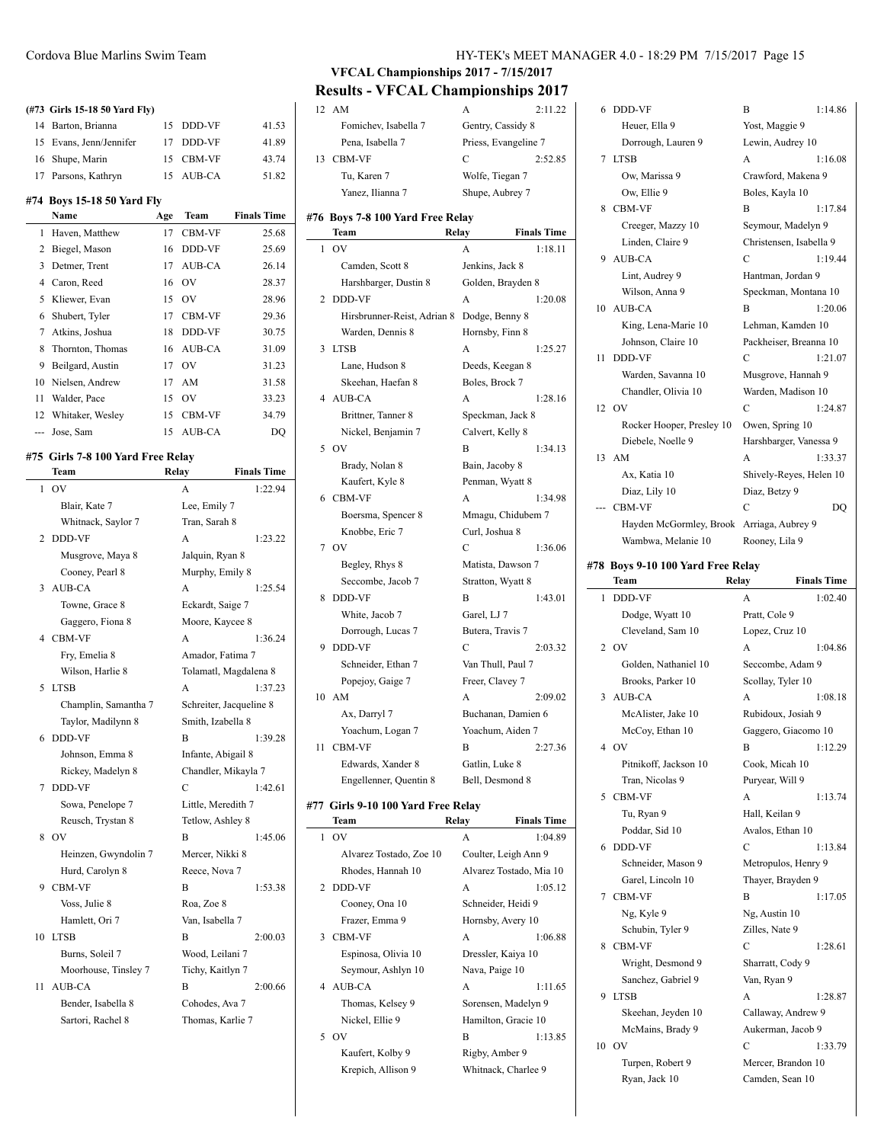#### **(#73 Girls 15-18 50 Yard Fly)**

| 14             | Barton, Brianna                   | 15           | DDD-VF          | 41.53              |
|----------------|-----------------------------------|--------------|-----------------|--------------------|
| 15             | Evans, Jenn/Jennifer              | 17           | DDD-VF          | 41.89              |
| 16             | Shupe, Marin                      | 15           | CBM-VF          | 43.74              |
| 17             | Parsons, Kathryn                  | 15           | AUB-CA          | 51.82              |
|                | #74 Boys 15-18 50 Yard Fly        |              |                 |                    |
|                | Name                              | Age          | Team            | <b>Finals Time</b> |
| $\mathbf{1}$   | Haven, Matthew                    | 17           | <b>CBM-VF</b>   | 25.68              |
| 2              | Biegel, Mason                     | 16           | DDD-VF          | 25.69              |
| 3              | Detmer, Trent                     | 17           | AUB-CA          | 26.14              |
| $\overline{4}$ | Caron, Reed                       | 16           | OV              | 28.37              |
| 5              | Kliewer, Evan                     | 15           | <b>OV</b>       | 28.96              |
| 6              | Shubert, Tyler                    | 17           | <b>CBM-VF</b>   | 29.36              |
| 7              | Atkins, Joshua                    | 18           | DDD-VF          | 30.75              |
| 8              | Thornton, Thomas                  | 16           | AUB-CA          | 31.09              |
| 9              | Beilgard, Austin                  | 17           | <b>OV</b>       | 31.23              |
| 10             | Nielsen, Andrew                   | 17           | AM              | 31.58              |
| 11             | Walder, Pace                      | 15           | OV              | 33.23              |
| 12             | Whitaker, Wesley                  | 15           | CBM-VF          | 34.79              |
| ---            | Jose, Sam                         | 15           | AUB-CA          | DQ                 |
|                | #75 Girls 7-8 100 Yard Free Relay |              |                 |                    |
|                | Team                              | <b>Relay</b> |                 | <b>Finals Time</b> |
| 1              | OV                                |              | A               | 1:22.94            |
|                | Blair, Kate 7                     |              | Lee, Emily 7    |                    |
|                | Whitnack, Saylor 7                |              | Tran, Sarah 8   |                    |
| 2              | DDD-VF                            |              | A               | 1:23.22            |
|                | Musgrove, Maya 8                  |              | Jalquin, Ryan 8 |                    |
|                |                                   |              |                 |                    |

# Cooney, Pearl 8 Murphy, Emily 8 3 AUB-CA A 1:25.54 Towne, Grace 8 Eckardt, Saige 7 Gaggero, Fiona 8 Moore, Kaycee 8 4 CBM-VF A 1:36.24 Fry, Emelia 8 Amador, Fatima 7 Wilson, Harlie 8 Tolamatl, Magdalena 8 5 LTSB A 1:37.23 Champlin, Samantha 7 Schreiter, Jacqueline 8 Taylor, Madilynn 8 Smith, Izabella 8 6 DDD-VF B 1:39.28 Johnson, Emma 8 Infante, Abigail 8 Rickey, Madelyn 8 Chandler, Mikayla 7 7 DDD-VF C 1:42.61 Sowa, Penelope 7 Little, Meredith 7 Reusch, Trystan 8 Tetlow, Ashley 8 8 OV B 1:45.06 Heinzen, Gwyndolin 7 Mercer, Nikki 8 Hurd, Carolyn 8 Reece, Nova 7 9 CBM-VF B 1:53.38 Voss, Julie 8 Roa, Zoe 8 Hamlett, Ori 7 Van, Isabella 7 10 LTSB B 2:00.03 Burns, Soleil 7 Wood, Leilani 7 Moorhouse, Tinsley 7 Tichy, Kaitlyn 7 11 AUB-CA B 2:00.66 Bender, Isabella 8 Cohodes, Ava 7 Sartori, Rachel 8 Thomas, Karlie 7

# Cordova Blue Marlins Swim Team HY-TEK's MEET MANAGER 4.0 - 18:29 PM 7/15/2017 Page 15

**VFCAL Championships 2017 - 7/15/2017 Results - VFCAL Championships 2017**

# 12 AM A 2:11.22 Fomichev, Isabella 7 Gentry, Cassidy 8

|    | $\ldots \ldots \ldots$             | $\sim$ $\sim$ $\sim$ $\sim$ $\sim$ $\sim$ $\sim$ $\sim$ |                         |
|----|------------------------------------|---------------------------------------------------------|-------------------------|
|    | Pena, Isabella 7                   |                                                         | Priess, Evangeline 7    |
| 13 | CBM-VF                             | C                                                       | 2:52.85                 |
|    | Tu, Karen 7                        | Wolfe, Tiegan 7                                         |                         |
|    | Yanez, Ilianna 7                   | Shupe, Aubrey 7                                         |                         |
|    | #76 Boys 7-8 100 Yard Free Relay   |                                                         |                         |
|    | Team                               | Relay                                                   | <b>Finals Time</b>      |
| 1  | OV                                 | A                                                       | 1:18.11                 |
|    | Camden, Scott 8                    | Jenkins, Jack 8                                         |                         |
|    | Harshbarger, Dustin 8              | Golden, Brayden 8                                       |                         |
| 2  | DDD-VF                             | А                                                       | 1:20.08                 |
|    | Hirsbrunner-Reist, Adrian 8        | Dodge, Benny 8                                          |                         |
|    | Warden, Dennis 8                   | Hornsby, Finn 8                                         |                         |
| 3  | <b>LTSB</b>                        | A                                                       | 1:25.27                 |
|    | Lane, Hudson 8                     | Deeds, Keegan 8                                         |                         |
|    | Skeehan, Haefan 8                  | Boles, Brock 7                                          |                         |
| 4  | AUB-CA                             | A                                                       | 1:28.16                 |
|    | Brittner, Tanner 8                 | Speckman, Jack 8                                        |                         |
|    | Nickel, Benjamin 7                 | Calvert, Kelly 8                                        |                         |
| 5  | OV                                 | В                                                       | 1:34.13                 |
|    | Brady, Nolan 8                     | Bain, Jacoby 8                                          |                         |
|    | Kaufert, Kyle 8                    | Penman, Wyatt 8                                         |                         |
| 6  | <b>CBM-VF</b>                      | A                                                       | 1:34.98                 |
|    | Boersma, Spencer 8                 |                                                         | Mmagu, Chidubem 7       |
|    | Knobbe, Eric 7                     | Curl, Joshua 8                                          |                         |
| 7  | OV                                 | C                                                       | 1:36.06                 |
|    | Begley, Rhys 8                     | Matista, Dawson 7                                       |                         |
|    | Seccombe, Jacob 7                  | Stratton, Wyatt 8                                       |                         |
| 8  | DDD-VF                             | B                                                       | 1:43.01                 |
|    | White, Jacob 7                     | Garel, LJ 7                                             |                         |
|    | Dorrough, Lucas 7                  | Butera, Travis 7                                        |                         |
| 9  | DDD-VF                             | C                                                       | 2:03.32                 |
|    | Schneider, Ethan 7                 | Van Thull, Paul 7                                       |                         |
|    | Popejoy, Gaige 7                   | Freer, Clavey 7                                         |                         |
|    | 10 AM                              | A                                                       | 2:09.02                 |
|    | Ax, Darryl 7                       |                                                         | Buchanan, Damien 6      |
|    | Yoachum, Logan 7                   | Yoachum, Aiden 7                                        |                         |
| 11 | CBM-VF                             | В                                                       | 2:27.36                 |
|    | Edwards, Xander 8                  | Gatlin, Luke 8                                          |                         |
|    | Engellenner, Quentin 8             | Bell, Desmond 8                                         |                         |
|    | #77 Girls 9-10 100 Yard Free Relay |                                                         |                         |
|    | Team                               | Relay                                                   | <b>Finals Time</b>      |
| 1  | OV                                 | A                                                       | 1:04.89                 |
|    | Alvarez Tostado, Zoe 10            |                                                         | Coulter, Leigh Ann 9    |
|    | Rhodes, Hannah 10                  |                                                         | Alvarez Tostado, Mia 10 |
| 2  | <b>DDD-VF</b>                      | A                                                       | 1:05.12                 |
|    | Cooney, Ona 10                     | Schneider, Heidi 9                                      |                         |

Frazer, Emma 9 Hornsby, Avery 10 3 CBM-VF A 1:06.88 Espinosa, Olivia 10 Dressler, Kaiya 10 Seymour, Ashlyn 10 Nava, Paige 10 4 AUB-CA A 1:11.65 Thomas, Kelsey 9 Sorensen, Madelyn 9 Nickel, Ellie 9 Hamilton, Gracie 10 5 OV B 1:13.85 Kaufert, Kolby 9 Rigby, Amber 9 Krepich, Allison 9 Whitnack, Charlee 9

| 6  | DDD-VF                            | B                  | 1:14.86                 |
|----|-----------------------------------|--------------------|-------------------------|
|    | Heuer, Ella 9                     | Yost, Maggie 9     |                         |
|    | Dorrough, Lauren 9                | Lewin, Audrey 10   |                         |
| 7  | <b>LTSB</b>                       | A                  | 1:16.08                 |
|    | Ow, Marissa 9                     | Crawford, Makena 9 |                         |
|    | Ow, Ellie 9                       | Boles, Kayla 10    |                         |
| 8  | <b>CBM-VF</b>                     | B                  | 1:17.84                 |
|    | Creeger, Mazzy 10                 | Seymour, Madelyn 9 |                         |
|    | Linden, Claire 9                  |                    | Christensen, Isabella 9 |
|    | 9 AUB-CA                          | C                  | 1:19.44                 |
|    | Lint, Audrey 9                    | Hantman, Jordan 9  |                         |
|    | Wilson, Anna 9                    |                    | Speckman, Montana 10    |
|    | 10 AUB-CA                         | B                  | 1:20.06                 |
|    | King, Lena-Marie 10               | Lehman, Kamden 10  |                         |
|    | Johnson, Claire 10                |                    | Packheiser, Breanna 10  |
| 11 | <b>DDD-VF</b>                     | С                  | 1:21.07                 |
|    | Warden, Savanna 10                | Musgrove, Hannah 9 |                         |
|    | Chandler, Olivia 10               | Warden, Madison 10 |                         |
|    | 12 OV                             | C                  | 1:24.87                 |
|    | Rocker Hooper, Presley 10         | Owen, Spring 10    |                         |
|    | Diebele, Noelle 9                 |                    | Harshbarger, Vanessa 9  |
|    | 13 AM                             | A                  | 1:33.37                 |
|    | Ax, Katia 10                      |                    | Shively-Reyes, Helen 10 |
|    | Diaz, Lily 10                     | Diaz, Betzy 9      |                         |
|    | <b>CBM-VF</b>                     | $\mathcal{C}$      | DO                      |
|    | Hayden McGormley, Brook           | Arriaga, Aubrey 9  |                         |
|    | Wambwa, Melanie 10                | Rooney, Lila 9     |                         |
|    | #78 Boys 9-10 100 Yard Free Relay |                    |                         |
|    | Team                              | Relay              | <b>Finals Time</b>      |
| 1  | <b>DDD-VF</b>                     | A                  | 1:02.40                 |
|    | Dodge, Wyatt 10                   | Pratt, Cole 9      |                         |

|    | Dodge, Wyatt 10       | Pratt, Cole 9       |         |
|----|-----------------------|---------------------|---------|
|    | Cleveland, Sam 10     | Lopez, Cruz 10      |         |
|    | $2$ OV                | A                   | 1:04.86 |
|    | Golden, Nathaniel 10  | Seccombe, Adam 9    |         |
|    | Brooks, Parker 10     | Scollay, Tyler 10   |         |
| 3  | AUB-CA                | A                   | 1:08.18 |
|    | McAlister, Jake 10    | Rubidoux, Josiah 9  |         |
|    | McCoy, Ethan 10       | Gaggero, Giacomo 10 |         |
|    | 4 OV                  | B                   | 1:12.29 |
|    | Pitnikoff, Jackson 10 | Cook, Micah 10      |         |
|    | Tran, Nicolas 9       | Puryear, Will 9     |         |
| 5  | <b>CBM-VF</b>         | A                   | 1:13.74 |
|    | Tu, Ryan 9            | Hall, Keilan 9      |         |
|    | Poddar, Sid 10        | Avalos, Ethan 10    |         |
| 6  | <b>DDD-VF</b>         | C                   | 1:13.84 |
|    | Schneider, Mason 9    | Metropulos, Henry 9 |         |
|    | Garel, Lincoln 10     | Thayer, Brayden 9   |         |
| 7  | <b>CBM-VF</b>         | B                   | 1:17.05 |
|    | Ng, Kyle 9            | Ng, Austin 10       |         |
|    | Schubin, Tyler 9      | Zilles, Nate 9      |         |
| 8  | <b>CBM-VF</b>         | C                   | 1:28.61 |
|    | Wright, Desmond 9     | Sharratt, Cody 9    |         |
|    | Sanchez, Gabriel 9    | Van, Ryan 9         |         |
| 9  | <b>LTSB</b>           | A                   | 1:28.87 |
|    | Skeehan, Jeyden 10    | Callaway, Andrew 9  |         |
|    | McMains, Brady 9      | Aukerman, Jacob 9   |         |
| 10 | OV                    | $\overline{C}$      | 1:33.79 |
|    | Turpen, Robert 9      | Mercer, Brandon 10  |         |
|    | Ryan, Jack 10         | Camden, Sean 10     |         |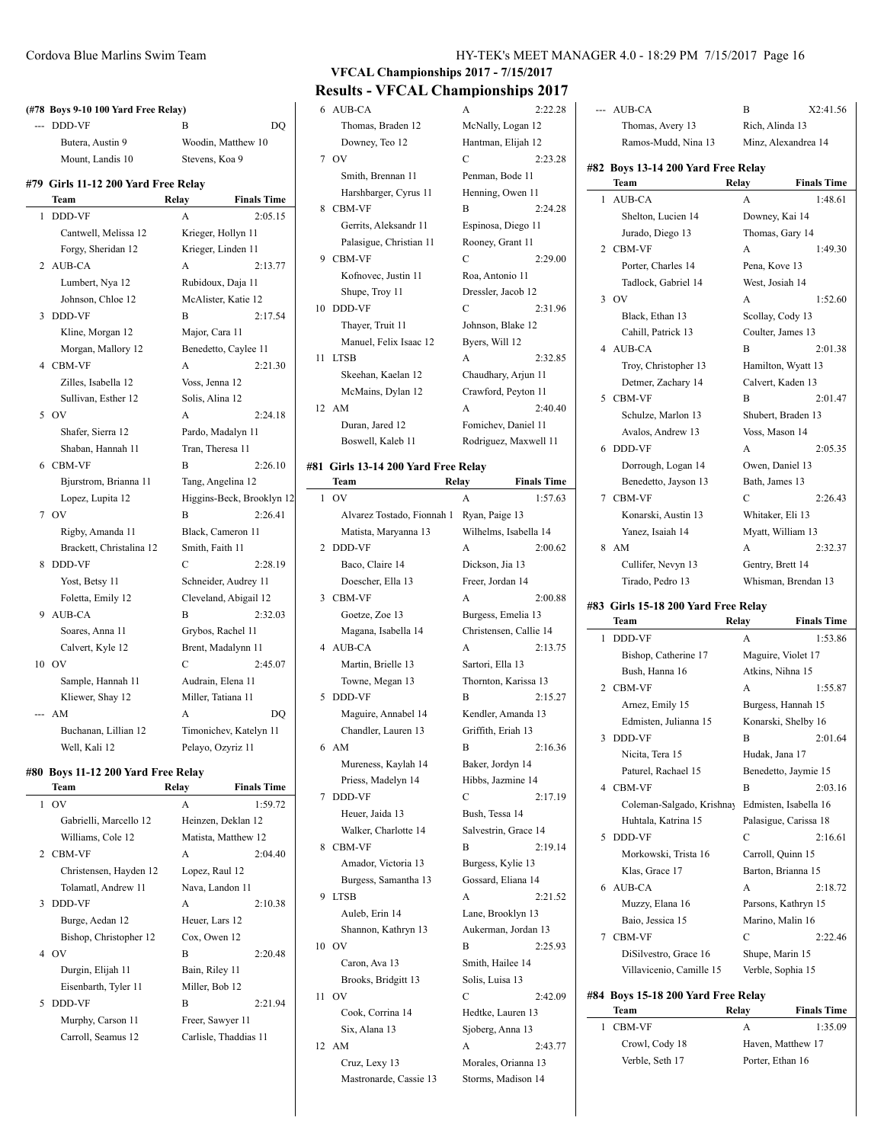|     | (#78 Boys 9-10 100 Yard Free Relay) |                    |                           |
|-----|-------------------------------------|--------------------|---------------------------|
| $-$ | DDD-VF                              | $\overline{B}$     | DO                        |
|     | Butera, Austin 9                    |                    | Woodin, Matthew 10        |
|     | Mount, Landis 10                    | Stevens, Koa 9     |                           |
|     |                                     |                    |                           |
|     | #79 Girls 11-12 200 Yard Free Relay |                    |                           |
|     | Team                                | Relay              | <b>Finals Time</b>        |
| 1   | <b>DDD-VF</b>                       | A                  | 2:05.15                   |
|     | Cantwell, Melissa 12                | Krieger, Hollyn 11 |                           |
|     | Forgy, Sheridan 12                  | Krieger, Linden 11 |                           |
| 2   | AUB-CA                              | A                  | 2:13.77                   |
|     | Lumbert, Nya 12                     | Rubidoux, Daja 11  |                           |
|     | Johnson, Chloe 12                   |                    | McAlister, Katie 12       |
| 3   | <b>DDD-VF</b>                       | B                  | 2:17.54                   |
|     | Kline, Morgan 12                    | Major, Cara 11     |                           |
|     | Morgan, Mallory 12                  |                    | Benedetto, Caylee 11      |
| 4   | <b>CBM-VF</b>                       | A                  | 2:21.30                   |
|     | Zilles, Isabella 12                 | Voss, Jenna 12     |                           |
|     | Sullivan, Esther 12                 | Solis, Alina 12    |                           |
| 5   | OV                                  | A                  | 2:24.18                   |
|     | Shafer, Sierra 12                   | Pardo, Madalyn 11  |                           |
|     | Shaban, Hannah 11                   | Tran, Theresa 11   |                           |
| 6   | <b>CBM-VF</b>                       | B                  | 2:26.10                   |
|     | Bjurstrom, Brianna 11               | Tang, Angelina 12  |                           |
|     | Lopez, Lupita 12                    |                    | Higgins-Beck, Brooklyn 12 |
| 7   | OV                                  | B                  | 2:26.41                   |
|     | Rigby, Amanda 11                    |                    | Black, Cameron 11         |
|     | Brackett, Christalina 12            | Smith, Faith 11    |                           |
| 8   | <b>DDD-VF</b>                       | C                  | 2:28.19                   |
|     | Yost, Betsy 11                      |                    | Schneider, Audrey 11      |
|     | Foletta, Emily 12                   |                    | Cleveland, Abigail 12     |
| 9   | AUB-CA                              | B                  | 2:32.03                   |
|     | Soares, Anna 11                     | Grybos, Rachel 11  |                           |
|     | Calvert, Kyle 12                    |                    | Brent, Madalynn 11        |
|     | 10 OV                               | C                  | 2:45.07                   |
|     | Sample, Hannah 11                   | Audrain, Elena 11  |                           |
|     | Kliewer, Shay 12                    | Miller, Tatiana 11 |                           |
| --  | AM                                  | А                  | DQ                        |
|     | Buchanan, Lillian 12                |                    | Timonichev, Katelyn 11    |
|     | Well, Kali 12                       | Pelayo, Ozyriz 11  |                           |

# **#80 Boys 11-12 200 Yard Free Relay**

|              | Team                   | Relay                 | <b>Finals Time</b> |
|--------------|------------------------|-----------------------|--------------------|
| $\mathbf{1}$ | OV                     | A                     | 1:59.72            |
|              | Gabrielli, Marcello 12 | Heinzen, Deklan 12    |                    |
|              | Williams, Cole 12      | Matista, Matthew 12   |                    |
|              | 2 CBM-VF               | A                     | 2:04.40            |
|              | Christensen, Hayden 12 | Lopez, Raul 12        |                    |
|              | Tolamatl, Andrew 11    | Nava, Landon 11       |                    |
|              | 3 DDD-VF               | $\mathsf{A}$          | 2:10.38            |
|              | Burge, Aedan 12        | Heuer, Lars 12        |                    |
|              | Bishop, Christopher 12 | Cox, Owen 12          |                    |
|              | 4 OV                   | B                     | 2:20.48            |
|              | Durgin, Elijah 11      | Bain, Riley 11        |                    |
|              | Eisenbarth, Tyler 11   | Miller, Bob 12        |                    |
| 5.           | DDD-VF                 | R                     | 2:21.94            |
|              | Murphy, Carson 11      | Freer, Sawyer 11      |                    |
|              | Carroll, Seamus 12     | Carlisle, Thaddias 11 |                    |
|              |                        |                       |                    |

# **VFCAL Championships 2017 - 7/15/2017 Results - VFCAL Championships 2017**

|    | 6 AUB-CA                | A                   | 2:22.28               |
|----|-------------------------|---------------------|-----------------------|
|    | Thomas, Braden 12       | McNally, Logan 12   |                       |
|    | Downey, Teo 12          | Hantman, Elijah 12  |                       |
|    | 7 OV                    | C                   | 2:23.28               |
|    | Smith, Brennan 11       | Penman, Bode 11     |                       |
|    | Harshbarger, Cyrus 11   | Henning, Owen 11    |                       |
| 8  | <b>CBM-VF</b>           | B                   | 2:24.28               |
|    | Gerrits, Aleksandr 11   | Espinosa, Diego 11  |                       |
|    | Palasigue, Christian 11 | Rooney, Grant 11    |                       |
|    | 9 CBM-VF                | C                   | 2:29.00               |
|    | Kofnovec, Justin 11     | Roa, Antonio 11     |                       |
|    | Shupe, Troy 11          | Dressler, Jacob 12  |                       |
| 10 | <b>DDD-VF</b>           | C                   | 2:31.96               |
|    | Thayer, Truit 11        | Johnson, Blake 12   |                       |
|    | Manuel, Felix Isaac 12  | Byers, Will 12      |                       |
| 11 | <b>LTSB</b>             | A                   | 2:32.85               |
|    | Skeehan, Kaelan 12      | Chaudhary, Arjun 11 |                       |
|    | McMains, Dylan 12       | Crawford, Peyton 11 |                       |
|    | 12 AM                   | A                   | 2:40.40               |
|    | Duran, Jared 12         | Fomichev, Daniel 11 |                       |
|    | Boswell, Kaleb 11       |                     | Rodriguez, Maxwell 11 |
|    |                         |                     |                       |

### **#81 Girls 13-14 200 Yard Free Relay**

|    | Team                       | Relay        | <b>Finals Time</b>     |
|----|----------------------------|--------------|------------------------|
| 1  | OV                         | A            | 1:57.63                |
|    | Alvarez Tostado, Fionnah 1 |              | Ryan, Paige 13         |
|    | Matista, Maryanna 13       |              | Wilhelms, Isabella 14  |
| 2  | DDD-VF                     | A            | 2:00.62                |
|    | Baco, Claire 14            |              | Dickson, Jia 13        |
|    | Doescher, Ella 13          |              | Freer, Jordan 14       |
| 3  | CBM-VF                     | $\mathsf{A}$ | 2:00.88                |
|    | Goetze, Zoe 13             |              | Burgess, Emelia 13     |
|    | Magana, Isabella 14        |              | Christensen, Callie 14 |
| 4  | AUB-CA                     | A            | 2:13.75                |
|    | Martin, Brielle 13         |              | Sartori, Ella 13       |
|    | Towne, Megan 13            |              | Thornton, Karissa 13   |
| 5  | <b>DDD-VF</b>              | B            | 2:15.27                |
|    | Maguire, Annabel 14        |              | Kendler, Amanda 13     |
|    | Chandler, Lauren 13        |              | Griffith, Eriah 13     |
| 6  | AM                         | B            | 2:16.36                |
|    | Mureness, Kaylah 14        |              | Baker, Jordyn 14       |
|    | Priess, Madelyn 14         |              | Hibbs, Jazmine 14      |
| 7  | DDD-VF                     | C            | 2:17.19                |
|    | Heuer, Jaida 13            |              | Bush, Tessa 14         |
|    | Walker, Charlotte 14       |              | Salvestrin, Grace 14   |
| 8  | CBM-VF                     | B            | 2:19.14                |
|    | Amador, Victoria 13        |              | Burgess, Kylie 13      |
|    | Burgess, Samantha 13       |              | Gossard, Eliana 14     |
| 9  | <b>LTSB</b>                | A            | 2:21.52                |
|    | Auleb, Erin 14             |              | Lane, Brooklyn 13      |
|    | Shannon, Kathryn 13        |              | Aukerman, Jordan 13    |
| 10 | OV                         | B            | 2:25.93                |
|    | Caron, Ava 13              |              | Smith, Hailee 14       |
|    | Brooks, Bridgitt 13        |              | Solis, Luisa 13        |
| 11 | OV                         | С            | 2:42.09                |
|    | Cook, Corrina 14           |              | Hedtke, Lauren 13      |
|    | Six, Alana 13              |              | Sjoberg, Anna 13       |
| 12 | AM                         | A            | 2:43.77                |
|    | Cruz, Lexy 13              |              | Morales, Orianna 13    |
|    | Mastronarde, Cassie 13     |              | Storms, Madison 14     |

| --- | AUB-CA                              | B                     | X2:41.56           |
|-----|-------------------------------------|-----------------------|--------------------|
|     | Thomas, Avery 13                    | Rich, Alinda 13       |                    |
|     | Ramos-Mudd, Nina 13                 | Minz, Alexandrea 14   |                    |
|     | #82 Boys 13-14 200 Yard Free Relay  |                       |                    |
|     | Team                                | Relay                 | <b>Finals Time</b> |
| 1   | AUB-CA                              | A                     | 1:48.61            |
|     | Shelton, Lucien 14                  | Downey, Kai 14        |                    |
|     | Jurado, Diego 13                    | Thomas, Gary 14       |                    |
| 2   | <b>CBM-VF</b>                       | A                     | 1:49.30            |
|     | Porter, Charles 14                  | Pena, Kove 13         |                    |
|     | Tadlock, Gabriel 14                 | West, Josiah 14       |                    |
| 3   | OV                                  | A                     | 1:52.60            |
|     | Black, Ethan 13                     | Scollay, Cody 13      |                    |
|     | Cahill, Patrick 13                  | Coulter, James 13     |                    |
| 4   | AUB-CA                              | B                     | 2:01.38            |
|     | Troy, Christopher 13                | Hamilton, Wyatt 13    |                    |
|     | Detmer, Zachary 14                  | Calvert, Kaden 13     |                    |
| 5   | <b>CBM-VF</b>                       | B                     | 2:01.47            |
|     | Schulze, Marlon 13                  | Shubert, Braden 13    |                    |
|     | Avalos, Andrew 13                   | Voss, Mason 14        |                    |
| 6   | DDD-VF                              | A                     | 2:05.35            |
|     | Dorrough, Logan 14                  | Owen, Daniel 13       |                    |
|     | Benedetto, Jayson 13                | Bath, James 13        |                    |
| 7   | <b>CBM-VF</b>                       | C                     | 2:26.43            |
|     | Konarski, Austin 13                 | Whitaker, Eli 13      |                    |
|     | Yanez, Isaiah 14                    | Myatt, William 13     |                    |
| 8   | AM                                  | A                     | 2:32.37            |
|     | Cullifer, Nevyn 13                  | Gentry, Brett 14      |                    |
|     | Tirado, Pedro 13                    | Whisman, Brendan 13   |                    |
|     | #83 Girls 15-18 200 Yard Free Relay |                       |                    |
|     | Team                                | Relay                 | <b>Finals Time</b> |
| 1   | DDD-VF                              | А                     | 1:53.86            |
|     | Bishop, Catherine 17                | Maguire, Violet 17    |                    |
|     | Bush, Hanna 16                      | Atkins, Nihna 15      |                    |
| 2   | CBM-VF                              | А                     | 1:55.87            |
|     | Arnez, Emily 15                     | Burgess, Hannah 15    |                    |
|     | Edmisten, Julianna 15               | Konarski, Shelby 16   |                    |
| 3   | DDD-VF                              | В                     | 2:01.64            |
|     | Nicita, Tera 15                     | Hudak, Jana 17        |                    |
|     | Paturel, Rachael 15                 | Benedetto, Jaymie 15  |                    |
| 4   | CBM-VF                              | B                     | 2:03.16            |
|     | Coleman-Salgado, Krishnay           | Edmisten, Isabella 16 |                    |
|     | Huhtala, Katrina 15                 | Palasigue, Carissa 18 |                    |
| 5   | <b>DDD-VF</b>                       | С                     | 2:16.61            |
|     | Morkowski, Trista 16                | Carroll, Quinn 15     |                    |

|   | Klas, Grace 17                     | Barton, Brianna 15  |                    |
|---|------------------------------------|---------------------|--------------------|
|   | 6 AUB-CA                           | A                   | 2:18.72            |
|   | Muzzy, Elana 16                    | Parsons, Kathryn 15 |                    |
|   | Baio, Jessica 15                   | Marino, Malin 16    |                    |
|   | 7 CBM-VF                           | C                   | 2:22.46            |
|   | DiSilvestro, Grace 16              | Shupe, Marin 15     |                    |
|   | Villavicenio, Camille 15           | Verble, Sophia 15   |                    |
|   | #84 Bovs 15-18 200 Yard Free Relav |                     |                    |
|   | Team                               | Relav               | <b>Finals Time</b> |
| 1 | <b>CBM-VF</b>                      | A                   | 1:35.09            |
|   | Crowl, Cody 18                     | Haven, Matthew 17   |                    |
|   | Verble, Seth 17                    | Porter, Ethan 16    |                    |